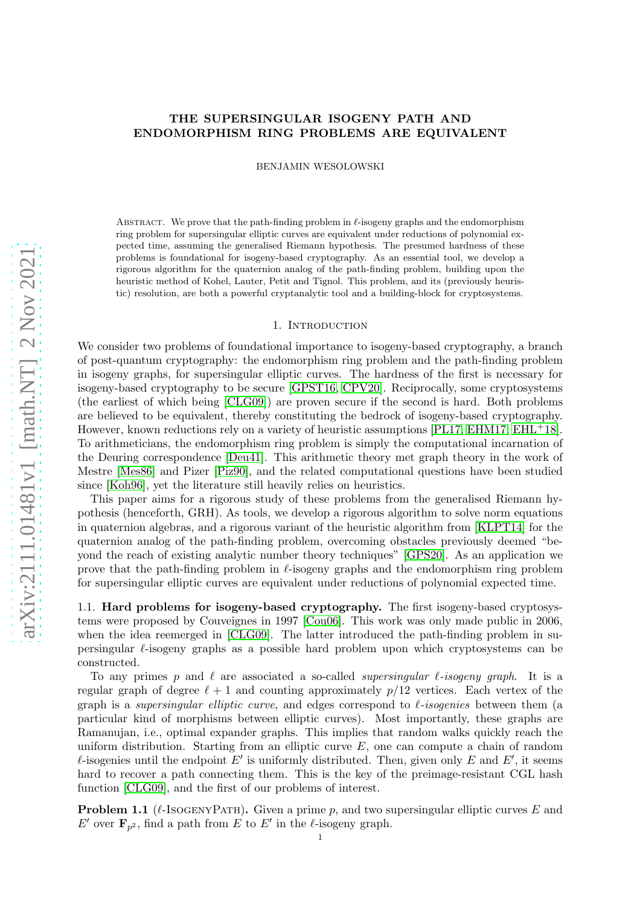# THE SUPERSINGULAR ISOGENY PATH AND ENDOMORPHISM RING PROBLEMS ARE EQUIVALENT

BENJAMIN WESOLOWSKI

ABSTRACT. We prove that the path-finding problem in  $\ell$ -isogeny graphs and the endomorphism ring problem for supersingular elliptic curves are equivalent under reductions of polynomial expected time, assuming the generalised Riemann hypothesis. The presumed hardness of these problems is foundational for isogeny-based cryptography. As an essential tool, we develop a rigorous algorithm for the quaternion analog of the path-finding problem, building upon the heuristic method of Kohel, Lauter, Petit and Tignol. This problem, and its (previously heuristic) resolution, are both a powerful cryptanalytic tool and a building-block for cryptosystems.

### 1. INTRODUCTION

We consider two problems of foundational importance to isogeny-based cryptography, a branch of post-quantum cryptography: the endomorphism ring problem and the path-finding problem in isogeny graphs, for supersingular elliptic curves. The hardness of the first is necessary for isogeny-based cryptography to be secure [\[GPST16,](#page-29-0) [CPV20\]](#page-29-1). Reciprocally, some cryptosystems (the earliest of which being [\[CLG09\]](#page-28-0)) are proven secure if the second is hard. Both problems are believed to be equivalent, thereby constituting the bedrock of isogeny-based cryptography. However, known reductions rely on a variety of heuristic assumptions [\[PL17,](#page-30-0) [EHM17,](#page-29-2) [EHL](#page-29-3)<sup>+</sup>18]. To arithmeticians, the endomorphism ring problem is simply the computational incarnation of the Deuring correspondence [\[Deu41\]](#page-29-4). This arithmetic theory met graph theory in the work of Mestre [\[Mes86\]](#page-30-1) and Pizer [\[Piz90\]](#page-30-2), and the related computational questions have been studied since [\[Koh96\]](#page-29-5), yet the literature still heavily relies on heuristics.

This paper aims for a rigorous study of these problems from the generalised Riemann hypothesis (henceforth, GRH). As tools, we develop a rigorous algorithm to solve norm equations in quaternion algebras, and a rigorous variant of the heuristic algorithm from [\[KLPT14\]](#page-29-6) for the quaternion analog of the path-finding problem, overcoming obstacles previously deemed "beyond the reach of existing analytic number theory techniques" [\[GPS20\]](#page-29-7). As an application we prove that the path-finding problem in  $\ell$ -isogeny graphs and the endomorphism ring problem for supersingular elliptic curves are equivalent under reductions of polynomial expected time.

1.1. Hard problems for isogeny-based cryptography. The first isogeny-based cryptosystems were proposed by Couveignes in 1997 [\[Cou06\]](#page-28-1). This work was only made public in 2006, when the idea reemerged in [\[CLG09\]](#page-28-0). The latter introduced the path-finding problem in supersingular  $\ell$ -isogeny graphs as a possible hard problem upon which cryptosystems can be constructed.

To any primes p and  $\ell$  are associated a so-called *supersingular*  $\ell$ -*isogeny graph*. It is a regular graph of degree  $\ell + 1$  and counting approximately  $p/12$  vertices. Each vertex of the graph is a *supersingular elliptic curve*, and edges correspond to  $\ell$ -*isogenies* between them (a particular kind of morphisms between elliptic curves). Most importantly, these graphs are Ramanujan, i.e., optimal expander graphs. This implies that random walks quickly reach the uniform distribution. Starting from an elliptic curve  $E$ , one can compute a chain of random  $\ell$ -isogenies until the endpoint E' is uniformly distributed. Then, given only E and E', it seems hard to recover a path connecting them. This is the key of the preimage-resistant CGL hash function [\[CLG09\]](#page-28-0), and the first of our problems of interest.

**Problem 1.1** ( $\ell$ -IsogENYPATH). Given a prime p, and two supersingular elliptic curves E and E' over  $\mathbf{F}_{p^2}$ , find a path from E to E' in the  $\ell$ -isogeny graph.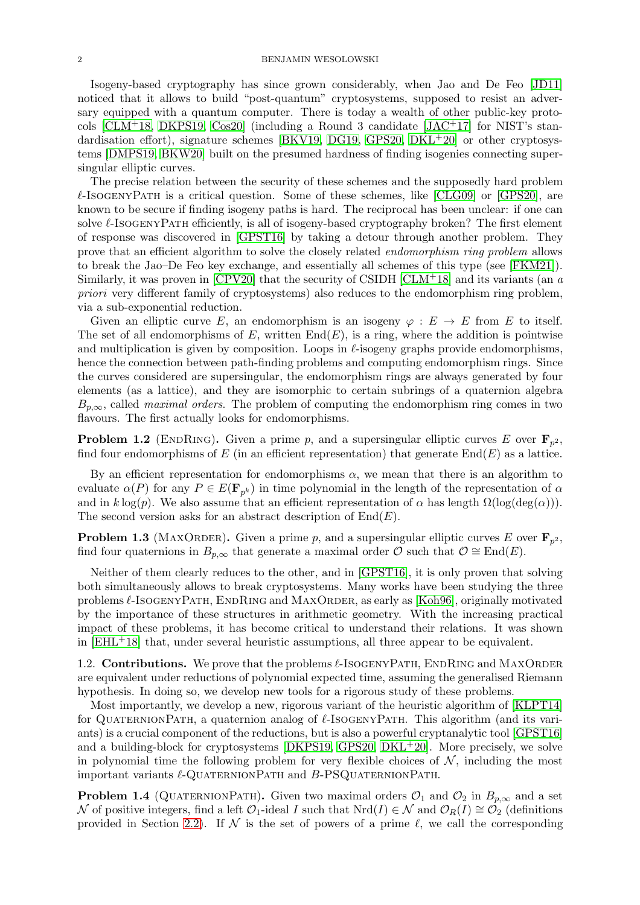#### 2 BENJAMIN WESOLOWSKI

Isogeny-based cryptography has since grown considerably, when Jao and De Feo [\[JD11\]](#page-29-8) noticed that it allows to build "post-quantum" cryptosystems, supposed to resist an adversary equipped with a quantum computer. There is today a wealth of other public-key protocols  $[CLM<sup>+</sup>18, DKPS19, Cos20]$  $[CLM<sup>+</sup>18, DKPS19, Cos20]$  $[CLM<sup>+</sup>18, DKPS19, Cos20]$  (including a Round 3 candidate  $[JAC<sup>+</sup>17]$  for NIST's stan-dardisation effort), signature schemes [\[BKV19,](#page-28-4) [DG19,](#page-29-11) [GPS20,](#page-29-7) [DKL](#page-29-12)+20] or other cryptosystems [\[DMPS19,](#page-29-13) [BKW20\]](#page-28-5) built on the presumed hardness of finding isogenies connecting supersingular elliptic curves.

The precise relation between the security of these schemes and the supposedly hard problem  $\ell$ -IsogenyPath is a critical question. Some of these schemes, like [\[CLG09\]](#page-28-0) or [\[GPS20\]](#page-29-7), are known to be secure if finding isogeny paths is hard. The reciprocal has been unclear: if one can solve  $\ell$ -IsogenyPath efficiently, is all of isogeny-based cryptography broken? The first element of response was discovered in [\[GPST16\]](#page-29-0) by taking a detour through another problem. They prove that an efficient algorithm to solve the closely related endomorphism ring problem allows to break the Jao–De Feo key exchange, and essentially all schemes of this type (see [\[FKM21\]](#page-29-14)). Similarly, it was proven in  $[CPV20]$  that the security of CSIDH  $[CLM+18]$  and its variants (an a priori very different family of cryptosystems) also reduces to the endomorphism ring problem, via a sub-exponential reduction.

Given an elliptic curve E, an endomorphism is an isogeny  $\varphi : E \to E$  from E to itself. The set of all endomorphisms of E, written  $End(E)$ , is a ring, where the addition is pointwise and multiplication is given by composition. Loops in  $\ell$ -isogeny graphs provide endomorphisms, hence the connection between path-finding problems and computing endomorphism rings. Since the curves considered are supersingular, the endomorphism rings are always generated by four elements (as a lattice), and they are isomorphic to certain subrings of a quaternion algebra  $B_{p,\infty}$ , called *maximal orders*. The problem of computing the endomorphism ring comes in two flavours. The first actually looks for endomorphisms.

**Problem 1.2** (ENDRING). Given a prime p, and a supersingular elliptic curves E over  $\mathbf{F}_{p^2}$ , find four endomorphisms of E (in an efficient representation) that generate  $End(E)$  as a lattice.

By an efficient representation for endomorphisms  $\alpha$ , we mean that there is an algorithm to evaluate  $\alpha(P)$  for any  $P \in E(\mathbf{F}_{p^k})$  in time polynomial in the length of the representation of  $\alpha$ and in k log(p). We also assume that an efficient representation of  $\alpha$  has length  $\Omega(\log(\deg(\alpha)))$ . The second version asks for an abstract description of  $End(E)$ .

**Problem 1.3** (MAXORDER). Given a prime p, and a supersingular elliptic curves E over  $\mathbf{F}_{p^2}$ , find four quaternions in  $B_{p,\infty}$  that generate a maximal order  $\mathcal O$  such that  $\mathcal O \cong \text{End}(E)$ .

Neither of them clearly reduces to the other, and in [\[GPST16\]](#page-29-0), it is only proven that solving both simultaneously allows to break cryptosystems. Many works have been studying the three problems  $\ell$ -ISOGENYPATH, ENDRING and MAXORDER, as early as [\[Koh96\]](#page-29-5), originally motivated by the importance of these structures in arithmetic geometry. With the increasing practical impact of these problems, it has become critical to understand their relations. It was shown in  $[EHL<sup>+</sup>18]$  that, under several heuristic assumptions, all three appear to be equivalent.

1.2. Contributions. We prove that the problems  $\ell$ -ISOGENYPATH, ENDRING and MAXORDER are equivalent under reductions of polynomial expected time, assuming the generalised Riemann hypothesis. In doing so, we develop new tools for a rigorous study of these problems.

Most importantly, we develop a new, rigorous variant of the heuristic algorithm of [\[KLPT14\]](#page-29-6) for QUATERNIONPATH, a quaternion analog of  $\ell$ -ISOGENYPATH. This algorithm (and its variants) is a crucial component of the reductions, but is also a powerful cryptanalytic tool [\[GPST16\]](#page-29-0) and a building-block for cryptosystems [\[DKPS19,](#page-29-9) [GPS20,](#page-29-7)  $DKL+20$ ]. More precisely, we solve in polynomial time the following problem for very flexible choices of  $N$ , including the most important variants  $\ell$ -QUATERNIONPATH and  $B$ -PSQUATERNIONPATH.

**Problem 1.4** (QUATERNIONPATH). Given two maximal orders  $\mathcal{O}_1$  and  $\mathcal{O}_2$  in  $B_{p,\infty}$  and a set N of positive integers, find a left  $\mathcal{O}_1$ -ideal I such that Nrd(I) ∈ N and  $\mathcal{O}_R(I) \cong \mathcal{O}_2$  (definitions provided in Section [2.2\)](#page-3-0). If  $\mathcal N$  is the set of powers of a prime  $\ell$ , we call the corresponding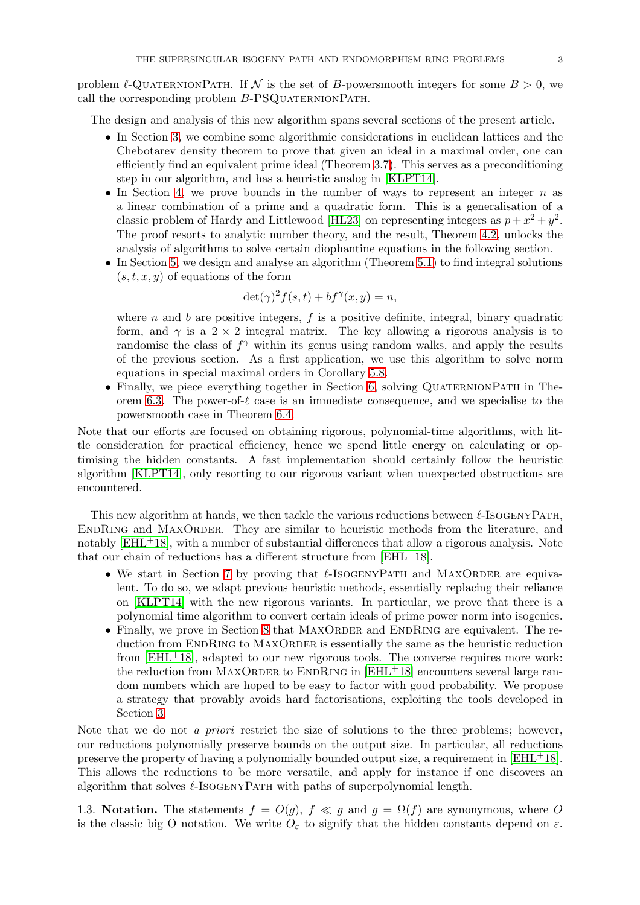problem  $\ell$ -QUATERNIONPATH. If N is the set of B-powersmooth integers for some  $B > 0$ , we call the corresponding problem  $B-PSQUATERNIONPATH$ .

The design and analysis of this new algorithm spans several sections of the present article.

- In Section [3,](#page-6-0) we combine some algorithmic considerations in euclidean lattices and the Chebotarev density theorem to prove that given an ideal in a maximal order, one can efficiently find an equivalent prime ideal (Theorem [3.7\)](#page-9-0). This serves as a preconditioning step in our algorithm, and has a heuristic analog in [\[KLPT14\]](#page-29-6).
- In Section [4,](#page-9-1) we prove bounds in the number of ways to represent an integer  $n$  as a linear combination of a prime and a quadratic form. This is a generalisation of a classic problem of Hardy and Littlewood [\[HL23\]](#page-29-15) on representing integers as  $p + x^2 + y^2$ . The proof resorts to analytic number theory, and the result, Theorem [4.2,](#page-10-0) unlocks the analysis of algorithms to solve certain diophantine equations in the following section.
- In Section [5,](#page-17-0) we design and analyse an algorithm (Theorem [5.1\)](#page-17-1) to find integral solutions  $(s, t, x, y)$  of equations of the form

$$
\det(\gamma)^2 f(s,t) + b f^\gamma(x,y) = n,
$$

where n and b are positive integers,  $f$  is a positive definite, integral, binary quadratic form, and  $\gamma$  is a 2 × 2 integral matrix. The key allowing a rigorous analysis is to randomise the class of  $f^{\gamma}$  within its genus using random walks, and apply the results of the previous section. As a first application, we use this algorithm to solve norm equations in special maximal orders in Corollary [5.8.](#page-21-0)

• Finally, we piece everything together in Section [6,](#page-21-1) solving QUATERNIONPATH in The-orem [6.3.](#page-22-0) The power-of- $\ell$  case is an immediate consequence, and we specialise to the powersmooth case in Theorem [6.4.](#page-23-0)

Note that our efforts are focused on obtaining rigorous, polynomial-time algorithms, with little consideration for practical efficiency, hence we spend little energy on calculating or optimising the hidden constants. A fast implementation should certainly follow the heuristic algorithm [\[KLPT14\]](#page-29-6), only resorting to our rigorous variant when unexpected obstructions are encountered.

This new algorithm at hands, we then tackle the various reductions between  $\ell$ -ISOGENYPATH, ENDRING and MAXORDER. They are similar to heuristic methods from the literature, and notably  $[EHL+18]$ , with a number of substantial differences that allow a rigorous analysis. Note that our chain of reductions has a different structure from  $[EHL<sup>+</sup>18]$ .

- We start in Section [7](#page-24-0) by proving that  $\ell$ -ISOGENYPATH and MAXORDER are equivalent. To do so, we adapt previous heuristic methods, essentially replacing their reliance on [\[KLPT14\]](#page-29-6) with the new rigorous variants. In particular, we prove that there is a polynomial time algorithm to convert certain ideals of prime power norm into isogenies.
- Finally, we prove in Section [8](#page-25-0) that  $MAXORDER$  and ENDRING are equivalent. The reduction from ENDRING to MAXORDER is essentially the same as the heuristic reduction from  $[EHL+18]$ , adapted to our new rigorous tools. The converse requires more work: the reduction from MAXORDER to ENDRING in  $[EHL^+18]$  encounters several large random numbers which are hoped to be easy to factor with good probability. We propose a strategy that provably avoids hard factorisations, exploiting the tools developed in Section [3.](#page-6-0)

Note that we do not a priori restrict the size of solutions to the three problems; however, our reductions polynomially preserve bounds on the output size. In particular, all reductions preserve the property of having a polynomially bounded output size, a requirement in [\[EHL](#page-29-3)+18]. This allows the reductions to be more versatile, and apply for instance if one discovers an algorithm that solves  $\ell$ -IsogenyPath with paths of superpolynomial length.

1.3. Notation. The statements  $f = O(g)$ ,  $f \ll g$  and  $g = \Omega(f)$  are synonymous, where O is the classic big O notation. We write  $O_{\varepsilon}$  to signify that the hidden constants depend on  $\varepsilon$ .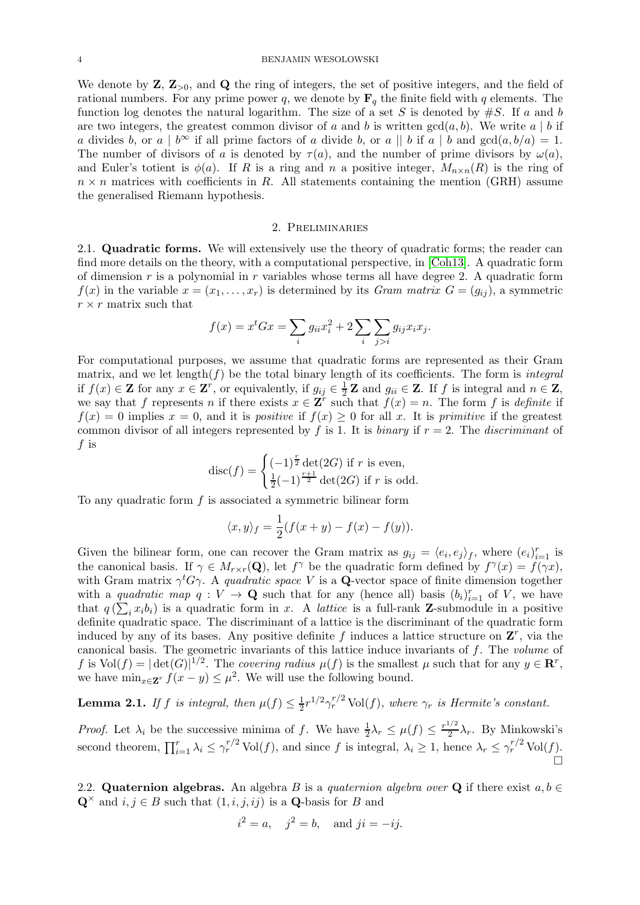#### 4 BENJAMIN WESOLOWSKI

We denote by  $\mathbf{Z}, \mathbf{Z}_{>0}$ , and  $\mathbf{Q}$  the ring of integers, the set of positive integers, and the field of rational numbers. For any prime power q, we denote by  $\mathbf{F}_q$  the finite field with q elements. The function log denotes the natural logarithm. The size of a set S is denoted by  $#S$ . If a and b are two integers, the greatest common divisor of a and b is written  $gcd(a, b)$ . We write  $a | b$  if a divides b, or a |  $b^{\infty}$  if all prime factors of a divide b, or a || b if a | b and  $gcd(a, b/a) = 1$ . The number of divisors of a is denoted by  $\tau(a)$ , and the number of prime divisors by  $\omega(a)$ , and Euler's totient is  $\phi(a)$ . If R is a ring and n a positive integer,  $M_{n\times n}(R)$  is the ring of  $n \times n$  matrices with coefficients in R. All statements containing the mention (GRH) assume the generalised Riemann hypothesis.

#### 2. Preliminaries

2.1. Quadratic forms. We will extensively use the theory of quadratic forms; the reader can find more details on the theory, with a computational perspective, in [\[Coh13\]](#page-28-6). A quadratic form of dimension r is a polynomial in r variables whose terms all have degree 2. A quadratic form  $f(x)$  in the variable  $x = (x_1, \ldots, x_r)$  is determined by its Gram matrix  $G = (g_{ij})$ , a symmetric  $r \times r$  matrix such that

$$
f(x) = x^{t}Gx = \sum_{i} g_{ii}x_{i}^{2} + 2\sum_{i} \sum_{j>i} g_{ij}x_{i}x_{j}.
$$

For computational purposes, we assume that quadratic forms are represented as their Gram matrix, and we let length( $f$ ) be the total binary length of its coefficients. The form is *integral* if  $f(x) \in \mathbf{Z}$  for any  $x \in \mathbf{Z}^r$ , or equivalently, if  $g_{ij} \in \frac{1}{2}\mathbf{Z}$  and  $g_{ii} \in \mathbf{Z}$ . If f is integral and  $n \in \mathbf{Z}$ , we say that f represents n if there exists  $x \in \mathbf{Z}^r$  such that  $f(x) = n$ . The form f is definite if  $f(x) = 0$  implies  $x = 0$ , and it is *positive* if  $f(x) \ge 0$  for all x. It is *primitive* if the greatest common divisor of all integers represented by f is 1. It is binary if  $r = 2$ . The discriminant of f is

$$
\operatorname{disc}(f) = \begin{cases} (-1)^{\frac{r}{2}} \det(2G) \text{ if } r \text{ is even,} \\ \frac{1}{2}(-1)^{\frac{r+1}{2}} \det(2G) \text{ if } r \text{ is odd.} \end{cases}
$$

To any quadratic form  $f$  is associated a symmetric bilinear form

$$
\langle x, y \rangle_f = \frac{1}{2}(f(x+y) - f(x) - f(y)).
$$

Given the bilinear form, one can recover the Gram matrix as  $g_{ij} = \langle e_i, e_j \rangle_f$ , where  $(e_i)_{i=1}^r$  is the canonical basis. If  $\gamma \in M_{r \times r}(\mathbf{Q})$ , let  $f^{\gamma}$  be the quadratic form defined by  $f^{\gamma}(x) = f(\gamma x)$ , with Gram matrix  $\gamma^t G \gamma$ . A quadratic space V is a Q-vector space of finite dimension together with a quadratic map  $q: V \to \mathbf{Q}$  such that for any (hence all) basis  $(b_i)_{i=1}^r$  of V, we have that  $q\left(\sum_{i} x_i b_i\right)$  is a quadratic form in x. A *lattice* is a full-rank **Z**-submodule in a positive definite quadratic space. The discriminant of a lattice is the discriminant of the quadratic form induced by any of its bases. Any positive definite f induces a lattice structure on  $\mathbf{Z}^r$ , via the canonical basis. The geometric invariants of this lattice induce invariants of  $f$ . The volume of f is  $Vol(f) = |\det(G)|^{1/2}$ . The covering radius  $\mu(f)$  is the smallest  $\mu$  such that for any  $y \in \mathbb{R}^r$ , we have  $\min_{x \in \mathbf{Z}^r} f(x - y) \leq \mu^2$ . We will use the following bound.

<span id="page-3-1"></span>**Lemma 2.1.** If f is integral, then  $\mu(f) \leq \frac{1}{2} r^{1/2} \gamma_r^{r/2}$  Vol $(f)$ , where  $\gamma_r$  is Hermite's constant.

*Proof.* Let  $\lambda_i$  be the successive minima of f. We have  $\frac{1}{2}\lambda_r \leq \mu(f) \leq \frac{r^{1/2}}{2}$  $\frac{1}{2} \lambda_r$ . By Minkowski's second theorem,  $\prod_{i=1}^r \lambda_i \leq \gamma_r^{r/2} \text{Vol}(f)$ , and since f is integral,  $\lambda_i \geq 1$ , hence  $\lambda_r \leq \gamma_r^{r/2} \text{Vol}(f)$ . Ó

<span id="page-3-0"></span>2.2. Quaternion algebras. An algebra B is a quaternion algebra over Q if there exist  $a, b \in$  $\mathbf{Q}^{\times}$  and  $i, j \in B$  such that  $(1, i, j, ij)$  is a  $\mathbf{Q}$ -basis for B and

$$
i^2 = a
$$
,  $j^2 = b$ , and  $ji = -ij$ .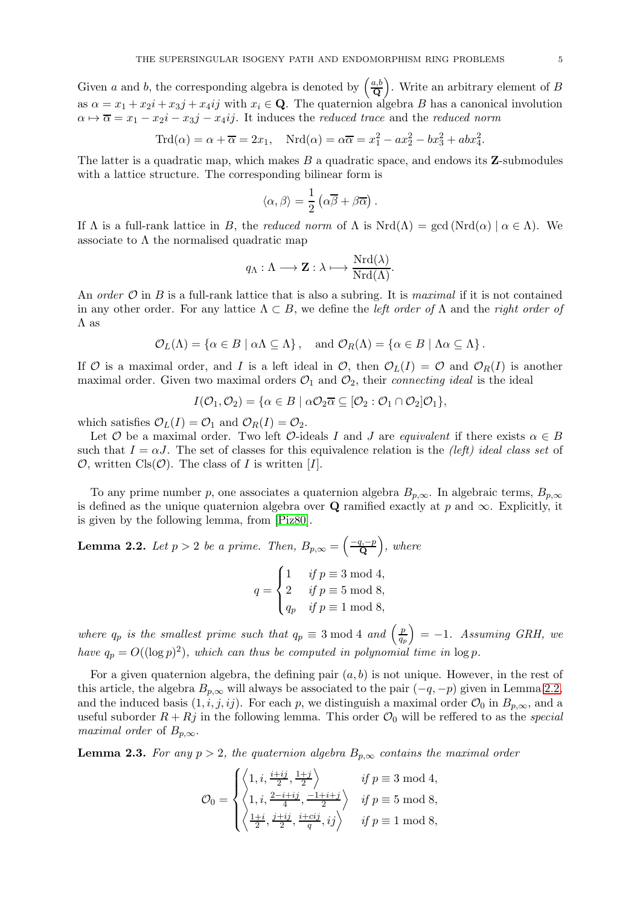Given a and b, the corresponding algebra is denoted by  $\left(\frac{a,b}{\Omega}\right)$  $\left(\frac{a,b}{\mathbf{Q}}\right)$ . Write an arbitrary element of B as  $\alpha = x_1 + x_2i + x_3j + x_4ij$  with  $x_i \in \mathbf{Q}$ . The quaternion algebra B has a canonical involution  $\alpha \mapsto \overline{\alpha} = x_1 - x_2i - x_3j - x_4ij$ . It induces the reduced trace and the reduced norm

$$
\operatorname{Trd}(\alpha) = \alpha + \overline{\alpha} = 2x_1, \quad \operatorname{Nrd}(\alpha) = \alpha \overline{\alpha} = x_1^2 - ax_2^2 - bx_3^2 + abx_4^2.
$$

The latter is a quadratic map, which makes  $B$  a quadratic space, and endows its  $\mathbf{Z}$ -submodules with a lattice structure. The corresponding bilinear form is

$$
\langle \alpha, \beta \rangle = \frac{1}{2} \left( \alpha \overline{\beta} + \beta \overline{\alpha} \right).
$$

If  $\Lambda$  is a full-rank lattice in B, the reduced norm of  $\Lambda$  is  $Nrd(\Lambda) = \gcd(Nrd(\alpha) \mid \alpha \in \Lambda)$ . We associate to  $\Lambda$  the normalised quadratic map

$$
q_{\Lambda} : \Lambda \longrightarrow \mathbf{Z} : \lambda \longmapsto \frac{\mathrm{Nrd}(\lambda)}{\mathrm{Nrd}(\Lambda)}.
$$

An order  $\mathcal O$  in B is a full-rank lattice that is also a subring. It is maximal if it is not contained in any other order. For any lattice  $\Lambda \subset B$ , we define the *left order of*  $\Lambda$  and the *right order of* Λ as

$$
\mathcal{O}_L(\Lambda) = \{ \alpha \in B \mid \alpha \Lambda \subseteq \Lambda \}, \quad \text{and } \mathcal{O}_R(\Lambda) = \{ \alpha \in B \mid \Lambda \alpha \subseteq \Lambda \}.
$$

If O is a maximal order, and I is a left ideal in O, then  $\mathcal{O}_L(I) = \mathcal{O}$  and  $\mathcal{O}_R(I)$  is another maximal order. Given two maximal orders  $\mathcal{O}_1$  and  $\mathcal{O}_2$ , their *connecting ideal* is the ideal

$$
I(\mathcal{O}_1, \mathcal{O}_2) = \{ \alpha \in B \mid \alpha \mathcal{O}_2 \overline{\alpha} \subseteq [\mathcal{O}_2 : \mathcal{O}_1 \cap \mathcal{O}_2] \mathcal{O}_1 \},\
$$

which satisfies  $\mathcal{O}_L(I) = \mathcal{O}_1$  and  $\mathcal{O}_R(I) = \mathcal{O}_2$ .

Let O be a maximal order. Two left O-ideals I and J are equivalent if there exists  $\alpha \in B$ such that  $I = \alpha J$ . The set of classes for this equivalence relation is the *(left) ideal class set* of  $\mathcal{O}$ , written Cls $(\mathcal{O})$ . The class of I is written [I].

To any prime number p, one associates a quaternion algebra  $B_{p,\infty}$ . In algebraic terms,  $B_{p,\infty}$ is defined as the unique quaternion algebra over Q ramified exactly at p and  $\infty$ . Explicitly, it is given by the following lemma, from [\[Piz80\]](#page-30-3).

<span id="page-4-0"></span>**Lemma 2.2.** Let  $p > 2$  be a prime. Then,  $B_{p,\infty} = \left(\frac{-q,-p}{Q}\right)$  $\left(\frac{q,-p}{\mathbf{Q}}\right)$ , where

$$
q = \begin{cases} 1 & \text{if } p \equiv 3 \bmod 4, \\ 2 & \text{if } p \equiv 5 \bmod 8, \\ q_p & \text{if } p \equiv 1 \bmod 8, \end{cases}
$$

where  $q_p$  is the smallest prime such that  $q_p \equiv 3 \mod 4$  and  $\left(\frac{p}{q_p}\right)$  $\left(\frac{p}{q_p}\right)$  = -1. Assuming GRH, we have  $q_p = O((\log p)^2)$ , which can thus be computed in polynomial time in  $\log p$ .

For a given quaternion algebra, the defining pair  $(a, b)$  is not unique. However, in the rest of this article, the algebra  $B_{p,\infty}$  will always be associated to the pair  $(-q, -p)$  given in Lemma [2.2,](#page-4-0) and the induced basis  $(1, i, j, ij)$ . For each p, we distinguish a maximal order  $\mathcal{O}_0$  in  $B_{p,\infty}$ , and a useful suborder  $R + Rj$  in the following lemma. This order  $\mathcal{O}_0$  will be reffered to as the special maximal order of  $B_{p,\infty}$ .

<span id="page-4-1"></span>**Lemma 2.3.** For any  $p > 2$ , the quaternion algebra  $B_{p,\infty}$  contains the maximal order

$$
\mathcal{O}_0 = \begin{cases} \left\langle 1, i, \frac{i+ij}{2}, \frac{1+j}{2} \right\rangle & \text{if } p \equiv 3 \mod 4, \\ \left\langle 1, i, \frac{2-i+ij}{4}, \frac{-1+i+j}{2} \right\rangle & \text{if } p \equiv 5 \mod 8, \\ \left\langle \frac{1+i}{2}, \frac{j+ij}{2}, \frac{i+cij}{q}, ij \right\rangle & \text{if } p \equiv 1 \mod 8, \end{cases}
$$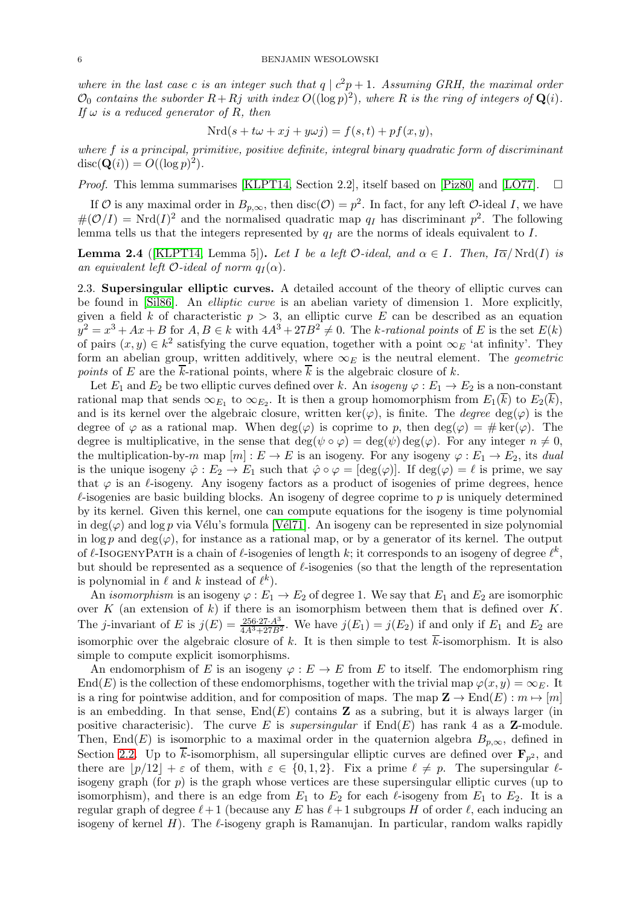where in the last case c is an integer such that  $q \mid c^2p + 1$ . Assuming GRH, the maximal order  $\mathcal{O}_0$  contains the suborder  $R+Rj$  with index  $O((\log p)^2)$ , where R is the ring of integers of  $\mathbf{Q}(i)$ . If  $\omega$  is a reduced generator of R, then

$$
Nrd(s + t\omega + xj + y\omega j) = f(s, t) + pf(x, y),
$$

where f is a principal, primitive, positive definite, integral binary quadratic form of discriminant  $\operatorname{disc}(\mathbf{Q}(i)) = O((\log p)^2).$ 

*Proof.* This lemma summarises [\[KLPT14,](#page-29-6) Section 2.2], itself based on [\[Piz80\]](#page-30-3) and [\[LO77\]](#page-30-4).  $\square$ 

If  $\mathcal O$  is any maximal order in  $B_{p,\infty}$ , then  $\text{disc}(\mathcal O) = p^2$ . In fact, for any left  $\mathcal O$ -ideal I, we have  $\#(\mathcal{O}/I) = \text{Nrd}(I)^2$  and the normalised quadratic map  $q_I$  has discriminant  $p^2$ . The following lemma tells us that the integers represented by  $q_I$  are the norms of ideals equivalent to I.

**Lemma 2.4** ([\[KLPT14,](#page-29-6) Lemma 5]). Let I be a left  $\mathcal{O}\text{-ideal}$ , and  $\alpha \in I$ . Then,  $I\overline{\alpha}/Nrd(I)$  is an equivalent left  $O$ -ideal of norm  $q_I(\alpha)$ .

2.3. Supersingular elliptic curves. A detailed account of the theory of elliptic curves can be found in [\[Sil86\]](#page-30-5). An elliptic curve is an abelian variety of dimension 1. More explicitly, given a field k of characteristic  $p > 3$ , an elliptic curve E can be described as an equation  $y^2 = x^3 + Ax + B$  for  $A, B \in k$  with  $4A^3 + 27B^2 \neq 0$ . The k-rational points of E is the set  $E(k)$ of pairs  $(x, y) \in k^2$  satisfying the curve equation, together with a point  $\infty_E$  'at infinity'. They form an abelian group, written additively, where  $\infty_E$  is the neutral element. The *geometric* points of E are the  $\overline{k}$ -rational points, where  $\overline{k}$  is the algebraic closure of k.

Let  $E_1$  and  $E_2$  be two elliptic curves defined over k. An isogeny  $\varphi : E_1 \to E_2$  is a non-constant rational map that sends  $\infty_{E_1}$  to  $\infty_{E_2}$ . It is then a group homomorphism from  $E_1(k)$  to  $E_2(k)$ , and is its kernel over the algebraic closure, written ker( $\varphi$ ), is finite. The *degree* deg( $\varphi$ ) is the degree of  $\varphi$  as a rational map. When deg( $\varphi$ ) is coprime to p, then deg( $\varphi$ ) = #ker( $\varphi$ ). The degree is multiplicative, in the sense that  $\deg(\psi \circ \varphi) = \deg(\psi) \deg(\varphi)$ . For any integer  $n \neq 0$ , the multiplication-by-m map  $[m]: E \to E$  is an isogeny. For any isogeny  $\varphi : E_1 \to E_2$ , its dual is the unique isogeny  $\hat{\varphi}: E_2 \to E_1$  such that  $\hat{\varphi} \circ \varphi = [\deg(\varphi)]$ . If  $\deg(\varphi) = \ell$  is prime, we say that  $\varphi$  is an  $\ell$ -isogeny. Any isogeny factors as a product of isogenies of prime degrees, hence  $\ell$ -isogenies are basic building blocks. An isogeny of degree coprime to p is uniquely determined by its kernel. Given this kernel, one can compute equations for the isogeny is time polynomial in deg( $\varphi$ ) and log p via Vélu's formula [Vél71]. An isogeny can be represented in size polynomial in  $\log p$  and  $\deg(\varphi)$ , for instance as a rational map, or by a generator of its kernel. The output of  $\ell$ -IsogenyPath is a chain of  $\ell$ -isogenies of length k; it corresponds to an isogeny of degree  $\ell^k$ , but should be represented as a sequence of  $\ell$ -isogenies (so that the length of the representation is polynomial in  $\ell$  and  $k$  instead of  $\ell^k$ .

An *isomorphism* is an isogeny  $\varphi : E_1 \to E_2$  of degree 1. We say that  $E_1$  and  $E_2$  are isomorphic over K (an extension of k) if there is an isomorphism between them that is defined over K. The *j*-invariant of E is  $j(E) = \frac{256 \cdot 27 \cdot A^3}{4A^3 + 27B^2}$ . We have  $j(E_1) = j(E_2)$  if and only if  $E_1$  and  $E_2$  are isomorphic over the algebraic closure of k. It is then simple to test  $\overline{k}$ -isomorphism. It is also simple to compute explicit isomorphisms.

An endomorphism of E is an isogeny  $\varphi : E \to E$  from E to itself. The endomorphism ring End(E) is the collection of these endomorphisms, together with the trivial map  $\varphi(x, y) = \infty_E$ . It is a ring for pointwise addition, and for composition of maps. The map  $\mathbf{Z} \to \text{End}(E) : m \mapsto [m]$ is an embedding. In that sense,  $End(E)$  contains **Z** as a subring, but it is always larger (in positive characterisic). The curve E is supersingular if  $\text{End}(E)$  has rank 4 as a **Z**-module. Then, End(E) is isomorphic to a maximal order in the quaternion algebra  $B_{p,\infty}$ , defined in Section [2.2.](#page-3-0) Up to k-isomorphism, all supersingular elliptic curves are defined over  $\mathbf{F}_{p^2}$ , and there are  $|p/12| + \varepsilon$  of them, with  $\varepsilon \in \{0, 1, 2\}$ . Fix a prime  $\ell \neq p$ . The supersingular  $\ell$ isogeny graph (for  $p$ ) is the graph whose vertices are these supersingular elliptic curves (up to isomorphism), and there is an edge from  $E_1$  to  $E_2$  for each  $\ell$ -isogeny from  $E_1$  to  $E_2$ . It is a regular graph of degree  $\ell+1$  (because any E has  $\ell+1$  subgroups H of order  $\ell$ , each inducing an isogeny of kernel H). The  $\ell$ -isogeny graph is Ramanujan. In particular, random walks rapidly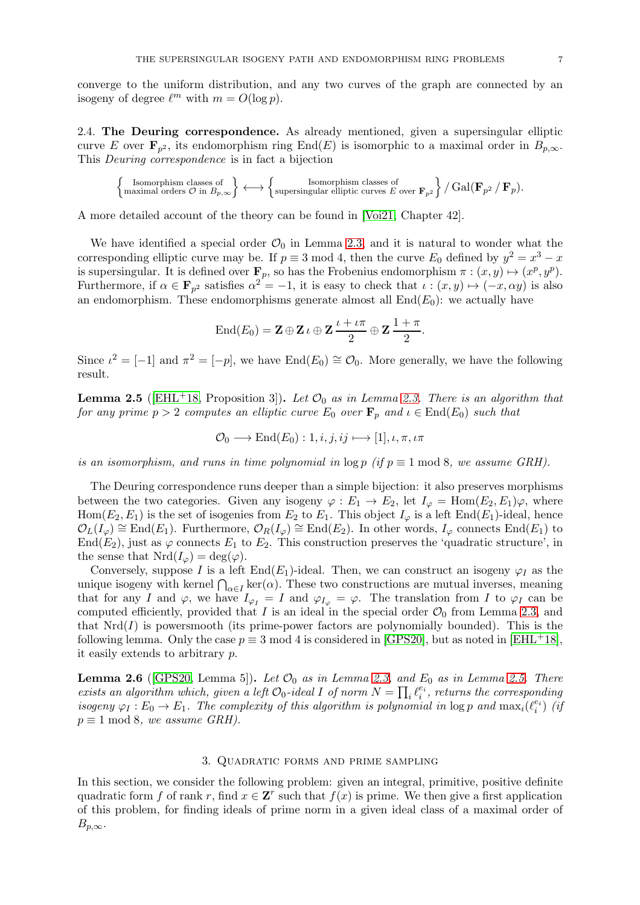converge to the uniform distribution, and any two curves of the graph are connected by an isogeny of degree  $\ell^m$  with  $m = O(\log p)$ .

2.4. The Deuring correspondence. As already mentioned, given a supersingular elliptic curve E over  $\mathbf{F}_{p^2}$ , its endomorphism ring End(E) is isomorphic to a maximal order in  $B_{p,\infty}$ . This Deuring correspondence is in fact a bijection

$$
\left\{\text{Isomorphism classes of } \atop \text{maximal orders $\mathcal{O}$ in $B_{p,\infty}$}\right\} \longleftrightarrow \left\{\text{supersingular elliptic curves $E$ over $\mathbf{F}_{p^2}$}\right\}/\operatorname{Gal}(\mathbf{F}_{p^2}/\mathbf{F}_p).
$$

A more detailed account of the theory can be found in [\[Voi21,](#page-30-7) Chapter 42].

We have identified a special order  $\mathcal{O}_0$  in Lemma [2.3,](#page-4-1) and it is natural to wonder what the corresponding elliptic curve may be. If  $p \equiv 3 \mod 4$ , then the curve  $E_0$  defined by  $y^2 = x^3 - x$ is supersingular. It is defined over  $\mathbf{F}_p$ , so has the Frobenius endomorphism  $\pi : (x, y) \mapsto (x^p, y^p)$ . Furthermore, if  $\alpha \in \mathbf{F}_{p^2}$  satisfies  $\alpha^2 = -1$ , it is easy to check that  $\iota : (x, y) \mapsto (-x, \alpha y)$  is also an endomorphism. These endomorphisms generate almost all  $End(E_0)$ : we actually have

$$
End(E_0) = \mathbf{Z} \oplus \mathbf{Z} \iota \oplus \mathbf{Z} \frac{\iota + \iota \pi}{2} \oplus \mathbf{Z} \frac{1 + \pi}{2}.
$$

<span id="page-6-1"></span>Since  $\iota^2 = [-1]$  and  $\pi^2 = [-p]$ , we have  $\text{End}(E_0) \cong \mathcal{O}_0$ . More generally, we have the following result.

**Lemma 2.5** ([\[EHL](#page-29-3)<sup>+</sup>18, Proposition 3]). Let  $\mathcal{O}_0$  as in Lemma [2.3.](#page-4-1) There is an algorithm that for any prime  $p > 2$  computes an elliptic curve  $E_0$  over  $\mathbf{F}_p$  and  $\iota \in \text{End}(E_0)$  such that

$$
\mathcal{O}_0 \longrightarrow \text{End}(E_0): 1, i, j, ij \longmapsto [1], \iota, \pi, \iota\pi
$$

is an isomorphism, and runs in time polynomial in  $\log p$  (if  $p \equiv 1 \mod 8$ , we assume GRH).

The Deuring correspondence runs deeper than a simple bijection: it also preserves morphisms between the two categories. Given any isogeny  $\varphi : E_1 \to E_2$ , let  $I_{\varphi} = \text{Hom}(E_2, E_1)\varphi$ , where  $\text{Hom}(E_2, E_1)$  is the set of isogenies from  $E_2$  to  $E_1$ . This object  $I_{\varphi}$  is a left End( $E_1$ )-ideal, hence  $\mathcal{O}_L(I_{\varphi}) \cong \text{End}(E_1)$ . Furthermore,  $\mathcal{O}_R(I_{\varphi}) \cong \text{End}(E_2)$ . In other words,  $I_{\varphi}$  connects End( $E_1$ ) to End(E<sub>2</sub>), just as  $\varphi$  connects E<sub>1</sub> to E<sub>2</sub>. This construction preserves the 'quadratic structure', in the sense that  $Nrd(I_{\varphi}) = deg(\varphi)$ .

Conversely, suppose I is a left End(E<sub>1</sub>)-ideal. Then, we can construct an isogeny  $\varphi_I$  as the unique isogeny with kernel  $\bigcap_{\alpha \in I} \ker(\alpha)$ . These two constructions are mutual inverses, meaning that for any I and  $\varphi$ , we have  $I_{\varphi_I} = I$  and  $\varphi_{I_{\varphi}} = \varphi$ . The translation from I to  $\varphi_I$  can be computed efficiently, provided that I is an ideal in the special order  $\mathcal{O}_0$  from Lemma [2.3,](#page-4-1) and that  $Nrd(I)$  is powersmooth (its prime-power factors are polynomially bounded). This is the following lemma. Only the case  $p \equiv 3 \mod 4$  is considered in [\[GPS20\]](#page-29-7), but as noted in [\[EHL](#page-29-3)+18], it easily extends to arbitrary p.

<span id="page-6-2"></span>**Lemma 2.6** ([\[GPS20,](#page-29-7) Lemma 5]). Let  $\mathcal{O}_0$  as in Lemma [2.3,](#page-4-1) and  $E_0$  as in Lemma [2.5.](#page-6-1) There exists an algorithm which, given a left  $\mathcal{O}_0$ -ideal I of norm  $N = \prod_i \ell_i^{e_i}$ , returns the corresponding isogeny  $\varphi_I : E_0 \to E_1$ . The complexity of this algorithm is polynomial in  $\log p$  and  $\max_i(\ell_i^{e_i})$  (if  $p \equiv 1 \mod 8$ , we assume GRH).

## 3. Quadratic forms and prime sampling

<span id="page-6-0"></span>In this section, we consider the following problem: given an integral, primitive, positive definite quadratic form f of rank r, find  $x \in \mathbb{Z}^r$  such that  $f(x)$  is prime. We then give a first application of this problem, for finding ideals of prime norm in a given ideal class of a maximal order of  $B_{p,\infty}$ .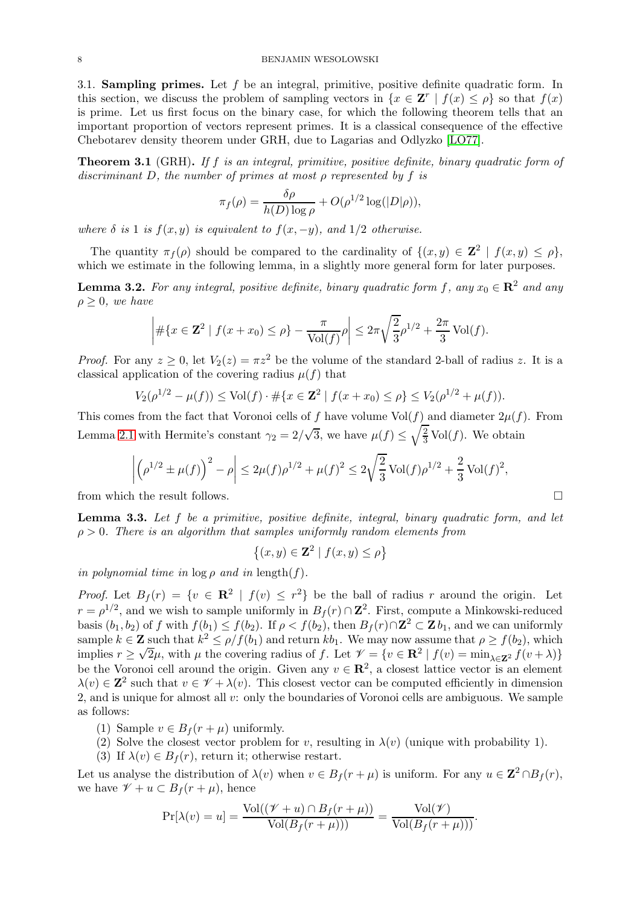3.1. **Sampling primes.** Let f be an integral, primitive, positive definite quadratic form. In this section, we discuss the problem of sampling vectors in  $\{x \in \mathbf{Z}^r \mid f(x) \leq \rho\}$  so that  $f(x)$ is prime. Let us first focus on the binary case, for which the following theorem tells that an important proportion of vectors represent primes. It is a classical consequence of the effective Chebotarev density theorem under GRH, due to Lagarias and Odlyzko [\[LO77\]](#page-30-4).

<span id="page-7-2"></span>**Theorem 3.1** (GRH). If f is an integral, primitive, positive definite, binary quadratic form of discriminant D, the number of primes at most  $\rho$  represented by f is

$$
\pi_f(\rho) = \frac{\delta \rho}{h(D) \log \rho} + O(\rho^{1/2} \log(|D|\rho)),
$$

where  $\delta$  is 1 is  $f(x, y)$  is equivalent to  $f(x, -y)$ , and  $1/2$  otherwise.

<span id="page-7-1"></span>The quantity  $\pi_f(\rho)$  should be compared to the cardinality of  $\{(x,y) \in \mathbb{Z}^2 \mid f(x,y) \leq \rho\}$ , which we estimate in the following lemma, in a slightly more general form for later purposes.

**Lemma 3.2.** For any integral, positive definite, binary quadratic form f, any  $x_0 \in \mathbb{R}^2$  and any  $\rho \geq 0$ , we have

$$
\left| \# \{ x \in \mathbf{Z}^2 \mid f(x + x_0) \le \rho \} - \frac{\pi}{\text{Vol}(f)} \rho \right| \le 2\pi \sqrt{\frac{2}{3}} \rho^{1/2} + \frac{2\pi}{3} \text{Vol}(f).
$$

*Proof.* For any  $z \geq 0$ , let  $V_2(z) = \pi z^2$  be the volume of the standard 2-ball of radius z. It is a classical application of the covering radius  $\mu(f)$  that

$$
V_2(\rho^{1/2} - \mu(f)) \le \text{Vol}(f) \cdot \# \{ x \in \mathbf{Z}^2 \mid f(x + x_0) \le \rho \} \le V_2(\rho^{1/2} + \mu(f)).
$$

This comes from the fact that Voronoi cells of f have volume  $Vol(f)$  and diameter  $2\mu(f)$ . From Lemma [2.1](#page-3-1) with Hermite's constant  $\gamma_2 = 2/\sqrt{3}$ , we have  $\mu(f) \leq \sqrt{\frac{2}{3}} \text{Vol}(f)$ . We obtain

$$
\left| \left( \rho^{1/2} \pm \mu(f) \right)^2 - \rho \right| \leq 2\mu(f)\rho^{1/2} + \mu(f)^2 \leq 2\sqrt{\frac{2}{3}} \operatorname{Vol}(f)\rho^{1/2} + \frac{2}{3} \operatorname{Vol}(f)^2,
$$

<span id="page-7-0"></span>from which the result follows.

**Lemma 3.3.** Let  $f$  be a primitive, positive definite, integral, binary quadratic form, and let  $\rho > 0$ . There is an algorithm that samples uniformly random elements from

$$
\{(x,y)\in\mathbf{Z}^2\mid f(x,y)\leq\rho\}
$$

in polynomial time in  $\log \rho$  and in length(f).

*Proof.* Let  $B_f(r) = \{v \in \mathbb{R}^2 \mid f(v) \leq r^2\}$  be the ball of radius r around the origin. Let  $r = \rho^{1/2}$ , and we wish to sample uniformly in  $B_f(r) \cap \mathbb{Z}^2$ . First, compute a Minkowski-reduced basis  $(b_1, b_2)$  of f with  $f(b_1) \le f(b_2)$ . If  $\rho < f(b_2)$ , then  $B_f(r) \cap \mathbb{Z}^2 \subset \mathbb{Z} b_1$ , and we can uniformly sample  $k \in \mathbb{Z}$  such that  $k^2 \leq \rho/f(b_1)$  and return  $kb_1$ . We may now assume that  $\rho \geq f(b_2)$ , which implies  $r \ge \sqrt{2}\mu$ , with  $\mu$  the covering radius of f. Let  $\mathcal{V} = \{v \in \mathbb{R}^2 \mid f(v) = \min_{\lambda \in \mathbb{Z}^2} f(v + \lambda)\}\$ be the Voronoi cell around the origin. Given any  $v \in \mathbb{R}^2$ , a closest lattice vector is an element  $\lambda(v) \in \mathbb{Z}^2$  such that  $v \in \mathscr{V} + \lambda(v)$ . This closest vector can be computed efficiently in dimension 2, and is unique for almost all v: only the boundaries of Voronoi cells are ambiguous. We sample as follows:

- (1) Sample  $v \in B_f(r + \mu)$  uniformly.
- (2) Solve the closest vector problem for v, resulting in  $\lambda(v)$  (unique with probability 1).
- (3) If  $\lambda(v) \in B_f(r)$ , return it; otherwise restart.

Let us analyse the distribution of  $\lambda(v)$  when  $v \in B_f(r + \mu)$  is uniform. For any  $u \in \mathbb{Z}^2 \cap B_f(r)$ , we have  $\mathscr{V} + u \subset B_f(r + \mu)$ , hence

$$
\Pr[\lambda(v) = u] = \frac{\text{Vol}((\mathcal{V} + u) \cap B_f(r + \mu))}{\text{Vol}(B_f(r + \mu)))} = \frac{\text{Vol}(\mathcal{V})}{\text{Vol}(B_f(r + \mu)))}.
$$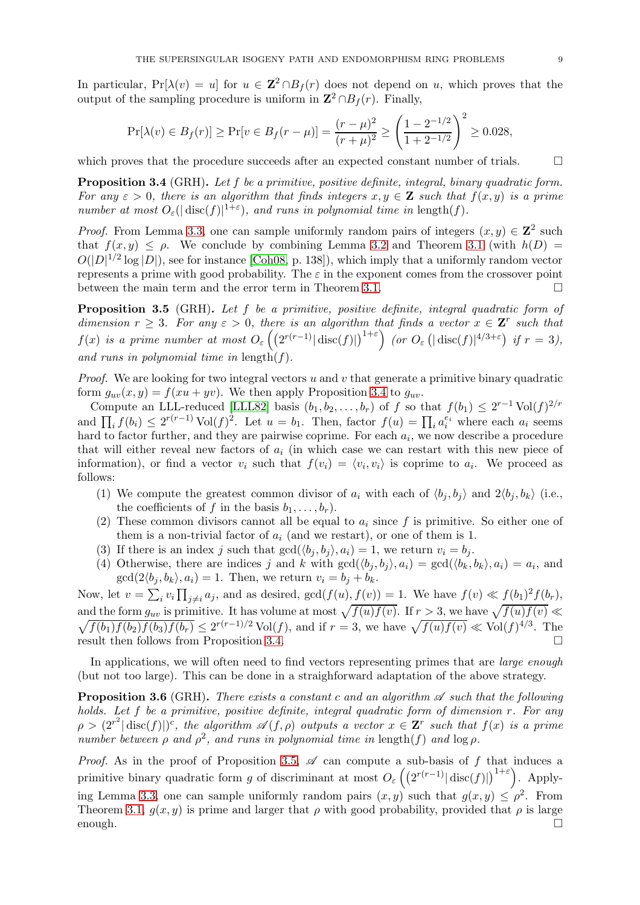In particular,  $Pr[\lambda(v) = u]$  for  $u \in \mathbb{Z}^2 \cap B_f(r)$  does not depend on u, which proves that the output of the sampling procedure is uniform in  $\mathbb{Z}^2 \cap B_f(r)$ . Finally,

$$
\Pr[\lambda(v) \in B_f(r)] \ge \Pr[v \in B_f(r - \mu)] = \frac{(r - \mu)^2}{(r + \mu)^2} \ge \left(\frac{1 - 2^{-1/2}}{1 + 2^{-1/2}}\right)^2 \ge 0.028,
$$

<span id="page-8-0"></span>which proves that the procedure succeeds after an expected constant number of trials.  $\Box$ 

Proposition 3.4 (GRH). Let f be a primitive, positive definite, integral, binary quadratic form. For any  $\varepsilon > 0$ , there is an algorithm that finds integers  $x, y \in \mathbf{Z}$  such that  $f(x, y)$  is a prime number at most  $O_{\varepsilon}(|\text{disc}(f)|^{1+\varepsilon})$ , and runs in polynomial time in length(f).

*Proof.* From Lemma [3.3,](#page-7-0) one can sample uniformly random pairs of integers  $(x, y) \in \mathbb{Z}^2$  such that  $f(x, y) \leq \rho$ . We conclude by combining Lemma [3.2](#page-7-1) and Theorem [3.1](#page-7-2) (with  $h(D)$  $O(|D|^{1/2} \log |D|)$ , see for instance [\[Coh08,](#page-28-7) p. 138]), which imply that a uniformly random vector represents a prime with good probability. The  $\varepsilon$  in the exponent comes from the crossover point between the main term and the error term in Theorem [3.1.](#page-7-2)

<span id="page-8-1"></span>Proposition 3.5 (GRH). Let f be a primitive, positive definite, integral quadratic form of dimension  $r \geq 3$ . For any  $\varepsilon > 0$ , there is an algorithm that finds a vector  $x \in \mathbf{Z}^r$  such that  $f(x)$  is a prime number at most  $O_{\varepsilon}\left(\left(2^{r(r-1)}|\operatorname{disc}(f)|\right)^{1+\varepsilon}\right)$  (or  $O_{\varepsilon}\left(|\operatorname{disc}(f)|^{4/3+\varepsilon}\right)$  if  $r=3$ ), and runs in polynomial time in length $(f)$ .

*Proof.* We are looking for two integral vectors u and v that generate a primitive binary quadratic form  $g_{uv}(x, y) = f(xu + yv)$ . We then apply Proposition [3.4](#page-8-0) to  $g_{uv}$ .

Compute an LLL-reduced [\[LLL82\]](#page-30-8) basis  $(b_1, b_2, \ldots, b_r)$  of f so that  $f(b_1) \leq 2^{r-1} \text{Vol}(f)^{2/r}$ and  $\prod_i f(b_i) \leq 2^{r(r-1)} \operatorname{Vol}(f)^2$ . Let  $u = b_1$ . Then, factor  $f(u) = \prod_i a_i^{e_i}$  where each  $a_i$  seems hard to factor further, and they are pairwise coprime. For each  $a_i$ , we now describe a procedure that will either reveal new factors of  $a_i$  (in which case we can restart with this new piece of information), or find a vector  $v_i$  such that  $f(v_i) = \langle v_i, v_i \rangle$  is coprime to  $a_i$ . We proceed as follows:

- (1) We compute the greatest common divisor of  $a_i$  with each of  $\langle b_j, b_j \rangle$  and  $2\langle b_j, b_k \rangle$  (i.e., the coefficients of f in the basis  $b_1, \ldots, b_r$ .
- (2) These common divisors cannot all be equal to  $a_i$  since f is primitive. So either one of them is a non-trivial factor of  $a_i$  (and we restart), or one of them is 1.
- (3) If there is an index j such that  $gcd(\langle b_i, b_j \rangle, a_i) = 1$ , we return  $v_i = b_j$ .
- (4) Otherwise, there are indices j and k with  $gcd(\langle b_j, b_j \rangle, a_i) = gcd(\langle b_k, b_k \rangle, a_i) = a_i$ , and  $gcd(2\langle b_i, b_k \rangle, a_i) = 1$ . Then, we return  $v_i = b_i + b_k$ .

Now, let  $v = \sum_i v_i \prod_{j \neq i} a_j$ , and as desired,  $gcd(f(u), f(v)) = 1$ . We have  $f(v) \ll f(b_1)^2 f(b_r)$ , and the form  $g_{uv}$  is primitive. It has volume at most  $\sqrt{f(u)f(v)}$ . If  $r > 3$ , we have  $\sqrt{ }$  $\sqrt{}$  $f(u)f(v) \ll$  $f(b_1)f(b_2)f(b_3)f(b_r) \leq 2^{r(r-1)/2} \text{Vol}(f)$ , and if  $r = 3$ , we have  $\sqrt{f(u)f(v)} \ll \text{Vol}(f)^{4/3}$ . The result then follows from Proposition [3.4.](#page-8-0)

<span id="page-8-2"></span>In applications, we will often need to find vectors representing primes that are *large enough* (but not too large). This can be done in a straighforward adaptation of the above strategy.

**Proposition 3.6** (GRH). There exists a constant c and an algorithm  $\mathscr A$  such that the following holds. Let f be a primitive, positive definite, integral quadratic form of dimension r. For any  $\rho > (2^{r^2} | \text{disc}(f) |)^c$ , the algorithm  $\mathscr{A}(f,\rho)$  outputs a vector  $x \in \mathbf{Z}^r$  such that  $f(x)$  is a prime number between  $\rho$  and  $\rho^2$ , and runs in polynomial time in length(f) and  $\log \rho$ .

*Proof.* As in the proof of Proposition [3.5,](#page-8-1)  $\mathscr A$  can compute a sub-basis of f that induces a primitive binary quadratic form g of discriminant at most  $O_{\varepsilon}\left(\left(2^{r(r-1)}|\operatorname{disc}(f)|\right)^{1+\varepsilon}\right)$ . Apply-ing Lemma [3.3,](#page-7-0) one can sample uniformly random pairs  $(x, y)$  such that  $g(x, y) \le \rho^2$ . From Theorem [3.1,](#page-7-2)  $g(x, y)$  is prime and larger that  $\rho$  with good probability, provided that  $\rho$  is large enough.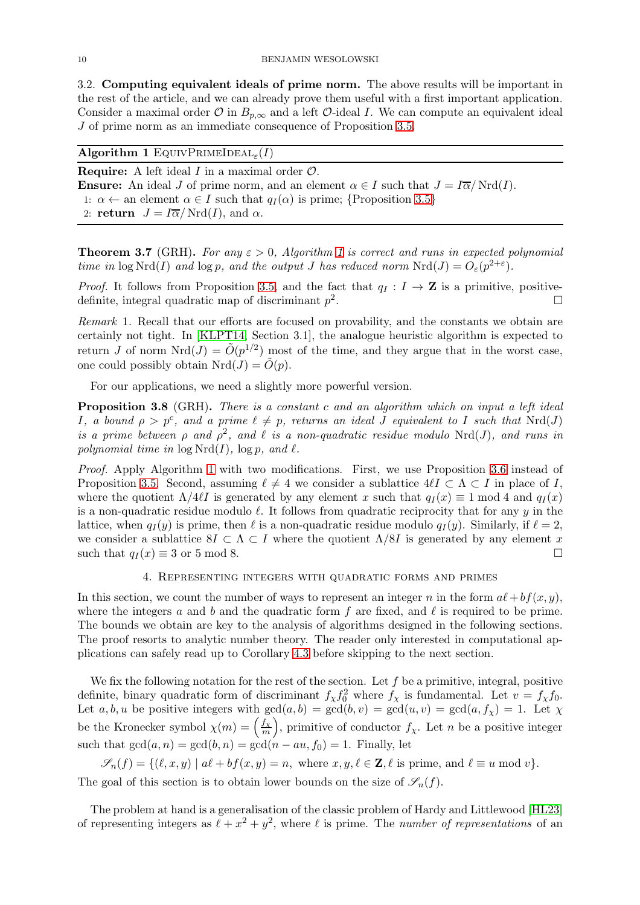3.2. Computing equivalent ideals of prime norm. The above results will be important in the rest of the article, and we can already prove them useful with a first important application. Consider a maximal order  $\mathcal O$  in  $B_{p,\infty}$  and a left  $\mathcal O$ -ideal I. We can compute an equivalent ideal J of prime norm as an immediate consequence of Proposition [3.5.](#page-8-1)

# <span id="page-9-2"></span> $\mathbf{Algorithm\ 1\ EQUIVPRIMEIDEAL}_{\varepsilon}(I)$

**Require:** A left ideal  $I$  in a maximal order  $\mathcal{O}$ . **Ensure:** An ideal J of prime norm, and an element  $\alpha \in I$  such that  $J = I\overline{\alpha}/Nrd(I)$ . 1:  $\alpha \leftarrow$  an element  $\alpha \in I$  such that  $q_I(\alpha)$  is prime; {Proposition [3.5](#page-8-1)} 2: return  $J = I\overline{\alpha}/Nrd(I)$ , and  $\alpha$ .

<span id="page-9-0"></span>**Theorem 3.7** (GRH). For any  $\varepsilon > 0$ , Algorithm [1](#page-9-2) is correct and runs in expected polynomial time in  $\log Nrd(I)$  and  $\log p$ , and the output J has reduced norm  $Nrd(J) = O_{\varepsilon}(p^{2+\varepsilon}).$ 

*Proof.* It follows from Proposition [3.5,](#page-8-1) and the fact that  $q_I : I \to \mathbb{Z}$  is a primitive, positive-<br>definite integral quadratic map of discriminant  $n^2$ definite, integral quadratic map of discriminant  $p^2$ .

Remark 1. Recall that our efforts are focused on provability, and the constants we obtain are certainly not tight. In [\[KLPT14,](#page-29-6) Section 3.1], the analogue heuristic algorithm is expected to return J of norm  $Nrd(J) = \tilde{O}(p^{1/2})$  most of the time, and they argue that in the worst case, one could possibly obtain  $Nrd(J) = \tilde{O}(p)$ .

<span id="page-9-3"></span>For our applications, we need a slightly more powerful version.

Proposition 3.8 (GRH). There is a constant c and an algorithm which on input a left ideal I, a bound  $\rho > p^c$ , and a prime  $\ell \neq p$ , returns an ideal J equivalent to I such that  $Nrd(J)$ is a prime between  $\rho$  and  $\rho^2$ , and  $\ell$  is a non-quadratic residue modulo Nrd(J), and runs in polynomial time in  $\log Nrd(I)$ ,  $\log p$ , and  $\ell$ .

Proof. Apply Algorithm [1](#page-9-2) with two modifications. First, we use Proposition [3.6](#page-8-2) instead of Proposition [3.5.](#page-8-1) Second, assuming  $\ell \neq 4$  we consider a sublattice  $4\ell I \subset \Lambda \subset I$  in place of I, where the quotient  $\Lambda/4\ell I$  is generated by any element x such that  $q_I(x) \equiv 1 \mod 4$  and  $q_I(x)$ is a non-quadratic residue modulo  $\ell$ . It follows from quadratic reciprocity that for any  $\gamma$  in the lattice, when  $q_I(y)$  is prime, then  $\ell$  is a non-quadratic residue modulo  $q_I(y)$ . Similarly, if  $\ell = 2$ , we consider a sublattice  $8I \subset \Lambda \subset I$  where the quotient  $\Lambda/8I$  is generated by any element x such that  $q_I(x) \equiv 3$  or 5 mod 8. such that  $q_I(x) \equiv 3$  or 5 mod 8.

## 4. Representing integers with quadratic forms and primes

<span id="page-9-1"></span>In this section, we count the number of ways to represent an integer n in the form  $a\ell + bf(x, y)$ , where the integers a and b and the quadratic form f are fixed, and  $\ell$  is required to be prime. The bounds we obtain are key to the analysis of algorithms designed in the following sections. The proof resorts to analytic number theory. The reader only interested in computational applications can safely read up to Corollary [4.3](#page-10-1) before skipping to the next section.

We fix the following notation for the rest of the section. Let  $f$  be a primitive, integral, positive definite, binary quadratic form of discriminant  $f_{\chi} f_0^2$  where  $f_{\chi}$  is fundamental. Let  $v = f_{\chi} f_0$ . Let  $a, b, u$  be positive integers with  $gcd(a, b) = gcd(b, v) = gcd(u, v) = gcd(a, f<sub>X</sub>) = 1$ . Let  $\chi$ be the Kronecker symbol  $\chi(m) = \left(\frac{f_{\chi}}{m}\right)^2$  $\frac{f_X}{m}$ , primitive of conductor  $f_X$ . Let n be a positive integer such that  $gcd(a, n) = gcd(b, n) = gcd(n - au, f_0) = 1$ . Finally, let

 $\mathscr{S}_n(f) = \{(\ell, x, y) \mid a\ell + bf(x, y) = n, \text{ where } x, y, \ell \in \mathbb{Z}, \ell \text{ is prime, and } \ell \equiv u \bmod v\}.$ 

The goal of this section is to obtain lower bounds on the size of  $\mathscr{S}_n(f)$ .

The problem at hand is a generalisation of the classic problem of Hardy and Littlewood [\[HL23\]](#page-29-15) of representing integers as  $\ell + x^2 + y^2$ , where  $\ell$  is prime. The number of representations of an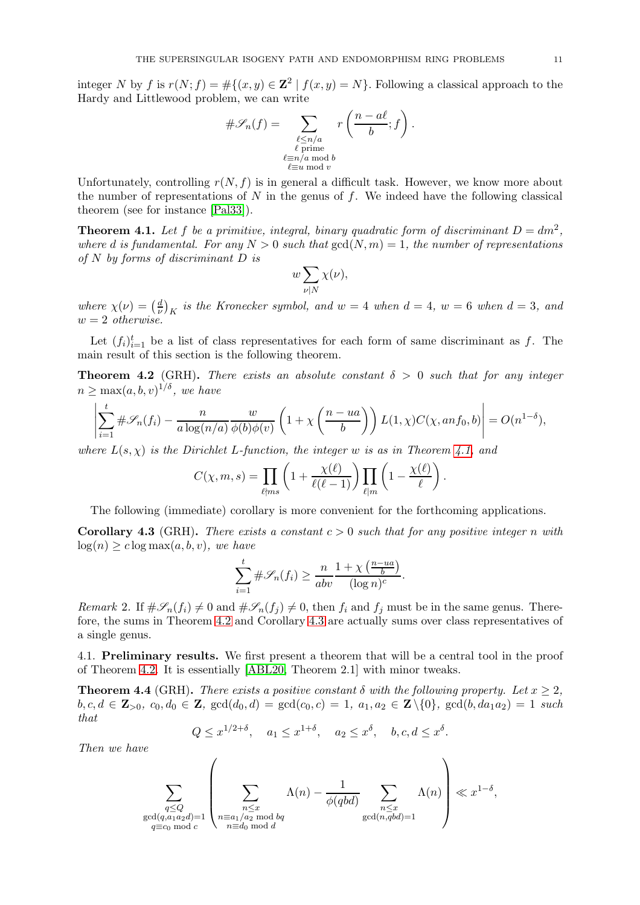integer N by f is  $r(N; f) = #\{(x, y) \in \mathbb{Z}^2 \mid f(x, y) = N\}$ . Following a classical approach to the Hardy and Littlewood problem, we can write

$$
\#\mathscr{S}_n(f) = \sum_{\substack{\ell \le n/a \\ \ell \text{ prime} \\ \ell \equiv n/a \bmod b \\ \ell \equiv u \bmod v}} r\left(\frac{n-a\ell}{b};f\right).
$$

Unfortunately, controlling  $r(N, f)$  is in general a difficult task. However, we know more about the number of representations of  $N$  in the genus of  $f$ . We indeed have the following classical theorem (see for instance [\[Pal33\]](#page-30-9)).

<span id="page-10-2"></span>**Theorem 4.1.** Let f be a primitive, integral, binary quadratic form of discriminant  $D = dm^2$ , where d is fundamental. For any  $N > 0$  such that  $gcd(N, m) = 1$ , the number of representations of N by forms of discriminant D is

$$
w\sum_{\nu|N}\chi(\nu),
$$

where  $\chi(\nu) = \left(\frac{d}{\nu}\right)$  $\left(\frac{d}{\nu}\right)_K$  is the Kronecker symbol, and  $w = 4$  when  $d = 4$ ,  $w = 6$  when  $d = 3$ , and  $w = 2$  otherwise.

<span id="page-10-0"></span>Let  $(f_i)_{i=1}^t$  be a list of class representatives for each form of same discriminant as f. The main result of this section is the following theorem.

**Theorem 4.2** (GRH). There exists an absolute constant  $\delta > 0$  such that for any integer  $n \geq \max(a, b, v)^{1/\delta},$  we have

$$
\left|\sum_{i=1}^t \#\mathscr{S}_n(f_i) - \frac{n}{a\log(n/a)}\frac{w}{\phi(b)\phi(v)}\left(1 + \chi\left(\frac{n - ua}{b}\right)\right)L(1,\chi)C(\chi, an f_0, b)\right| = O(n^{1-\delta}),
$$

where  $L(s, \chi)$  is the Dirichlet L-function, the integer w is as in Theorem [4.1,](#page-10-2) and

$$
C(\chi, m, s) = \prod_{\ell \nmid ms} \left(1 + \frac{\chi(\ell)}{\ell(\ell-1)}\right) \prod_{\ell \mid m} \left(1 - \frac{\chi(\ell)}{\ell}\right).
$$

<span id="page-10-1"></span>The following (immediate) corollary is more convenient for the forthcoming applications.

**Corollary 4.3** (GRH). There exists a constant  $c > 0$  such that for any positive integer n with  $log(n) > c log max(a, b, v)$ , we have

$$
\sum_{i=1}^{t} \# \mathscr{S}_n(f_i) \ge \frac{n}{abv} \frac{1 + \chi\left(\frac{n - ua}{b}\right)}{(\log n)^c}.
$$

Remark 2. If  $\#\mathscr{S}_n(f_i) \neq 0$  and  $\#\mathscr{S}_n(f_i) \neq 0$ , then  $f_i$  and  $f_j$  must be in the same genus. Therefore, the sums in Theorem [4.2](#page-10-0) and Corollary [4.3](#page-10-1) are actually sums over class representatives of a single genus.

<span id="page-10-3"></span>4.1. Preliminary results. We first present a theorem that will be a central tool in the proof of Theorem [4.2.](#page-10-0) It is essentially [\[ABL20,](#page-28-8) Theorem 2.1] with minor tweaks.

**Theorem 4.4** (GRH). There exists a positive constant  $\delta$  with the following property. Let  $x > 2$ .  $b, c, d \in \mathbb{Z}_{>0}, c_0, d_0 \in \mathbb{Z}, \text{ gcd}(d_0, d) = \text{gcd}(c_0, c) = 1, a_1, a_2 \in \mathbb{Z} \setminus \{0\}, \text{ gcd}(b, da_1a_2) = 1 \text{ such}$ that

$$
Q \leq x^{1/2+\delta}
$$
,  $a_1 \leq x^{1+\delta}$ ,  $a_2 \leq x^{\delta}$ ,  $b, c, d \leq x^{\delta}$ .

Then we have

$$
\sum_{\substack{q \leq Q \\ \gcd(q, a_1 a_2 d) = 1 \\ q \equiv c_0 \bmod c}} \left( \sum_{\substack{n \leq x \\ n \equiv a_1/a_2 \bmod bq \\ n \equiv d_0 \bmod d}} \Lambda(n) - \frac{1}{\phi(qbd)} \sum_{\substack{n \leq x \\ \gcd(n, qbd) = 1}} \Lambda(n) \right) \ll x^{1-\delta},
$$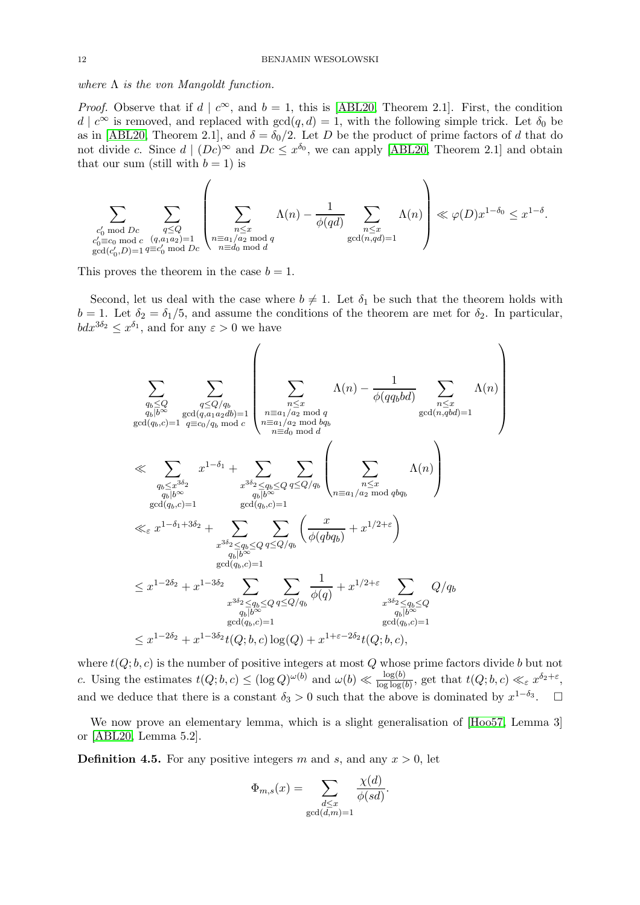where  $\Lambda$  is the von Mangoldt function.

*Proof.* Observe that if  $d \mid c^{\infty}$ , and  $b = 1$ , this is [\[ABL20,](#page-28-8) Theorem 2.1]. First, the condition  $d | c^{\infty}$  is removed, and replaced with  $gcd(q, d) = 1$ , with the following simple trick. Let  $\delta_0$  be as in [\[ABL20,](#page-28-8) Theorem 2.1], and  $\delta = \delta_0/2$ . Let D be the product of prime factors of d that do not divide c. Since  $d \mid (Dc)^{\infty}$  and  $Dc \leq x^{\delta_0}$ , we can apply [\[ABL20,](#page-28-8) Theorem 2.1] and obtain that our sum (still with  $b = 1$ ) is

$$
\sum_{\substack{c'_0 \bmod Dc \\ c'_0 \equiv c_0 \bmod c}} \sum_{\substack{q \leq Q \\ (q,a_1a_2)=1 \\ \gcd(c'_0,D)=1}} \left( \sum_{\substack{n \leq x \\ n \equiv a_1/a_2 \bmod q \\ n \equiv d_0 \bmod d}} \Lambda(n) - \frac{1}{\phi(qd)} \sum_{\substack{n \leq x \\ \gcd(n,qd)=1}} \Lambda(n) \right) \ll \varphi(D) x^{1-\delta_0} \leq x^{1-\delta}.
$$

This proves the theorem in the case  $b = 1$ .

Second, let us deal with the case where  $b \neq 1$ . Let  $\delta_1$  be such that the theorem holds with  $b = 1$ . Let  $\delta_2 = \delta_1/5$ , and assume the conditions of the theorem are met for  $\delta_2$ . In particular,  $bdx^{3\delta_2} \leq x^{\delta_1}$ , and for any  $\varepsilon > 0$  we have

$$
\sum_{\substack{q_b \leq Q \\ q_b \mid b^\infty \\ \gcd(q_b,c)=1}} \sum_{\substack{q \leq Q/q_b \\ q_b \mid q^\infty \\ \gcd(q_b,c)=1}} \left( \sum_{\substack{n \leq x \\ n \leq a \\ n \equiv a_1/a_2 \mod q \\ n \equiv a_1/a_2 \mod bq}} \Lambda(n) - \frac{1}{\phi(qq_bbd)} \sum_{\substack{n \leq x \\ n \leq x \\ q \equiv a_1/a_2 \mod bq \\ \gcd(n_gbd)=1}} \Lambda(n) \right)
$$
\n
$$
\ll \sum_{\substack{q_b \leq x^{3\delta_2} \\ q_b \mid b^\infty \\ q_b \mid b^\infty \\ \gcd(q_b,c)=1}} x^{1-\delta_1} + \sum_{\substack{x^{3\delta_2} \leq q_b \leq Q \\ q \leq Q/q_b \\ \gcd(q_b,c)=1}} \sum_{\substack{n \leq x \\ q \equiv a_1/a_2 \mod bq_b \\ \gcd(q_b,c)=1}} \left( \sum_{\substack{n \leq x \\ n \equiv a_1/a_2 \mod bq_b \\ n \equiv a_1/a_2 \mod bq_b}} \Lambda(n) \right)
$$
\n
$$
\ll \sum_{\substack{q_b \mid b^\infty \\ q_b \mid b^\infty \\ \gcd(q_b,c)=1}} x^{1-\delta_1} + \sum_{\substack{x^{3\delta_2} \leq q_b \leq Q \\ q \equiv a_1/a_2 \mod bq_b \\ \gcd(q_b,c)=1}} \left( \frac{x}{\phi(qbq_b)} + x^{1/2+\varepsilon} \right)
$$
\n
$$
\leq x^{1-2\delta_2} + x^{1-3\delta_2} \sum_{\substack{q_b \mid b^\infty \\ q_b \mid b^\infty \\ \gcd(q_b,c)=1}} \sum_{\substack{q \equiv a_1/a_2 \mod bq_b \\ q_b \mid b^\infty \\ \gcd(q_b,c)=1}} \frac{1}{\phi(q)} + x^{1/2+\varepsilon} \sum_{\substack{n \geq x \\ q_b \mid b^\infty \\ \gcd(q_b,c)=1}} Q/q_b
$$

where  $t(Q; b, c)$  is the number of positive integers at most  $Q$  whose prime factors divide  $b$  but not c. Using the estimates  $t(Q; b, c) \leq (\log Q)^{\omega(b)}$  and  $\omega(b) \ll \frac{\log(b)}{\log \log(b)}$ , get that  $t(Q; b, c) \ll_{\varepsilon} x^{\delta_2 + \varepsilon}$ , and we deduce that there is a constant  $\delta_3 > 0$  such that the above is dominated by  $x^{1-\delta_3}$ .  $\Box$ 

We now prove an elementary lemma, which is a slight generalisation of [\[Hoo57,](#page-29-16) Lemma 3] or [\[ABL20,](#page-28-8) Lemma 5.2].

<span id="page-11-0"></span>**Definition 4.5.** For any positive integers m and s, and any  $x > 0$ , let

$$
\Phi_{m,s}(x) = \sum_{\substack{d \le x \\ \gcd(d,m)=1}} \frac{\chi(d)}{\phi(sd)}.
$$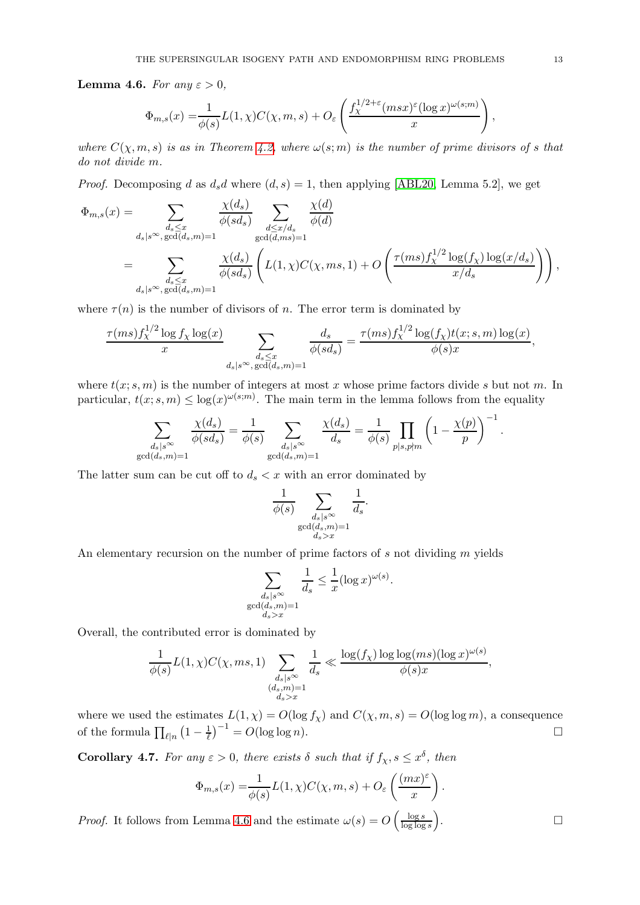**Lemma 4.6.** For any  $\varepsilon > 0$ ,

$$
\Phi_{m,s}(x) = \frac{1}{\phi(s)} L(1,\chi) C(\chi,m,s) + O_{\varepsilon}\left(\frac{f_{\chi}^{1/2+\varepsilon}(m s x)^{\varepsilon} (\log x)^{\omega(s;m)}}{x}\right),
$$

where  $C(\chi, m, s)$  is as in Theorem [4.2,](#page-10-0) where  $\omega(s; m)$  is the number of prime divisors of s that do not divide m.

*Proof.* Decomposing d as  $d_s d$  where  $(d, s) = 1$ , then applying [\[ABL20,](#page-28-8) Lemma 5.2], we get

$$
\Phi_{m,s}(x) = \sum_{\substack{d_s \le x \\ d_s|s^{\infty}, \gcd(d_s, m) = 1}} \frac{\chi(d_s)}{\phi(sd_s)} \sum_{\substack{d \le x/d_s \\ \gcd(d, ms) = 1}} \frac{\chi(d)}{\phi(d)}
$$
  
\n
$$
= \sum_{\substack{d_s \le x \\ d_s|s^{\infty}, \gcd(d_s, m) = 1}} \frac{\chi(d_s)}{\phi(sd_s)} \left( L(1, \chi) C(\chi, ms, 1) + O\left(\frac{\tau(ms)f_{\chi}^{1/2} \log(f_{\chi}) \log(x/d_s)}{x/d_s}\right) \right),
$$

where  $\tau(n)$  is the number of divisors of n. The error term is dominated by

$$
\frac{\tau(ms)f_\chi^{1/2}\log f_\chi\log(x)}{x}\sum_{\substack{d_s\leq x\\ d_s|s^\infty,\gcd(d_s,m)=1}}\frac{d_s}{\phi(sd_s)}=\frac{\tau(ms)f_\chi^{1/2}\log(f_\chi)t(x;s,m)\log(x)}{\phi(s)x},
$$

where  $t(x; s, m)$  is the number of integers at most x whose prime factors divide s but not m. In particular,  $t(x; s, m) \leq \log(x)^{\omega(s;m)}$ . The main term in the lemma follows from the equality

$$
\sum_{\substack{d_s|s^{\infty}\\ \gcd(d_s,m)=1}} \frac{\chi(d_s)}{\phi(sd_s)} = \frac{1}{\phi(s)} \sum_{\substack{d_s|s^{\infty}\\ \gcd(d_s,m)=1}} \frac{\chi(d_s)}{d_s} = \frac{1}{\phi(s)} \prod_{p|s, p\nmid m} \left(1 - \frac{\chi(p)}{p}\right)^{-1}
$$

The latter sum can be cut off to  $d_s < x$  with an error dominated by

$$
\frac{1}{\phi(s)} \sum_{\substack{d_s|s^{\infty} \\ \gcd(d_s,m)=1 \\ d_s > x}} \frac{1}{d_s}
$$

.

An elementary recursion on the number of prime factors of s not dividing m yields

$$
\sum_{\substack{d_s \mid s^{\infty} \\ \gcd(d_s, m) = 1 \\ d_s > x}} \frac{1}{d_s} \le \frac{1}{x} (\log x)^{\omega(s)}.
$$

Overall, the contributed error is dominated by

$$
\frac{1}{\phi(s)}L(1,\chi)C(\chi,ms,1)\sum_{\substack{d_s|s^\infty\\(d_s,m)=1\\d_s>x}}\frac{1}{d_s}\ll \frac{\log(f_\chi)\log\log(ms)(\log x)^{\omega(s)}}{\phi(s)x},
$$

where we used the estimates  $L(1, \chi) = O(\log f_{\chi})$  and  $C(\chi, m, s) = O(\log \log m)$ , a consequence of the formula  $\prod_{\ell|n} \left(1 - \frac{1}{\ell}\right)$  $\frac{1}{\ell}$  $\Big)^{-1} = O(\log \log n).$ 

<span id="page-12-0"></span>**Corollary 4.7.** For any  $\varepsilon > 0$ , there exists  $\delta$  such that if  $f_{\chi}, s \leq x^{\delta}$ , then

$$
\Phi_{m,s}(x) = \frac{1}{\phi(s)} L(1,\chi) C(\chi,m,s) + O_{\varepsilon}\left(\frac{(mx)^{\varepsilon}}{x}\right).
$$

*Proof.* It follows from Lemma [4.6](#page-11-0) and the estimate  $\omega(s) = O\left(\frac{\log s}{\log \log s}\right)$  $\frac{\log s}{\log \log s}$ . — Процессиональные просто производства и продата в собстановки с производствовки с производствовки с произво<br>В собстановки с производствовки с производствовки с производствовки с производствовки с производствовки с прои

.

$$
\qquad \qquad \Box
$$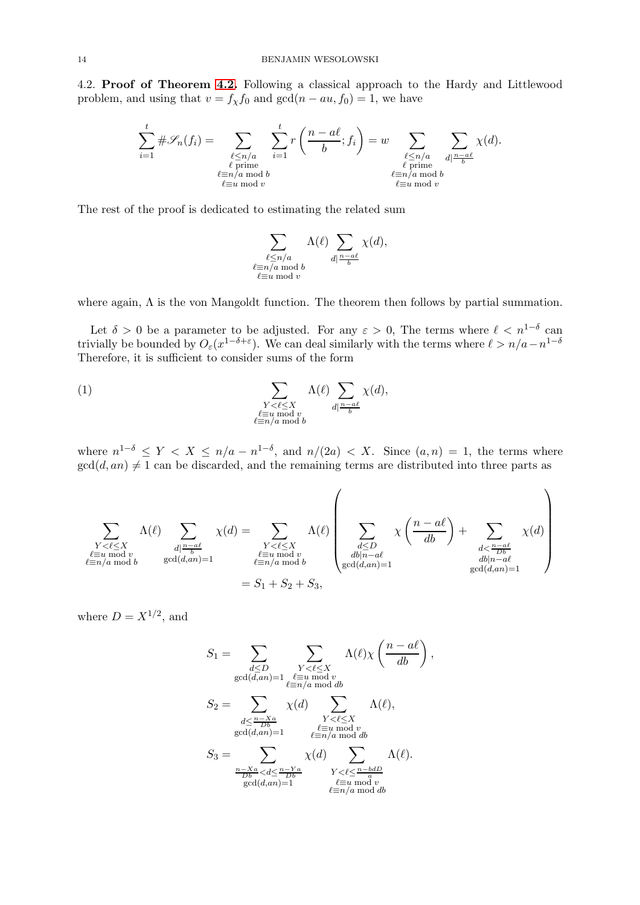4.2. Proof of Theorem [4.2.](#page-10-0) Following a classical approach to the Hardy and Littlewood problem, and using that  $v = f_{\chi} f_0$  and  $gcd(n - au, f_0) = 1$ , we have

$$
\sum_{i=1}^{t} \#\mathscr{S}_n(f_i) = \sum_{\substack{\ell \le n/a \\ \ell \text{ prime} \\ \ell \equiv u \bmod{v}}} \sum_{i=1}^{t} r\left(\frac{n-a\ell}{b}; f_i\right) = w \sum_{\substack{\ell \le n/a \\ \ell \text{ prime} \\ \ell \equiv u \bmod{b} \\ \ell \equiv u \bmod{v}}} \sum_{d \mid \frac{n-a\ell}{b}} \chi(d).
$$

The rest of the proof is dedicated to estimating the related sum

$$
\sum_{\substack{\ell \leq n/a \\ \ell \equiv n/a \bmod b}} \Lambda(\ell) \sum_{\substack{d \mid \frac{n-a\ell}{b}}} \chi(d),
$$
  
 $\ell \equiv u \bmod v$ 

where again, Λ is the von Mangoldt function. The theorem then follows by partial summation.

Let  $\delta > 0$  be a parameter to be adjusted. For any  $\varepsilon > 0$ , The terms where  $\ell < n^{1-\delta}$  can trivially be bounded by  $O_{\varepsilon}(x^{1-\delta+\varepsilon})$ . We can deal similarly with the terms where  $\ell > n/a - n^{1-\delta}$ Therefore, it is sufficient to consider sums of the form

<span id="page-13-0"></span>(1) 
$$
\sum_{\substack{Y < \ell \le X \\ \ell \equiv u \bmod v \\ \ell \equiv n/a \bmod b}} \Lambda(\ell) \sum_{d \mid \frac{n-a\ell}{b}} \chi(d),
$$

where  $n^{1-\delta} \leq Y < X \leq n/a - n^{1-\delta}$ , and  $n/(2a) < X$ . Since  $(a, n) = 1$ , the terms where  $gcd(d, an) \neq 1$  can be discarded, and the remaining terms are distributed into three parts as

$$
\sum_{\substack{Y<\ell\le X\\ \ell\equiv u \bmod v\\ \ell\equiv n/a \bmod b}} \Lambda(\ell) \sum_{\substack{d|\frac{n-a\ell}{b}\\ \gcd(d,an)=1}} \chi(d) = \sum_{\substack{Y<\ell\le X\\ \ell\equiv u \bmod v\\ \ell\equiv n/a \bmod b}} \Lambda(\ell) \left(\sum_{\substack{d\le D\\ db|n-a\ell\\ \gcd(d,an)=1}} \chi\left(\frac{n-a\ell}{db}\right) + \sum_{\substack{d<\frac{n-a\ell}{Db}\\ \ell\equiv b\\ \gcd(d,an)=1}} \chi(d)\right)
$$

where  $D = X^{1/2}$ , and

$$
S_1 = \sum_{\substack{d \le D \\ \gcd(d, an) = 1}} \sum_{\substack{Y < \ell \le X \\ \ell \equiv u \bmod v \\ \ell \equiv n/a \bmod db}} \Lambda(\ell) \chi\left(\frac{n - a\ell}{db}\right)
$$
\n
$$
S_2 = \sum_{\substack{d \le \frac{n - Xa}{Db} \\ \gcd(d, an) = 1}} \chi(d) \sum_{\substack{Y < \ell \le X \\ \ell \equiv u \bmod v \\ \ell \equiv n/a \bmod db}} \Lambda(\ell),
$$
\n
$$
S_3 = \sum_{\substack{\frac{n - Xa}{Db} < d \le \frac{n - Ya}{Db} \\ \gcd(d, an) = 1}} \chi(d) \sum_{\substack{Y < \ell \le \frac{n - bdD}{a} \\ \ell \equiv u \bmod v \\ \ell \equiv n/a \bmod db}} \Lambda(\ell).
$$

,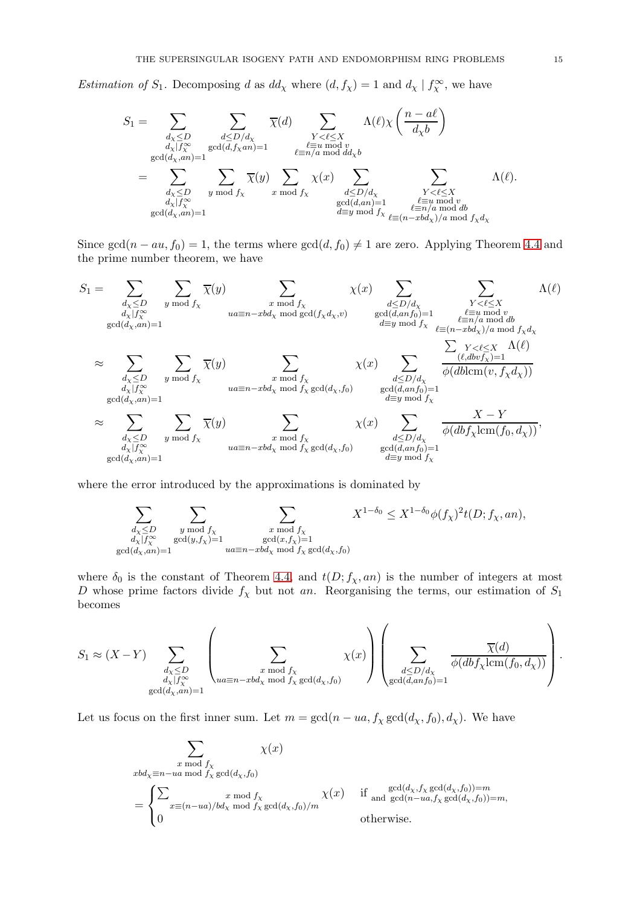Estimation of  $S_1$ . Decomposing d as  $dd_\chi$  where  $(d, f_\chi) = 1$  and  $d_\chi \mid f_\chi^\infty$ , we have

$$
S_1 = \sum_{\substack{d_X \leq D \\ d_X | f_X^{\infty} \\ \gcd(d_X, an) = 1}} \sum_{\substack{d \leq D/d_X \\ \gcd(d_X, an) = 1}} \overline{\chi}(d) \sum_{\substack{Y < \ell \leq X \\ \ell \equiv u \bmod v \\ \ell \equiv n/a \bmod dd_X b}} \Lambda(\ell) \chi\left(\frac{n - a\ell}{d_X b}\right)
$$
\n
$$
= \sum_{\substack{d_X \leq D \\ d_X | f_X^{\infty} \\ \gcd(d_X, an) = 1}} \sum_{y \bmod f_X} \overline{\chi}(y) \sum_{\substack{x \bmod f_X \\ \gcd(d, an) = 1}} \chi(x) \sum_{\substack{d \leq D/d_X \\ \gcd(d, an) = 1}} \sum_{\substack{\ell \equiv u \bmod v \\ \ell \equiv n/a \bmod db \\ \ell \equiv y \bmod f_X}} \Lambda(\ell).
$$

Since gcd(n – au, f<sub>0</sub>) = 1, the terms where gcd(d, f<sub>0</sub>)  $\neq$  1 are zero. Applying Theorem [4.4](#page-10-3) and the prime number theorem, we have

$$
S_1 = \sum_{\substack{d_X \leq D \\ d_X | f_X^{\infty} \\ \gcd(d_X, an) = 1}} \sum_{\substack{y \mod f_X \\ \gcd(d_X, an) = 1}} \sum_{\substack{u \equiv n - xbd_X \mod \gcd(f_X d_X, v) \\ \gcd(d_X, an) = 1}} \chi(x) \sum_{\substack{d \leq D/d_X \\ d \equiv y \mod f_X \\ d \equiv y \mod f_X}} \sum_{\substack{\ell \equiv n / d_X \mod \gcd(f_X d_X, v) \\ \ell \equiv (n - xbd_X)/a \mod d \\ \ell \equiv (n - xbd_X)/a \mod f_X d_X}} \Delta(\ell)
$$
  

$$
\approx \sum_{\substack{d_X \leq D \\ d_X | f_X^{\infty} \\ \gcd(d_X, an) = 1}} \sum_{\substack{y \mod f_X \\ \gcd(d_X, an) = 1}} \overline{\chi}(y) \sum_{\substack{u \equiv n - xbd_X \mod f_X \\ u \equiv n - xbd_X \mod f_X}} \sum_{\substack{gcd(d_X, f_0) \\ \gcd(d_X, f_0) = 1 \\ \ell \equiv y \mod f_X}} \chi(x) \sum_{\substack{d \leq D/d_X \\ \gcd(d_X, an) = 1}} \frac{\sum_{\substack{\ell \leq L \\ d \equiv y \mod f_X \\ d \equiv y \mod f_X}} \Delta(\ell)}{\phi(dbcm(v, f_X d_X))}
$$

where the error introduced by the approximations is dominated by

$$
\sum_{\substack{d_\chi \leq D \\ d_\chi \mid f_\chi^\infty \\ \gcd(d_\chi,an)=1}} \sum_{\substack{y \bmod f_\chi \\ \gcd(y,f_\chi)=1}} \sum_{\substack{x \bmod f_\chi \\ \gcd(x,f_\chi)=1 \\ ua \equiv n-xbd_\chi \bmod f_\chi}} X^{1-\delta_0} \leq X^{1-\delta_0} \phi(f_\chi)^2 t(D;f_\chi,an),
$$

where  $\delta_0$  is the constant of Theorem [4.4,](#page-10-3) and  $t(D; f_\chi, an)$  is the number of integers at most D whose prime factors divide  $f_{\chi}$  but not an. Reorganising the terms, our estimation of  $S_1$ becomes

$$
S_1 \approx (X - Y) \sum_{\substack{d_X \le D \\ d_X | f_X^{\infty} \\ \gcd(d_X, an) = 1}} \left( \sum_{\substack{x \mod f_X \\ \gcd(d_X, \gcd(d_X, f_0))}} \chi(x) \right) \left( \sum_{\substack{d \le D/d_X \\ \gcd(d, an f_0) = 1}} \frac{\overline{\chi}(d)}{\phi(db f_X \text{lcm}(f_0, d_X))} \right).
$$

Let us focus on the first inner sum. Let  $m = \gcd(n - ua, f_\chi \gcd(d_\chi, f_0), d_\chi)$ . We have

$$
\sum_{\substack{x \mod f_X \\ xbd_\chi \equiv n - ua \mod f_X \\ x \equiv (n - ua)/bd_\chi \mod f_X \\ 0}} \chi(x)
$$
\n
$$
= \begin{cases}\n\sum_{\substack{x \mod f_X \\ x \equiv (n - ua)/bd_\chi \mod f_X \\ x \equiv (d_X, f_0)/m}} \chi(x) & \text{if } \gcd(d_X, f_X \gcd(d_X, f_0)) = m, \\ \sum_{\substack{x \mod f_X \\ x \equiv (n - ua)/bd_X \mod f_X \gcd(d_X, f_0)/m}} \chi(x) & \text{if } \gcd(d_X, f_X \gcd(d_X, f_0)) = m, \\ 0 & \text{otherwise.}\n\end{cases}
$$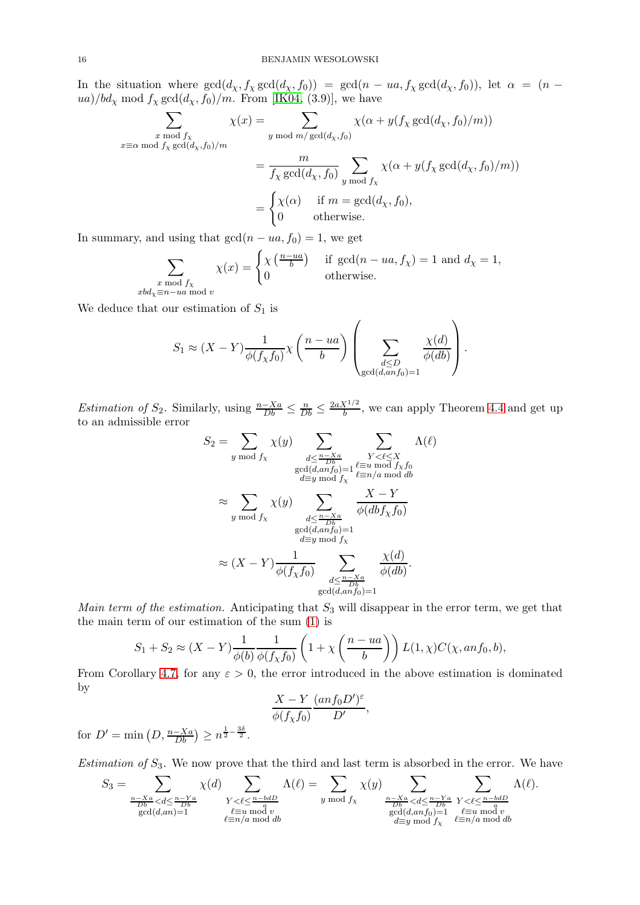In the situation where  $gcd(d_\chi, f_\chi gcd(d_\chi, f_0)) = gcd(n - ua, f_\chi gcd(d_\chi, f_0))$ , let  $\alpha = (n$ ua)/ $bd_\chi$  mod  $f_\chi$  gcd $(d_\chi, f_0)/m$ . From [\[IK04,](#page-29-17) (3.9)], we have

$$
\sum_{\substack{x \mod f_X \\ x \equiv \alpha \mod f_X \gcd(d_X, f_0)/m}} \chi(x) = \sum_{\substack{y \mod m/\gcd(d_X, f_0) \\ y \mod f_X}} \chi(\alpha + y(f_X \gcd(d_X, f_0)/m))
$$

$$
= \frac{m}{f_X \gcd(d_X, f_0)} \sum_{\substack{y \mod f_X \\ y \mod f_X}} \chi(\alpha + y(f_X \gcd(d_X, f_0)/m))
$$

$$
= \begin{cases} \chi(\alpha) & \text{if } m = \gcd(d_X, f_0), \\ 0 & \text{otherwise.} \end{cases}
$$

In summary, and using that  $gcd(n - ua, f_0) = 1$ , we get

$$
\sum_{\substack{x \bmod f_{\chi} \\ x \text{d} \chi \equiv n - ua \bmod v}} \chi(x) = \begin{cases} \chi\left(\frac{n - ua}{b}\right) & \text{if } \gcd(n - ua, f_{\chi}) = 1 \text{ and } d_{\chi} = 1, \\ 0 & \text{otherwise.} \end{cases}
$$

We deduce that our estimation of  $S_1$  is

$$
S_1 \approx (X - Y) \frac{1}{\phi(f_\chi f_0)} \chi\left(\frac{n - ua}{b}\right) \left(\sum_{\substack{d \le D \\ \gcd(d, an f_0) = 1}} \frac{\chi(d)}{\phi(db)}\right).
$$

*Estimation of*  $S_2$ . Similarly, using  $\frac{n-Xa}{Db} \leq \frac{n}{Db} \leq \frac{2aX^{1/2}}{b}$  $\frac{X^{1/2}}{b}$ , we can apply Theorem [4.4](#page-10-3) and get up to an admissible error

$$
S_2 = \sum_{y \bmod f_X} \chi(y) \sum_{\substack{d \leq \frac{n-Xa}{Db} \\ \gcd(d, anf_0) = 1}} \sum_{\substack{Y < \ell \leq X \\ \ell \equiv u \bmod f_X f_0 \\ d \equiv y \bmod f_X}} \Lambda(\ell)
$$

$$
\approx \sum_{y \bmod f_X} \chi(y) \sum_{\substack{d \leq \frac{n-Xa}{Db} \\ \gcd(d, anf_0) = 1 \\ d \equiv y \bmod f_X}} \frac{X - Y}{\phi(dbf_Xf_0)}
$$

$$
\approx (X - Y) \frac{1}{\phi(f_Xf_0)} \sum_{\substack{d \leq \frac{n-Xa}{Db} \\ \gcd(d, anf_0) = 1}} \frac{\chi(d)}{\phi(db)}.
$$

Main term of the estimation. Anticipating that  $S_3$  will disappear in the error term, we get that the main term of our estimation of the sum [\(1\)](#page-13-0) is

$$
S_1 + S_2 \approx (X - Y) \frac{1}{\phi(b)} \frac{1}{\phi(f_\chi f_0)} \left( 1 + \chi \left( \frac{n - ua}{b} \right) \right) L(1, \chi) C(\chi, an f_0, b),
$$

From Corollary [4.7,](#page-12-0) for any  $\varepsilon > 0$ , the error introduced in the above estimation is dominated by

$$
\frac{X-Y}{\phi(f_{\chi}f_0)}\frac{(anf_0D')^{\varepsilon}}{D'},
$$

for  $D' = \min (D, \frac{n - Xa}{Db}) \ge n^{\frac{1}{2} - \frac{3\delta}{2}}$ .

Estimation of  $S_3$ . We now prove that the third and last term is absorbed in the error. We have

$$
S_3 = \sum_{\substack{\frac{n-Xa}{Db} < d \le \frac{n-Ya}{Db} \\ \gcd(d,an)=1}} \chi(d) \sum_{\substack{Y < \ell \le \frac{n-bdD}{a} \\ \ell \equiv n/a \bmod{v} \\ \ell \equiv n/a \bmod{db}}} \Lambda(\ell) = \sum_{y \bmod{f_\chi}} \chi(y) \sum_{\substack{\frac{n-Xa}{Db} < d \le \frac{n-Ya}{Db} \\ \gcd(d,anf_0)=1 \\ \ell \equiv y \bmod{f_\chi}}} \sum_{\substack{\ell \le \frac{n-bdD}{a} \\ \ell \equiv u \bmod{v} \\ \ell \equiv n/a \bmod{db}}} \Lambda(\ell).
$$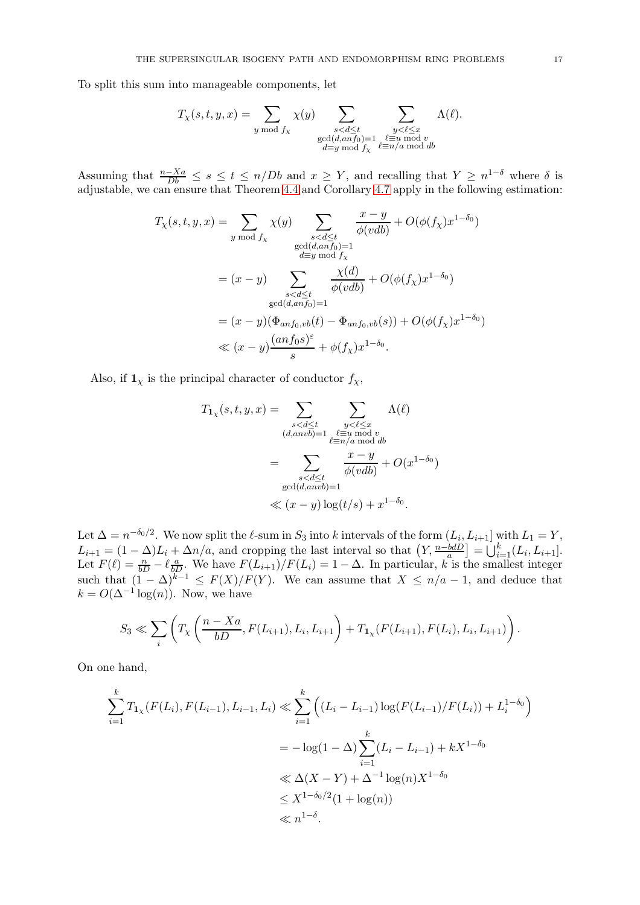To split this sum into manageable components, let

$$
T_{\chi}(s,t,y,x)=\sum_{y \bmod f_{\chi}} \chi(y) \sum_{\substack{s < d \leq t \\ \gcd(d,anf_0)=1 \\ d \equiv y \bmod f_{\chi}}} \sum_{\substack{y < \ell \leq x \\ \ell \equiv u \bmod v \\ \ell \equiv n/a \bmod db}} \Lambda(\ell).
$$

Assuming that  $\frac{n-Xa}{Db} \leq s \leq t \leq n/Db$  and  $x \geq Y$ , and recalling that  $Y \geq n^{1-\delta}$  where  $\delta$  is adjustable, we can ensure that Theorem [4.4](#page-10-3) and Corollary [4.7](#page-12-0) apply in the following estimation:

$$
T_{\chi}(s,t,y,x) = \sum_{y \bmod f_{\chi}} \chi(y) \sum_{\substack{s < d \le t \\ \gcd(d, anf_0) = 1}} \frac{x - y}{\phi(vdb)} + O(\phi(f_{\chi})x^{1 - \delta_0})
$$
  
\n
$$
= (x - y) \sum_{\substack{s < d \le t \\ \gcd(d, anf_0) = 1}} \frac{\chi(d)}{\phi(vdb)} + O(\phi(f_{\chi})x^{1 - \delta_0})
$$
  
\n
$$
= (x - y) \sum_{\substack{s < d \le t \\ \gcd(d, anf_0) = 1}} \frac{\chi(d)}{\phi(vdb)} + O(\phi(f_{\chi})x^{1 - \delta_0})
$$
  
\n
$$
\ll (x - y) \frac{(anf_0s)^{\varepsilon}}{s} + \phi(f_{\chi})x^{1 - \delta_0}.
$$

Also, if  $\mathbf{1}_{\chi}$  is the principal character of conductor  $f_{\chi}$ ,

$$
T_{1_{\chi}}(s,t,y,x) = \sum_{\substack{s < d \le t \\ (d, a n v b) = 1}} \sum_{\substack{y < \ell \le x \\ \ell \equiv n/a \bmod{b} \\ \ell \equiv n/a \bmod{d} \\ \gcd(d, a n v b) = 1}} \Lambda(\ell)
$$

$$
= \sum_{\substack{s < d \le t \\ \gcd(d, a n v b) = 1}} \frac{x - y}{\phi(vdb)} + O(x^{1 - \delta_0})
$$

Let  $\Delta = n^{-\delta_0/2}$ . We now split the  $\ell$ -sum in  $S_3$  into k intervals of the form  $(L_i, L_{i+1}]$  with  $L_1 = Y$ ,  $L_{i+1} = (1 - \Delta)L_i + \Delta n/a$ , and cropping the last interval so that  $(Y, \frac{n-bdD}{a}] = \bigcup_{i=1}^{k} (L_i, L_{i+1}]$ . Let  $F(\ell) = \frac{n}{bD} - \ell \frac{a}{bD}$ . We have  $F(L_{i+1})/F(L_i) = 1 - \Delta$ . In particular, k is the smallest integer such that  $(1 - \Delta)^{k-1} \leq F(X)/F(Y)$ . We can assume that  $X \leq n/a - 1$ , and deduce that  $k = O(\Delta^{-1} \log(n))$ . Now, we have

$$
S_3 \ll \sum_i \left( T_{\chi} \left( \frac{n - Xa}{bD}, F(L_{i+1}), L_i, L_{i+1} \right) + T_{1\chi}(F(L_{i+1}), F(L_i), L_i, L_{i+1}) \right).
$$

On one hand,

$$
\sum_{i=1}^{k} T_{1_{\chi}}(F(L_i), F(L_{i-1}), L_{i-1}, L_i) \ll \sum_{i=1}^{k} \left( (L_i - L_{i-1}) \log(F(L_{i-1})/F(L_i)) + L_i^{1-\delta_0} \right)
$$
  
=  $-\log(1 - \Delta) \sum_{i=1}^{k} (L_i - L_{i-1}) + kX^{1-\delta_0}$   
 $\ll \Delta(X - Y) + \Delta^{-1} \log(n)X^{1-\delta_0}$   
 $\leq X^{1-\delta_0/2}(1 + \log(n))$   
 $\ll n^{1-\delta}.$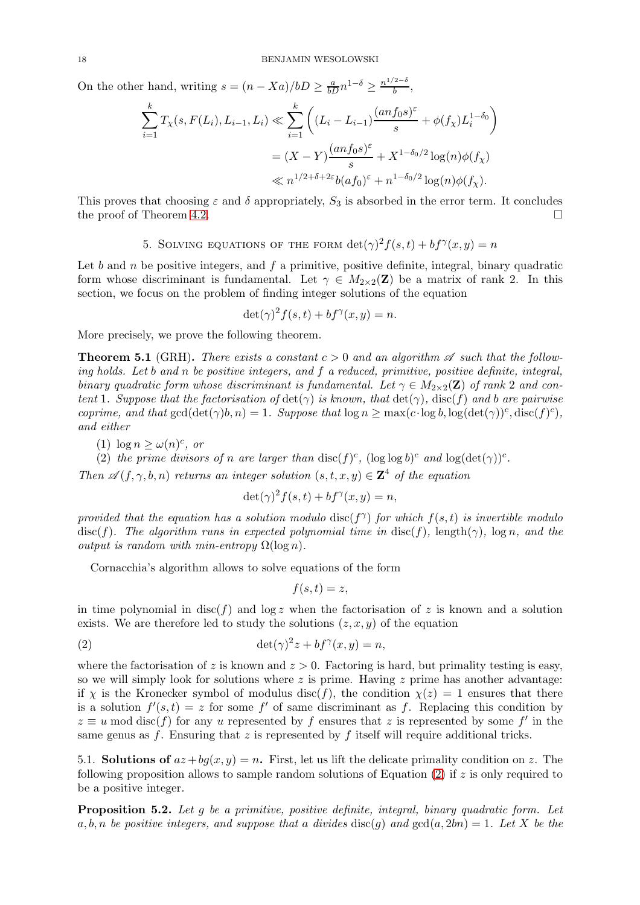On the other hand, writing  $s = (n - Xa)/bD \geq \frac{a}{bD} n^{1-\delta} \geq \frac{n^{1/2-\delta}}{b}$  $\frac{z}{b}$ ,

$$
\sum_{i=1}^{k} T_{\chi}(s, F(L_i), L_{i-1}, L_i) \ll \sum_{i=1}^{k} \left( (L_i - L_{i-1}) \frac{(anf_0 s)^{\varepsilon}}{s} + \phi(f_{\chi}) L_i^{1-\delta_0} \right)
$$
  
=  $(X - Y) \frac{(anf_0 s)^{\varepsilon}}{s} + X^{1-\delta_0/2} \log(n) \phi(f_{\chi})$   
 $\ll n^{1/2 + \delta + 2\varepsilon} b(af_0)^{\varepsilon} + n^{1-\delta_0/2} \log(n) \phi(f_{\chi}).$ 

<span id="page-17-0"></span>This proves that choosing  $\varepsilon$  and  $\delta$  appropriately,  $S_3$  is absorbed in the error term. It concludes the proof of Theorem [4.2.](#page-10-0)

5. SOLVING EQUATIONS OF THE FORM 
$$
\det(\gamma)^2 f(s,t) + b f^{\gamma}(x,y) = n
$$

Let  $b$  and  $n$  be positive integers, and  $f$  a primitive, positive definite, integral, binary quadratic form whose discriminant is fundamental. Let  $\gamma \in M_{2\times 2}(\mathbf{Z})$  be a matrix of rank 2. In this section, we focus on the problem of finding integer solutions of the equation

 $\det(\gamma)^2 f(s,t) + b f^{\gamma}(x,y) = n.$ 

<span id="page-17-1"></span>More precisely, we prove the following theorem.

**Theorem 5.1** (GRH). There exists a constant  $c > 0$  and an algorithm  $\mathscr A$  such that the following holds. Let b and n be positive integers, and f a reduced, primitive, positive definite, integral, binary quadratic form whose discriminant is fundamental. Let  $\gamma \in M_{2\times 2}(\mathbf{Z})$  of rank 2 and content 1. Suppose that the factorisation of  $\det(\gamma)$  is known, that  $\det(\gamma)$ ,  $\operatorname{disc}(f)$  and b are pairwise coprime, and that  $gcd(det(\gamma)b, n) = 1$ . Suppose that  $log n \ge max(c \cdot log b, log(det(\gamma))<sup>c</sup>, disc(f)<sup>c</sup>),$ and either

<span id="page-17-5"></span><span id="page-17-4"></span>(1)  $\log n \geq \omega(n)^c$ , or

(2) the prime divisors of n are larger than  $\text{disc}(f)^c$ ,  $(\log \log b)^c$  and  $\log(\det(\gamma))^c$ .

Then  $\mathscr{A}(f, \gamma, b, n)$  returns an integer solution  $(s, t, x, y) \in \mathbb{Z}^4$  of the equation

$$
\det(\gamma)^2 f(s,t) + b f^\gamma(x,y) = n,
$$

provided that the equation has a solution modulo  $\text{disc}(f^{\gamma})$  for which  $f(s,t)$  is invertible modulo disc(f). The algorithm runs in expected polynomial time in disc(f), length( $\gamma$ ), log n, and the output is random with min-entropy  $\Omega(\log n)$ .

Cornacchia's algorithm allows to solve equations of the form

<span id="page-17-2"></span>
$$
f(s,t)=z,
$$

in time polynomial in disc(f) and  $\log z$  when the factorisation of z is known and a solution exists. We are therefore led to study the solutions  $(z, x, y)$  of the equation

(2) 
$$
\det(\gamma)^2 z + b f^{\gamma}(x, y) = n,
$$

where the factorisation of z is known and  $z > 0$ . Factoring is hard, but primality testing is easy. so we will simply look for solutions where  $z$  is prime. Having  $z$  prime has another advantage: if x is the Kronecker symbol of modulus disc(f), the condition  $\chi(z) = 1$  ensures that there is a solution  $f'(s,t) = z$  for some f' of same discriminant as f. Replacing this condition by  $z \equiv u \mod \operatorname{disc}(f)$  for any u represented by f ensures that z is represented by some f' in the same genus as f. Ensuring that z is represented by f itself will require additional tricks.

5.1. **Solutions of**  $az + bq(x, y) = n$ . First, let us lift the delicate primality condition on z. The following proposition allows to sample random solutions of Equation [\(2\)](#page-17-2) if  $z$  is only required to be a positive integer.

<span id="page-17-3"></span>**Proposition 5.2.** Let g be a primitive, positive definite, integral, binary quadratic form. Let a, b, n be positive integers, and suppose that a divides  $\text{disc}(q)$  and  $\text{gcd}(a, 2bn) = 1$ . Let X be the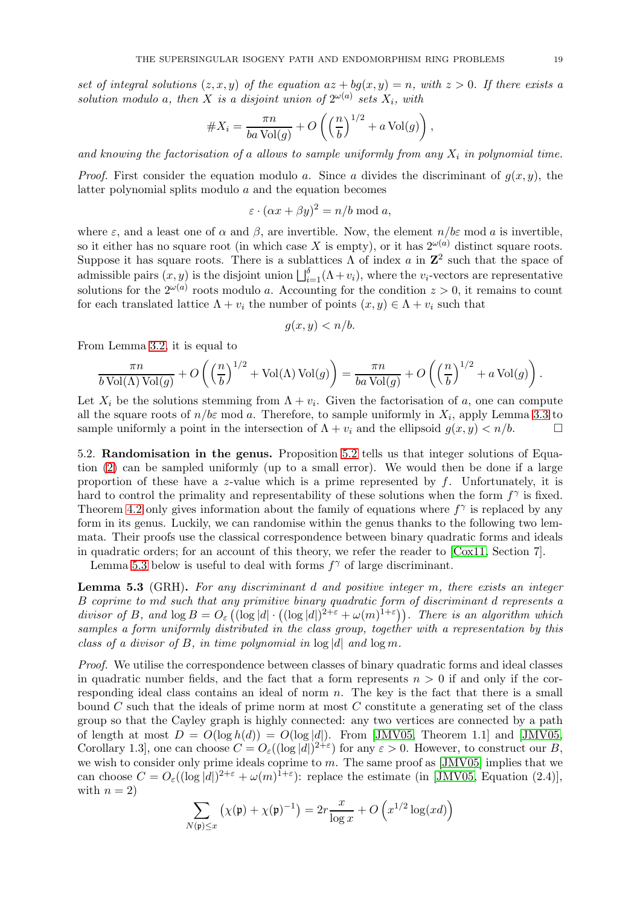set of integral solutions  $(z, x, y)$  of the equation  $az + bq(x, y) = n$ , with  $z > 0$ . If there exists a solution modulo a, then X is a disjoint union of  $2^{\omega(a)}$  sets  $X_i$ , with

#X<sup>i</sup> = πn ba Vol(g) + O n b 1/<sup>2</sup> + a Vol(g) ,

and knowing the factorisation of a allows to sample uniformly from any  $X_i$  in polynomial time.

*Proof.* First consider the equation modulo a. Since a divides the discriminant of  $g(x, y)$ , the latter polynomial splits modulo a and the equation becomes

$$
\varepsilon \cdot (\alpha x + \beta y)^2 = n/b \bmod a,
$$

where  $\varepsilon$ , and a least one of  $\alpha$  and  $\beta$ , are invertible. Now, the element  $n/b\varepsilon$  mod  $\alpha$  is invertible, so it either has no square root (in which case X is empty), or it has  $2^{\omega(a)}$  distinct square roots. Suppose it has square roots. There is a sublattices  $\Lambda$  of index a in  $\mathbb{Z}^2$  such that the space of admissible pairs  $(x, y)$  is the disjoint union  $\bigsqcup_{i=1}^{\delta} (\Lambda + v_i)$ , where the  $v_i$ -vectors are representative solutions for the  $2^{\omega(a)}$  roots modulo a. Accounting for the condition  $z > 0$ , it remains to count for each translated lattice  $\Lambda + v_i$  the number of points  $(x, y) \in \Lambda + v_i$  such that

$$
g(x, y) < n/b.
$$

From Lemma [3.2,](#page-7-1) it is equal to

$$
\frac{\pi n}{b \operatorname{Vol}(\Lambda) \operatorname{Vol}(g)} + O\left(\left(\frac{n}{b}\right)^{1/2} + \operatorname{Vol}(\Lambda) \operatorname{Vol}(g)\right) = \frac{\pi n}{ba \operatorname{Vol}(g)} + O\left(\left(\frac{n}{b}\right)^{1/2} + a \operatorname{Vol}(g)\right).
$$

Let  $X_i$  be the solutions stemming from  $\Lambda + v_i$ . Given the factorisation of a, one can compute all the square roots of  $n/b\varepsilon \mod a$ . Therefore, to sample uniformly in  $X_i$ , apply Lemma [3.3](#page-7-0) to sample uniformly a point in the intersection of  $\Lambda + v_i$  and the ellipsoid  $g(x, y) < n/b$ .

5.2. Randomisation in the genus. Proposition [5.2](#page-17-3) tells us that integer solutions of Equation [\(2\)](#page-17-2) can be sampled uniformly (up to a small error). We would then be done if a large proportion of these have a z-value which is a prime represented by  $f$ . Unfortunately, it is hard to control the primality and representability of these solutions when the form  $f^{\gamma}$  is fixed. Theorem [4.2](#page-10-0) only gives information about the family of equations where  $f^{\gamma}$  is replaced by any form in its genus. Luckily, we can randomise within the genus thanks to the following two lemmata. Their proofs use the classical correspondence between binary quadratic forms and ideals in quadratic orders; for an account of this theory, we refer the reader to  $[Cox11, Section 7]$ .

<span id="page-18-0"></span>Lemma [5.3](#page-18-0) below is useful to deal with forms  $f^{\gamma}$  of large discriminant.

**Lemma 5.3** (GRH). For any discriminant d and positive integer m, there exists an integer B coprime to md such that any primitive binary quadratic form of discriminant d represents a divisor of B, and  $\log B = O_{\varepsilon} ((\log |d| \cdot ((\log |d|)^{2+\varepsilon} + \omega(m)^{1+\varepsilon}))$ . There is an algorithm which samples a form uniformly distributed in the class group, together with a representation by this class of a divisor of B, in time polynomial in  $log |d|$  and  $log m$ .

Proof. We utilise the correspondence between classes of binary quadratic forms and ideal classes in quadratic number fields, and the fact that a form represents  $n > 0$  if and only if the corresponding ideal class contains an ideal of norm  $n$ . The key is the fact that there is a small bound  $C$  such that the ideals of prime norm at most  $C$  constitute a generating set of the class group so that the Cayley graph is highly connected: any two vertices are connected by a path of length at most  $D = O(\log h(d)) = O(\log |d|)$ . From [\[JMV05,](#page-29-18) Theorem 1.1] and [JMV05, Corollary 1.3, one can choose  $C = O_{\varepsilon}((\log |d|)^{2+\varepsilon})$  for any  $\varepsilon > 0$ . However, to construct our B, we wish to consider only prime ideals coprime to  $m$ . The same proof as [\[JMV05\]](#page-29-18) implies that we can choose  $C = O_{\varepsilon}((\log |d|)^{2+\varepsilon} + \omega(m)^{1+\varepsilon})$ : replace the estimate (in [\[JMV05,](#page-29-18) Equation (2.4)], with  $n = 2$ )

$$
\sum_{N(\mathfrak{p}) \le x} \left( \chi(\mathfrak{p}) + \chi(\mathfrak{p})^{-1} \right) = 2r \frac{x}{\log x} + O\left( x^{1/2} \log(xd) \right)
$$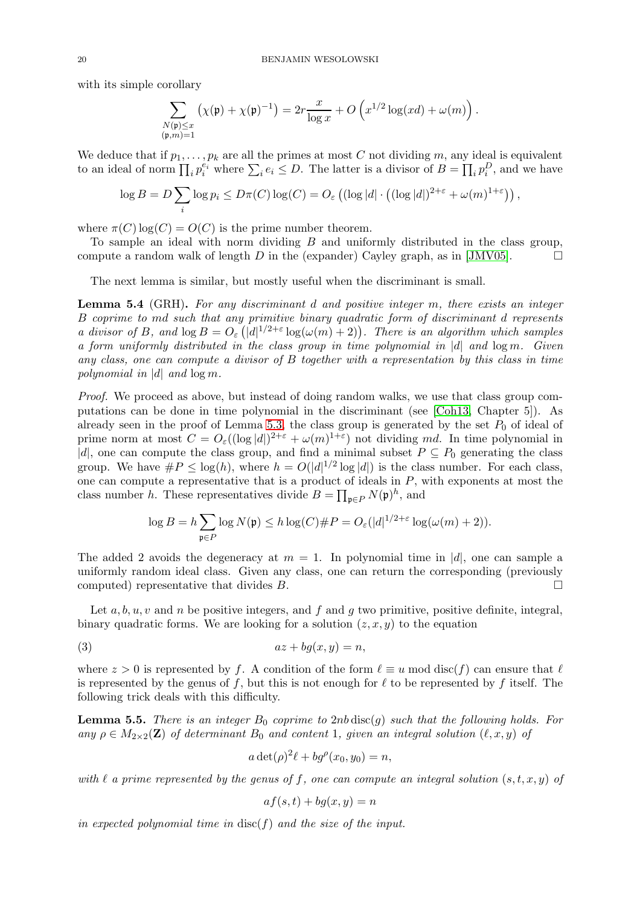with its simple corollary

$$
\sum_{\substack{N(\mathfrak{p}) \le x \\ (\mathfrak{p},m)=1}} \left( \chi(\mathfrak{p}) + \chi(\mathfrak{p})^{-1} \right) = 2r \frac{x}{\log x} + O\left( x^{1/2} \log(xd) + \omega(m) \right).
$$

We deduce that if  $p_1, \ldots, p_k$  are all the primes at most C not dividing m, any ideal is equivalent to an ideal of norm  $\prod_i p_i^{e_i}$  where  $\sum_i e_i \leq D$ . The latter is a divisor of  $B = \prod_i p_i^D$ , and we have

$$
\log B = D \sum_{i} \log p_i \leq D\pi(C) \log(C) = O_{\varepsilon} \left( (\log |d| \cdot \left( (\log |d|)^{2+\varepsilon} + \omega(m)^{1+\varepsilon} \right) \right),
$$

where  $\pi(C) \log(C) = O(C)$  is the prime number theorem.

To sample an ideal with norm dividing  $B$  and uniformly distributed in the class group, compute a random walk of length D in the (expander) Cayley graph, as in [\[JMV05\]](#page-29-18).  $\Box$ 

<span id="page-19-0"></span>The next lemma is similar, but mostly useful when the discriminant is small.

**Lemma 5.4** (GRH). For any discriminant d and positive integer m, there exists an integer B coprime to md such that any primitive binary quadratic form of discriminant d represents a divisor of B, and  $\log B = O_{\varepsilon}(|d|^{1/2+\varepsilon} \log(\omega(m) + 2))$ . There is an algorithm which samples a form uniformly distributed in the class group in time polynomial in  $|d|$  and  $\log m$ . Given any class, one can compute a divisor of  $B$  together with a representation by this class in time polynomial in |d| and  $\log m$ .

Proof. We proceed as above, but instead of doing random walks, we use that class group computations can be done in time polynomial in the discriminant (see [\[Coh13,](#page-28-6) Chapter 5]). As already seen in the proof of Lemma [5.3,](#page-18-0) the class group is generated by the set  $P_0$  of ideal of prime norm at most  $C = O_{\varepsilon}((\log |d|)^{2+\varepsilon} + \omega(m)^{1+\varepsilon})$  not dividing md. In time polynomial in |d|, one can compute the class group, and find a minimal subset  $P \subseteq P_0$  generating the class group. We have  $\#P \leq \log(h)$ , where  $h = O(|d|^{1/2} \log |d|)$  is the class number. For each class, one can compute a representative that is a product of ideals in  $P$ , with exponents at most the class number h. These representatives divide  $B = \prod_{\mathfrak{p} \in P} N(\mathfrak{p})^h$ , and

$$
\log B = h \sum_{\mathfrak{p} \in P} \log N(\mathfrak{p}) \le h \log(C) \# P = O_{\varepsilon}(|d|^{1/2 + \varepsilon} \log(\omega(m) + 2)).
$$

The added 2 avoids the degeneracy at  $m = 1$ . In polynomial time in |d|, one can sample a uniformly random ideal class. Given any class, one can return the corresponding (previously computed) representative that divides  $B$ .

Let  $a, b, u, v$  and n be positive integers, and f and q two primitive, positive definite, integral, binary quadratic forms. We are looking for a solution  $(z, x, y)$  to the equation

$$
(3) \t\t az + bg(x, y) = n,
$$

where  $z > 0$  is represented by f. A condition of the form  $\ell \equiv u \mod \text{disc}(f)$  can ensure that  $\ell$ is represented by the genus of f, but this is not enough for  $\ell$  to be represented by f itself. The following trick deals with this difficulty.

<span id="page-19-2"></span>**Lemma 5.5.** There is an integer  $B_0$  coprime to 2nb disc(q) such that the following holds. For any  $\rho \in M_{2\times 2}(\mathbf{Z})$  of determinant  $B_0$  and content 1, given an integral solution  $(\ell, x, y)$  of

<span id="page-19-1"></span>
$$
a \det(\rho)^2 \ell + b g^{\rho}(x_0, y_0) = n,
$$

with  $\ell$  a prime represented by the genus of f, one can compute an integral solution  $(s, t, x, y)$  of

$$
af(s, t) + bg(x, y) = n
$$

in expected polynomial time in  $\mathrm{disc}(f)$  and the size of the input.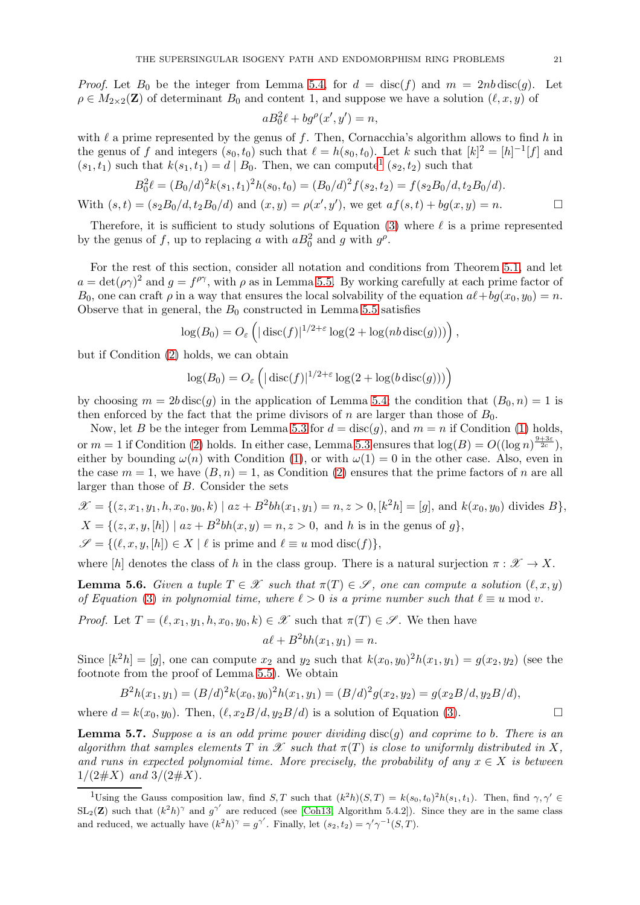*Proof.* Let  $B_0$  be the integer from Lemma [5.4,](#page-19-0) for  $d = \text{disc}(f)$  and  $m = 2nb \text{disc}(g)$ . Let  $\rho \in M_{2\times 2}(\mathbf{Z})$  of determinant  $B_0$  and content 1, and suppose we have a solution  $(\ell, x, y)$  of

$$
aB_0^2\ell + bg^{\rho}(x',y') = n,
$$

with  $\ell$  a prime represented by the genus of f. Then, Cornacchia's algorithm allows to find h in the genus of f and integers  $(s_0, t_0)$  such that  $\ell = h(s_0, t_0)$ . Let k such that  $[k]^2 = [h]^{-1}[f]$  and  $(s_1, t_1)$  $(s_1, t_1)$  $(s_1, t_1)$  such that  $k(s_1, t_1) = d | B_0$ . Then, we can compute<sup>1</sup>  $(s_2, t_2)$  such that

$$
B_0^2 \ell = (B_0/d)^2 k(s_1, t_1)^2 h(s_0, t_0) = (B_0/d)^2 f(s_2, t_2) = f(s_2 B_0/d, t_2 B_0/d).
$$

With  $(s,t) = (s_2B_0/d, t_2B_0/d)$  and  $(x, y) = \rho(x', y')$ , we get  $af(s,t) + bg(x, y) = n$ .

Therefore, it is sufficient to study solutions of Equation [\(3\)](#page-19-1) where  $\ell$  is a prime represented by the genus of f, up to replacing a with  $aB_0^2$  and g with  $g^{\rho}$ .

For the rest of this section, consider all notation and conditions from Theorem [5.1,](#page-17-1) and let  $a = \det(\rho \gamma)^2$  and  $g = f^{\rho \gamma}$ , with  $\rho$  as in Lemma [5.5.](#page-19-2) By working carefully at each prime factor of  $B_0$ , one can craft  $\rho$  in a way that ensures the local solvability of the equation  $a\ell + bg(x_0, y_0) = n$ . Observe that in general, the  $B_0$  constructed in Lemma [5.5](#page-19-2) satisfies

$$
\log(B_0) = O_{\varepsilon}\left(|\operatorname{disc}(f)|^{1/2+\varepsilon}\log(2+\log(nb\operatorname{disc}(g)))\right),\,
$$

but if Condition [\(2\)](#page-17-4) holds, we can obtain

$$
\log(B_0) = O_{\varepsilon}\left(|\operatorname{disc}(f)|^{1/2+\varepsilon}\log(2+\log(b\operatorname{disc}(g)))\right)
$$

by choosing  $m = 2b \operatorname{disc}(g)$  in the application of Lemma [5.4;](#page-19-0) the condition that  $(B_0, n) = 1$  is then enforced by the fact that the prime divisors of n are larger than those of  $B_0$ .

Now, let B be the integer from Lemma [5.3](#page-18-0) for  $d = \text{disc}(g)$ , and  $m = n$  if Condition [\(1\)](#page-17-5) holds, or  $m = 1$  if Condition [\(2\)](#page-17-4) holds. In either case, Lemma [5.3](#page-18-0) ensures that  $\log(B) = O((\log n)^{\frac{9+3\varepsilon}{2c}})$ , either by bounding  $\omega(n)$  with Condition [\(1\)](#page-17-5), or with  $\omega(1) = 0$  in the other case. Also, even in the case  $m = 1$ , we have  $(B, n) = 1$ , as Condition [\(2\)](#page-17-4) ensures that the prime factors of n are all larger than those of B. Consider the sets

$$
\mathcal{X} = \{(z, x_1, y_1, h, x_0, y_0, k) \mid az + B^2bh(x_1, y_1) = n, z > 0, [k^2h] = [g], \text{ and } k(x_0, y_0) \text{ divides } B\},
$$
\n
$$
X = \{(z, x, y, [h]) \mid az + B^2bh(x, y) = n, z > 0, \text{ and } h \text{ is in the genus of } g\},
$$
\n
$$
\mathcal{S} = \{(\ell, x, y, [h]) \in X \mid \ell \text{ is prime and } \ell \equiv u \text{ mod disc}(f)\},
$$

<span id="page-20-2"></span>where [h] denotes the class of h in the class group. There is a natural surjection  $\pi : \mathcal{X} \to X$ .

**Lemma 5.6.** Given a tuple  $T \in \mathcal{X}$  such that  $\pi(T) \in \mathcal{S}$ , one can compute a solution  $(\ell, x, y)$ of Equation [\(3\)](#page-19-1) in polynomial time, where  $\ell > 0$  is a prime number such that  $\ell \equiv u \mod v$ .

*Proof.* Let  $T = (\ell, x_1, y_1, h, x_0, y_0, k) \in \mathcal{X}$  such that  $\pi(T) \in \mathcal{S}$ . We then have

$$
a\ell + B^2bh(x_1, y_1) = n.
$$

Since  $[k^2h] = [g]$ , one can compute  $x_2$  and  $y_2$  such that  $k(x_0, y_0)^2h(x_1, y_1) = g(x_2, y_2)$  (see the footnote from the proof of Lemma [5.5\)](#page-19-2). We obtain

$$
B2h(x1, y1) = (B/d)2k(x0, y0)2h(x1, y1) = (B/d)2g(x2, y2) = g(x2B/d, y2B/d),
$$

<span id="page-20-1"></span>where  $d = k(x_0, y_0)$ . Then,  $(\ell, x_2B/d, y_2B/d)$  is a solution of Equation [\(3\)](#page-19-1).

**Lemma 5.7.** Suppose a is an odd prime power dividing  $\text{disc}(g)$  and coprime to b. There is an algorithm that samples elements T in  $\mathscr X$  such that  $\pi(T)$  is close to uniformly distributed in X, and runs in expected polynomial time. More precisely, the probability of any  $x \in X$  is between  $1/(2 \# X)$  and  $3/(2 \# X)$ .

<span id="page-20-0"></span><sup>&</sup>lt;sup>1</sup>Using the Gauss composition law, find  $S, T$  such that  $(k^2h)(S,T) = k(s_0,t_0)^2h(s_1,t_1)$ . Then, find  $\gamma, \gamma' \in$  $SL_2(\mathbf{Z})$  such that  $(k^2h)^\gamma$  and  $g^{\gamma'}$  are reduced (see [\[Coh13,](#page-28-6) Algorithm 5.4.2]). Since they are in the same class and reduced, we actually have  $(k^2h)^\gamma = g^{\gamma'}$ . Finally, let  $(s_2, t_2) = \gamma' \gamma^{-1}(S, T)$ .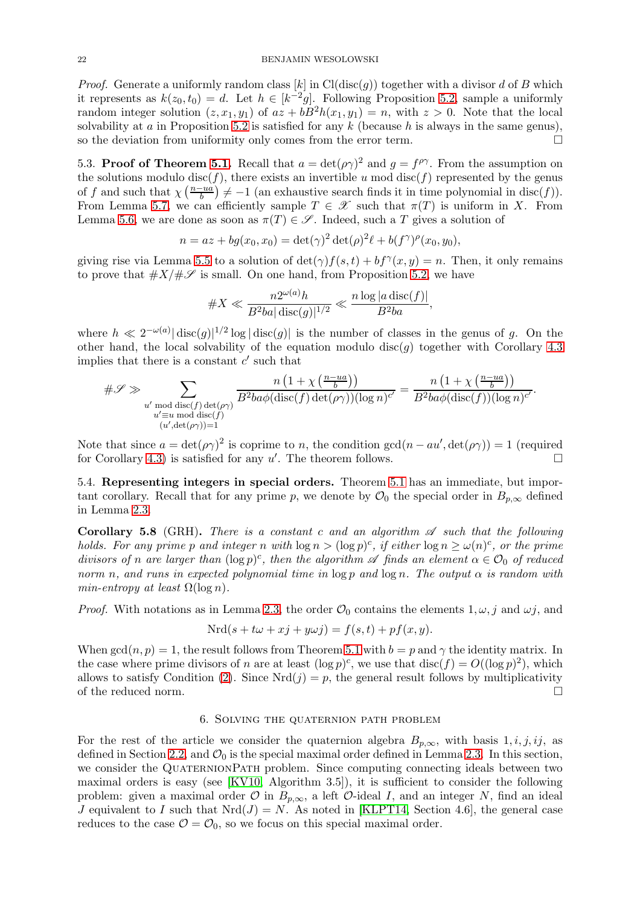*Proof.* Generate a uniformly random class [k] in Cl(disc(g)) together with a divisor d of B which it represents as  $k(z_0, t_0) = d$ . Let  $h \in [k^{-2}g]$ . Following Proposition [5.2,](#page-17-3) sample a uniformly random integer solution  $(z, x_1, y_1)$  of  $az + bB^2h(x_1, y_1) = n$ , with  $z > 0$ . Note that the local solvability at a in Proposition [5.2](#page-17-3) is satisfied for any k (because h is always in the same genus), so the deviation from uniformity only comes from the error term.

5.3. Proof of Theorem [5.1.](#page-17-1) Recall that  $a = \det(\rho \gamma)^2$  and  $g = f^{\rho \gamma}$ . From the assumption on the solutions modulo disc(f), there exists an invertible u mod disc(f) represented by the genus of f and such that  $\chi\left(\frac{n-ua}{b}\right)$  $\frac{-ua}{b}$   $\neq -1$  (an exhaustive search finds it in time polynomial in disc(f)). From Lemma [5.7,](#page-20-1) we can efficiently sample  $T \in \mathscr{X}$  such that  $\pi(T)$  is uniform in X. From Lemma [5.6,](#page-20-2) we are done as soon as  $\pi(T) \in \mathscr{S}$ . Indeed, such a T gives a solution of

$$
n = az + bg(x_0, x_0) = \det(\gamma)^2 \det(\rho)^2 \ell + b(f^{\gamma})^{\rho}(x_0, y_0),
$$

giving rise via Lemma [5.5](#page-19-2) to a solution of  $\det(\gamma) f(s,t) + bf^{\gamma}(x,y) = n$ . Then, it only remains to prove that  $#X/\#S$  is small. On one hand, from Proposition [5.2,](#page-17-3) we have

$$
\#X \ll \frac{n2^{\omega(a)}h}{B^2ba|\operatorname{disc}(g)|^{1/2}} \ll \frac{n\log|a\operatorname{disc}(f)|}{B^2ba},
$$

where  $h \ll 2^{-\omega(a)} |\text{disc}(g)|^{1/2} \log |\text{disc}(g)|$  is the number of classes in the genus of g. On the other hand, the local solvability of the equation modulo disc(q) together with Corollary [4.3](#page-10-1) implies that there is a constant  $c'$  such that

$$
\#\mathscr{S} \gg \sum_{\substack{u' \bmod \operatorname{disc}(f) \det(\rho \gamma) \\ u' \equiv u \bmod \operatorname{disc}(f) \\ (u', \det(\rho \gamma)) = 1}} \frac{n\left(1 + \chi\left(\frac{n - ua}{b}\right)\right)}{B^2 ba \phi(\operatorname{disc}(f)) (\log n)^{c'}} = \frac{n\left(1 + \chi\left(\frac{n - ua}{b}\right)\right)}{B^2 ba \phi(\operatorname{disc}(f)) (\log n)^{c'}}.
$$

Note that since  $a = det(\rho \gamma)^2$  is coprime to n, the condition  $gcd(n - au', det(\rho \gamma)) = 1$  (required for Corollary [4.3\)](#page-10-1) is satisfied for any  $u'$ . The theorem follows.

5.4. Representing integers in special orders. Theorem [5.1](#page-17-1) has an immediate, but important corollary. Recall that for any prime p, we denote by  $\mathcal{O}_0$  the special order in  $B_{p,\infty}$  defined in Lemma [2.3.](#page-4-1)

<span id="page-21-0"></span>**Corollary 5.8** (GRH). There is a constant c and an algorithm  $\mathscr A$  such that the following holds. For any prime p and integer n with  $\log n > (\log p)^c$ , if either  $\log n \ge \omega(n)^c$ , or the prime divisors of n are larger than  $(\log p)^c$ , then the algorithm  $\mathscr A$  finds an element  $\alpha \in \mathcal O_0$  of reduced norm n, and runs in expected polynomial time in  $\log p$  and  $\log n$ . The output  $\alpha$  is random with min-entropy at least  $\Omega(\log n)$ .

*Proof.* With notations as in Lemma [2.3,](#page-4-1) the order  $\mathcal{O}_0$  contains the elements  $1, \omega, j$  and  $\omega j$ , and

$$
Nrd(s + t\omega + xj + y\omega j) = f(s, t) + pf(x, y).
$$

When  $gcd(n, p) = 1$ , the result follows from Theorem [5.1](#page-17-1) with  $b = p$  and  $\gamma$  the identity matrix. In the case where prime divisors of n are at least  $(\log p)^c$ , we use that  $\text{disc}(f) = O((\log p)^2)$ , which allows to satisfy Condition [\(2\)](#page-17-4). Since  $Nrd(j) = p$ , the general result follows by multiplicativity of the reduced norm.  $\Box$ 

## 6. Solving the quaternion path problem

<span id="page-21-1"></span>For the rest of the article we consider the quaternion algebra  $B_{p,\infty}$ , with basis 1, *i*, *j*, *ij*, as defined in Section [2.2,](#page-3-0) and  $\mathcal{O}_0$  is the special maximal order defined in Lemma [2.3.](#page-4-1) In this section, we consider the QUATERNIONPATH problem. Since computing connecting ideals between two maximal orders is easy (see [\[KV10,](#page-29-19) Algorithm 3.5]), it is sufficient to consider the following problem: given a maximal order  $\mathcal O$  in  $B_{p,\infty}$ , a left  $\mathcal O$ -ideal I, and an integer N, find an ideal J equivalent to I such that  $Nrd(J) = N$ . As noted in [\[KLPT14,](#page-29-6) Section 4.6], the general case reduces to the case  $\mathcal{O} = \mathcal{O}_0$ , so we focus on this special maximal order.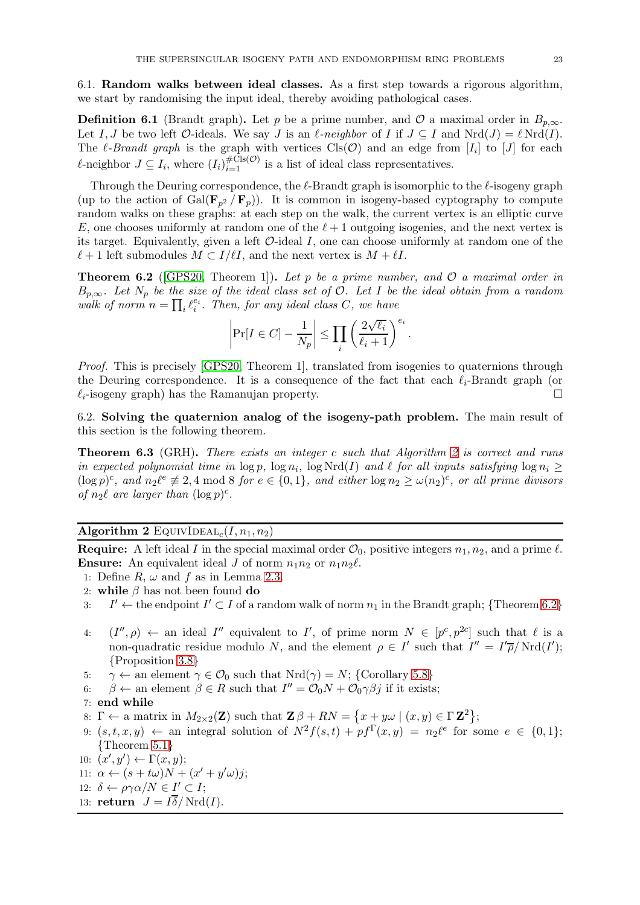6.1. Random walks between ideal classes. As a first step towards a rigorous algorithm, we start by randomising the input ideal, thereby avoiding pathological cases.

**Definition 6.1** (Brandt graph). Let p be a prime number, and  $\mathcal{O}$  a maximal order in  $B_{p,\infty}$ . Let I, J be two left  $\mathcal{O}\text{-ideals}$ . We say J is an  $\ell$ -neighbor of I if  $J \subseteq I$  and  $Nrd(J) = \ell Nrd(I)$ . The  $\ell$ -Brandt graph is the graph with vertices  $\text{Cls}(\mathcal{O})$  and an edge from  $[I_i]$  to  $[J]$  for each l-neighbor  $J \subseteq I_i$ , where  $(I_i)_{i=1}^{\#Cls(\mathcal{O})}$  is a list of ideal class representatives.

Through the Deuring correspondence, the  $\ell$ -Brandt graph is isomorphic to the  $\ell$ -isogeny graph (up to the action of  $Gal(\mathbf{F}_{p^2}/\mathbf{F}_p))$ . It is common in isogeny-based cyptography to compute random walks on these graphs: at each step on the walk, the current vertex is an elliptic curve E, one chooses uniformly at random one of the  $\ell+1$  outgoing isogenies, and the next vertex is its target. Equivalently, given a left  $\mathcal{O}$ -ideal I, one can choose uniformly at random one of the  $\ell+1$  left submodules  $M \subset I/\ell I$ , and the next vertex is  $M + \ell I$ .

<span id="page-22-2"></span>**Theorem 6.2** (GPS20, Theorem 1). Let p be a prime number, and  $\mathcal{O}$  a maximal order in  $B_{p,\infty}$ . Let N<sub>p</sub> be the size of the ideal class set of  $\mathcal{O}$ . Let I be the ideal obtain from a random walk of norm  $n = \prod_i \ell_i^{e_i}$ . Then, for any ideal class C, we have

$$
\left|\Pr[I \in C] - \frac{1}{N_p}\right| \le \prod_i \left(\frac{2\sqrt{\ell_i}}{\ell_i+1}\right)^{e_i}.
$$

Proof. This is precisely [\[GPS20,](#page-29-7) Theorem 1], translated from isogenies to quaternions through the Deuring correspondence. It is a consequence of the fact that each  $\ell_i$ -Brandt graph (or  $\ell_i$ -isogeny graph) has the Ramanujan property.

<span id="page-22-0"></span>6.2. Solving the quaternion analog of the isogeny-path problem. The main result of this section is the following theorem.

**Theorem 6.3** (GRH). There exists an integer c such that Algorithm [2](#page-22-1) is correct and runs in expected polynomial time in  $\log p$ ,  $\log n_i$ ,  $\log \text{Nrd}(I)$  and  $\ell$  for all inputs satisfying  $\log n_i \geq$  $(\log p)^c$ , and  $n_2\ell^e \not\equiv 2, 4 \mod 8$  for  $e \in \{0,1\}$ , and either  $\log n_2 \ge \omega(n_2)^c$ , or all prime divisors of  $n_2\ell$  are larger than  $(\log p)^c$ .

<span id="page-22-1"></span>Algorithm 2 EQUIVIDEAL<sub>c</sub> $(I, n_1, n_2)$ 

**Require:** A left ideal I in the special maximal order  $\mathcal{O}_0$ , positive integers  $n_1, n_2$ , and a prime  $\ell$ . **Ensure:** An equivalent ideal J of norm  $n_1n_2$  or  $n_1n_2\ell$ .

- 1: Define R,  $\omega$  and f as in Lemma [2.3.](#page-4-1)
- <span id="page-22-3"></span>2: while  $\beta$  has not been found do
- 3: I  $\mathcal{I}' \leftarrow$  the endpoint  $I' \subset I$  of a random walk of norm  $n_1$  in the Brandt graph; {Theorem [6.2](#page-22-2)}
- 4:  $(I'', \rho) \leftarrow$  an ideal I'' equivalent to I', of prime norm  $N \in [p^c, p^{2c}]$  such that  $\ell$  is a non-quadratic residue modulo N, and the element  $\rho \in I'$  such that  $I'' = I'\overline{\rho}/\text{Nrd}(I')$ ; {Proposition [3.8](#page-9-3)}
- <span id="page-22-5"></span><span id="page-22-4"></span>5:  $\gamma \leftarrow$  an element  $\gamma \in \mathcal{O}_0$  such that  $Nrd(\gamma) = N$ ; {Corollary [5.8](#page-21-0)}
- 6:  $\beta \leftarrow$  an element  $\beta \in R$  such that  $I'' = \mathcal{O}_0 N + \mathcal{O}_0 \gamma \beta j$  if it exists;
- <span id="page-22-6"></span>7: end while
- 8:  $\Gamma \leftarrow$  a matrix in  $M_{2\times 2}(\mathbf{Z})$  such that  $\mathbf{Z}\beta + RN = \{x + y\omega \mid (x, y) \in \Gamma \mathbf{Z}^2\};$
- 9:  $(s, t, x, y) \leftarrow$  an integral solution of  $N^2 f(s,t) + pf^{\Gamma}(x, y) = n_2 \ell^e$  for some  $e \in \{0, 1\};$ {Theorem [5.1](#page-17-1)}
- 10:  $(x', y') \leftarrow \Gamma(x, y);$
- 11:  $\alpha \leftarrow (s + t\omega)N + (x' + y'\omega)j;$
- 12:  $\delta \leftarrow \rho \gamma \alpha / N \in I' \subset I;$
- 13: return  $J = I\overline{\delta}/\text{Nrd}(I)$ .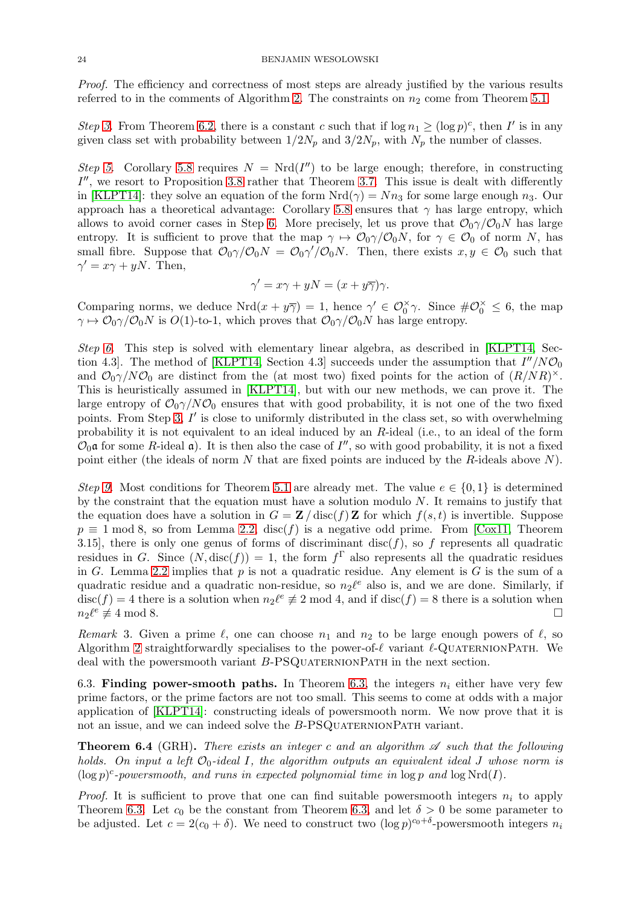Proof. The efficiency and correctness of most steps are already justified by the various results referred to in the comments of Algorithm [2.](#page-22-1) The constraints on  $n_2$  come from Theorem [5.1.](#page-17-1)

Step [3.](#page-22-3) From Theorem [6.2,](#page-22-2) there is a constant c such that if  $\log n_1 \geq (\log p)^c$ , then I' is in any given class set with probability between  $1/2N_p$  and  $3/2N_p$ , with  $N_p$  the number of classes.

Step [5.](#page-22-4) Corollary [5.8](#page-21-0) requires  $N = Nrd(I'')$  to be large enough; therefore, in constructing  $I''$ , we resort to Proposition [3.8](#page-9-3) rather that Theorem [3.7.](#page-9-0) This issue is dealt with differently in [\[KLPT14\]](#page-29-6): they solve an equation of the form  $Nrd(\gamma) = Nn_3$  for some large enough  $n_3$ . Our approach has a theoretical advantage: Corollary [5.8](#page-21-0) ensures that  $\gamma$  has large entropy, which allows to avoid corner cases in Step [6.](#page-22-5) More precisely, let us prove that  $\mathcal{O}_0\gamma/\mathcal{O}_0N$  has large entropy. It is sufficient to prove that the map  $\gamma \mapsto \mathcal{O}_0\gamma/\mathcal{O}_0N$ , for  $\gamma \in \mathcal{O}_0$  of norm N, has small fibre. Suppose that  $\mathcal{O}_0\gamma/\mathcal{O}_0N = \mathcal{O}_0\gamma/\mathcal{O}_0N$ . Then, there exists  $x, y \in \mathcal{O}_0$  such that  $\gamma' = x\gamma + yN$ . Then,

$$
\gamma' = x\gamma + yN = (x + y\overline{\gamma})\gamma.
$$

Comparing norms, we deduce  $Nrd(x+y\overline{\gamma})=1$ , hence  $\gamma' \in \mathcal{O}_0^{\times} \gamma$ . Since  $\#\mathcal{O}_0^{\times} \leq 6$ , the map  $\gamma \mapsto \mathcal{O}_0\gamma/\mathcal{O}_0N$  is  $O(1)$ -to-1, which proves that  $\mathcal{O}_0\gamma/\mathcal{O}_0N$  has large entropy.

Step [6.](#page-22-5) This step is solved with elementary linear algebra, as described in [\[KLPT14,](#page-29-6) Sec-tion 4.3. The method of [\[KLPT14,](#page-29-6) Section 4.3] succeeds under the assumption that  $I''/N\mathcal{O}_0$ and  $\mathcal{O}_0\gamma/N\mathcal{O}_0$  are distinct from the (at most two) fixed points for the action of  $(R/NR)^{\times}$ . This is heuristically assumed in [\[KLPT14\]](#page-29-6), but with our new methods, we can prove it. The large entropy of  $\mathcal{O}_0\gamma/N\mathcal{O}_0$  ensures that with good probability, it is not one of the two fixed points. From Step [3,](#page-22-3) I' is close to uniformly distributed in the class set, so with overwhelming probability it is not equivalent to an ideal induced by an R-ideal (i.e., to an ideal of the form  $\mathcal{O}_0$  a for some R-ideal a). It is then also the case of  $I''$ , so with good probability, it is not a fixed point either (the ideals of norm N that are fixed points are induced by the R-ideals above  $N$ ).

Step [9.](#page-22-6) Most conditions for Theorem [5.1](#page-17-1) are already met. The value  $e \in \{0,1\}$  is determined by the constraint that the equation must have a solution modulo N. It remains to justify that the equation does have a solution in  $G = \mathbf{Z}/\text{disc}(f) \mathbf{Z}$  for which  $f(s, t)$  is invertible. Suppose  $p \equiv 1 \mod 8$ , so from Lemma [2.2,](#page-4-0) disc(f) is a negative odd prime. From [\[Cox11,](#page-28-9) Theorem 3.15], there is only one genus of forms of discriminant disc $(f)$ , so f represents all quadratic residues in G. Since  $(N, \text{disc}(f)) = 1$ , the form  $f^{\Gamma}$  also represents all the quadratic residues in G. Lemma [2.2](#page-4-0) implies that  $p$  is not a quadratic residue. Any element is  $G$  is the sum of a quadratic residue and a quadratic non-residue, so  $n_2\ell^e$  also is, and we are done. Similarly, if  $\text{disc}(f) = 4$  there is a solution when  $n_2 \ell^e \neq 2 \text{ mod } 4$ , and if  $\text{disc}(f) = 8$  there is a solution when  $n_2\ell^e \not\equiv 4 \bmod 8.$  $e \neq 4 \mod 8.$ 

Remark 3. Given a prime  $\ell$ , one can choose  $n_1$  and  $n_2$  to be large enough powers of  $\ell$ , so Algorithm [2](#page-22-1) straightforwardly specialises to the power-of- $\ell$  variant  $\ell$ -QUATERNIONPATH. We deal with the powersmooth variant B-PSQUATERNIONPATH in the next section.

6.3. Finding power-smooth paths. In Theorem [6.3,](#page-22-0) the integers  $n_i$  either have very few prime factors, or the prime factors are not too small. This seems to come at odds with a major application of [\[KLPT14\]](#page-29-6): constructing ideals of powersmooth norm. We now prove that it is not an issue, and we can indeed solve the  $B$ -PSQUATERNIONPATH variant.

<span id="page-23-0"></span>**Theorem 6.4** (GRH). There exists an integer c and an algorithm  $\mathscr A$  such that the following holds. On input a left  $\mathcal{O}_0$ -ideal I, the algorithm outputs an equivalent ideal J whose norm is  $(\log p)^c$ -powersmooth, and runs in expected polynomial time in  $\log p$  and  $\log Nrd(I)$ .

*Proof.* It is sufficient to prove that one can find suitable powersmooth integers  $n_i$  to apply Theorem [6.3.](#page-22-0) Let  $c_0$  be the constant from Theorem [6.3,](#page-22-0) and let  $\delta > 0$  be some parameter to be adjusted. Let  $c = 2(c_0 + \delta)$ . We need to construct two  $(\log p)^{c_0 + \delta}$ -powersmooth integers  $n_i$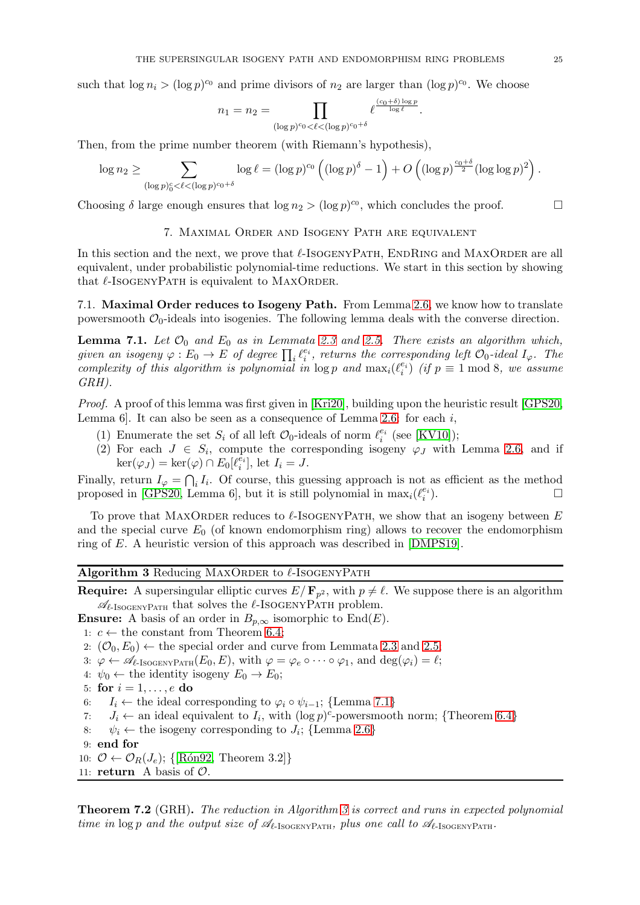such that  $\log n_i > (\log p)^{c_0}$  and prime divisors of  $n_2$  are larger than  $(\log p)^{c_0}$ . We choose

$$
n_1 = n_2 = \prod_{(\log p)^{c_0} < \ell < (\log p)^{c_0 + \delta}} \ell^{\frac{(c_0 + \delta) \log p}{\log \ell}}.
$$

Then, from the prime number theorem (with Riemann's hypothesis),

$$
\log n_2 \geq \sum_{(\log p)_0^c < \ell < (\log p)^{c_0+\delta}} \log \ell = (\log p)^{c_0} \left( (\log p)^{\delta} - 1 \right) + O \left( (\log p)^{\frac{c_0+\delta}{2}} (\log \log p)^2 \right).
$$

<span id="page-24-0"></span>Choosing  $\delta$  large enough ensures that  $\log n_2 > (\log p)^{c_0}$ , which concludes the proof.

## 7. MAXIMAL ORDER AND ISOGENY PATH ARE EQUIVALENT

In this section and the next, we prove that  $\ell$ -IsogenyPath, EndRing and MAXORDER are all equivalent, under probabilistic polynomial-time reductions. We start in this section by showing that  $\ell$ -ISOGENYPATH is equivalent to MAXORDER.

<span id="page-24-1"></span>7.1. Maximal Order reduces to Isogeny Path. From Lemma [2.6,](#page-6-2) we know how to translate powersmooth  $\mathcal{O}_0$ -ideals into isogenies. The following lemma deals with the converse direction.

**Lemma 7.1.** Let  $\mathcal{O}_0$  and  $E_0$  as in Lemmata [2.3](#page-4-1) and [2.5.](#page-6-1) There exists an algorithm which, given an isogeny  $\varphi: E_0 \to E$  of degree  $\prod_i \ell_i^{e_i}$ , returns the corresponding left  $\mathcal{O}_0$ -ideal  $I_{\varphi}$ . The complexity of this algorithm is polynomial in  $\log p$  and  $\max_i(\ell_i^{e_i})$  (if  $p \equiv 1 \mod 8$ , we assume GRH).

Proof. A proof of this lemma was first given in [\[Kri20\]](#page-29-20), building upon the heuristic result [\[GPS20,](#page-29-7) Lemma 6. It can also be seen as a consequence of Lemma [2.6:](#page-6-2) for each  $i$ ,

- (1) Enumerate the set  $S_i$  of all left  $\mathcal{O}_0$ -ideals of norm  $\ell_i^{e_i}$  (see [\[KV10\]](#page-29-19));
- (2) For each  $J \in S_i$ , compute the corresponding isogeny  $\varphi_J$  with Lemma [2.6,](#page-6-2) and if  $\ker(\varphi_J) = \ker(\varphi) \cap E_0[\ell_i^{\bar{e_i}}], \text{ let } I_i = J.$

Finally, return  $I_{\varphi} = \bigcap_i I_i$ . Of course, this guessing approach is not as efficient as the method proposed in [\[GPS20,](#page-29-7) Lemma 6], but it is still polynomial in  $\max_i(\ell_i^{e_i})$  $\Box$ 

To prove that MAXORDER reduces to  $\ell$ -ISOGENYPATH, we show that an isogeny between E and the special curve  $E_0$  (of known endomorphism ring) allows to recover the endomorphism ring of E. A heuristic version of this approach was described in [\[DMPS19\]](#page-29-13).

# <span id="page-24-2"></span>Algorithm 3 Reducing MAXORDER to  $\ell$ -ISOGENYPATH

**Require:** A supersingular elliptic curves  $E/\mathbf{F}_{p^2}$ , with  $p \neq \ell$ . We suppose there is an algorithm  $\mathcal{A}_{\ell\text{-IsogenvPart}}$  that solves the  $\ell\text{-IsogenvPart}$  problem.

**Ensure:** A basis of an order in  $B_{p,\infty}$  isomorphic to End(E).

1:  $c \leftarrow$  the constant from Theorem [6.4;](#page-23-0)

2:  $(\mathcal{O}_0, E_0) \leftarrow$  the special order and curve from Lemmata [2.3](#page-4-1) and [2.5;](#page-6-1)

3:  $\varphi \leftarrow \mathscr{A}_{\ell\text{-IsogenyPart}}(E_0, E)$ , with  $\varphi = \varphi_e \circ \cdots \circ \varphi_1$ , and  $\deg(\varphi_i) = \ell$ ;

4:  $\psi_0 \leftarrow$  the identity isogeny  $E_0 \rightarrow E_0$ ;

5: for  $i = 1, \ldots, e$  do

6:  $I_i \leftarrow$  the ideal corresponding to  $\varphi_i \circ \psi_{i-1}$ ; {Lemma [7.1](#page-24-1)}<br>7:  $J_i \leftarrow$  an ideal equivalent to  $I_i$ , with  $(\log p)^c$ -powersmoot

- 7:  $J_i \leftarrow$  an ideal equivalent to  $I_i$ , with  $(\log p)^c$ -powersmooth norm; {Theorem [6.4](#page-23-0)}
- 8:  $\psi_i \leftarrow$  the isogeny corresponding to  $J_i$ ; {Lemma [2.6](#page-6-2)}
- 9: end for
- 10:  $\mathcal{O} \leftarrow \mathcal{O}_R(J_e); \{ [\text{Rón92, Theorem 3.2}] \}$
- 11: **return** A basis of  $\mathcal{O}$ .

**Theorem 7.2** (GRH). The reduction in Algorithm [3](#page-24-2) is correct and runs in expected polynomial time in log p and the output size of  $\mathcal{A}_{\ell\text{-IsoGENYPATH}}$ , plus one call to  $\mathcal{A}_{\ell\text{-IsoGENYPATH}}$ .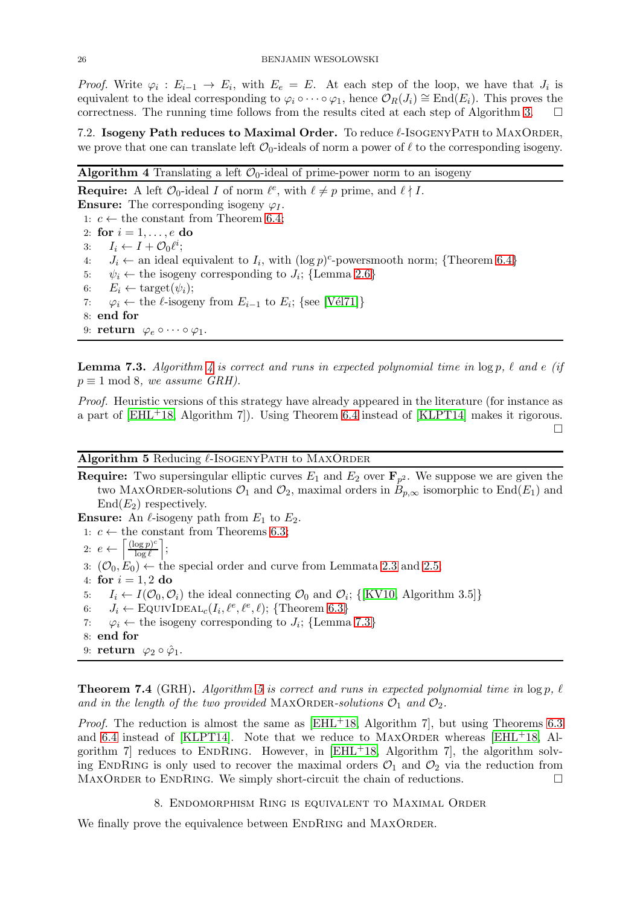*Proof.* Write  $\varphi_i : E_{i-1} \to E_i$ , with  $E_e = E$ . At each step of the loop, we have that  $J_i$  is equivalent to the ideal corresponding to  $\varphi_i \circ \cdots \circ \varphi_1$ , hence  $\mathcal{O}_R(J_i) \cong \text{End}(E_i)$ . This proves the correctness. The running time follows from the results cited at each step of Algorithm [3.](#page-24-2)

7.2. Isogeny Path reduces to Maximal Order. To reduce  $\ell$ -IsogENYPATH to MAXORDER, we prove that one can translate left  $\mathcal{O}_0$ -ideals of norm a power of  $\ell$  to the corresponding isogeny.

## <span id="page-25-1"></span>Algorithm 4 Translating a left  $\mathcal{O}_0$ -ideal of prime-power norm to an isogeny

**Require:** A left  $\mathcal{O}_0$ -ideal I of norm  $\ell^e$ , with  $\ell \neq p$  prime, and  $\ell \nmid I$ . **Ensure:** The corresponding isogeny  $\varphi_I$ . 1:  $c \leftarrow$  the constant from Theorem [6.4;](#page-23-0) 2: for  $i = 1, \ldots, e$  do 3:  $I_i \leftarrow I + \mathcal{O}_0 \ell^i;$ 4:  $J_i \leftarrow$  an ideal equivalent to  $I_i$ , with  $(\log p)^c$ -powersmooth norm; {Theorem [6.4](#page-23-0)} 5:  $\psi_i \leftarrow$  the isogeny corresponding to  $J_i$ ; {Lemma [2.6](#page-6-2)} 6:  $E_i \leftarrow \text{target}(\psi_i);$ <br>7:  $\varphi_i \leftarrow \text{the } \ell\text{-isogen}$ 7:  $\varphi_i \leftarrow$  the  $\ell$ -isogeny from  $E_{i-1}$  to  $E_i$ ; {see [Vél71]} 8: end for 9: return  $\varphi_e \circ \cdots \circ \varphi_1$ .

<span id="page-25-2"></span>**Lemma 7.3.** Algorithm [4](#page-25-1) is correct and runs in expected polynomial time in  $\log p$ ,  $\ell$  and  $e$  (if  $p \equiv 1 \mod 8$ , we assume GRH).

Proof. Heuristic versions of this strategy have already appeared in the literature (for instance as a part of [\[EHL](#page-29-3)+18, Algorithm 7]). Using Theorem [6.4](#page-23-0) instead of [\[KLPT14\]](#page-29-6) makes it rigorous.  $\Box$ 

<span id="page-25-3"></span>Algorithm 5 Reducing  $\ell$ -IsogenyPath to MAXORDER

**Require:** Two supersingular elliptic curves  $E_1$  and  $E_2$  over  $\mathbf{F}_{p^2}$ . We suppose we are given the two MAXORDER-solutions  $\mathcal{O}_1$  and  $\mathcal{O}_2$ , maximal orders in  $B_{p,\infty}$  isomorphic to End(E<sub>1</sub>) and  $End(E_2)$  respectively.

**Ensure:** An  $\ell$ -isogeny path from  $E_1$  to  $E_2$ .

1:  $c$  ← the constant from Theorems [6.3;](#page-22-0)

$$
2: e \leftarrow \left\lceil \frac{(\log p)^c}{\log \ell} \right\rceil;
$$

- 3:  $(\mathcal{O}_0, E_0) \leftarrow$  the special order and curve from Lemmata [2.3](#page-4-1) and [2.5;](#page-6-1)
- 4: for  $i = 1, 2$  do
- 5:  $I_i \leftarrow I(\mathcal{O}_0, \mathcal{O}_i)$  the ideal connecting  $\mathcal{O}_0$  and  $\mathcal{O}_i$ ; {[\[KV10,](#page-29-19) Algorithm 3.5]}
- 6:  $J_i \leftarrow \text{EQUIVIDEAL}_c(I_i, \ell^e, \ell^e, \ell); \{\text{Theorem 6.3}\}\$  $J_i \leftarrow \text{EQUIVIDEAL}_c(I_i, \ell^e, \ell^e, \ell); \{\text{Theorem 6.3}\}\$  $J_i \leftarrow \text{EQUIVIDEAL}_c(I_i, \ell^e, \ell^e, \ell); \{\text{Theorem 6.3}\}\$
- 7:  $\varphi_i \leftarrow$  the isogeny corresponding to  $J_i$ ; {Lemma [7.3](#page-25-2)}
- 8: end for
- 9: return  $\varphi_2 \circ \hat{\varphi}_1$ .

**Theorem 7.4** (GRH). Algorithm [5](#page-25-3) is correct and runs in expected polynomial time in  $\log p$ ,  $\ell$ and in the length of the two provided MAXORDER-solutions  $\mathcal{O}_1$  and  $\mathcal{O}_2$ .

*Proof.* The reduction is almost the same as  $[EHL+18,$  Algorithm 7, but using Theorems [6.3](#page-22-0) and [6.4](#page-23-0) instead of [\[KLPT14\]](#page-29-6). Note that we reduce to  $MAXORDER$  whereas  $[EHL<sup>+</sup>18,$  Algorithm 7 reduces to ENDRING. However, in  $[EHL+18,$  Algorithm 7, the algorithm solving ENDRING is only used to recover the maximal orders  $\mathcal{O}_1$  and  $\mathcal{O}_2$  via the reduction from MAXORDER to ENDRING. We simply short-circuit the chain of reductions. MAXORDER to ENDRING. We simply short-circuit the chain of reductions.

8. Endomorphism Ring is equivalent to Maximal Order

<span id="page-25-0"></span>We finally prove the equivalence between ENDRING and MAXORDER.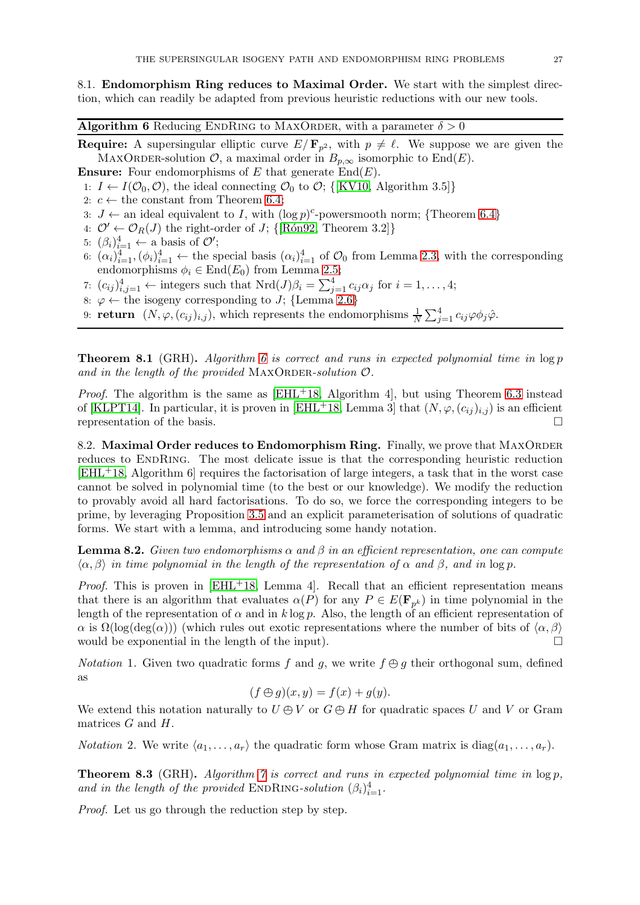8.1. Endomorphism Ring reduces to Maximal Order. We start with the simplest direction, which can readily be adapted from previous heuristic reductions with our new tools.

<span id="page-26-0"></span>**Algorithm 6** Reducing ENDRING to MAXORDER, with a parameter  $\delta > 0$ 

**Require:** A supersingular elliptic curve  $E/\mathbf{F}_{p^2}$ , with  $p \neq \ell$ . We suppose we are given the MAXORDER-solution  $\mathcal{O}$ , a maximal order in  $B_{p,\infty}$  isomorphic to End(E).

**Ensure:** Four endomorphisms of E that generate  $\text{End}(E)$ .

1:  $I \leftarrow I(\mathcal{O}_0, \mathcal{O})$ , the ideal connecting  $\mathcal{O}_0$  to  $\mathcal{O}$ ; {[\[KV10,](#page-29-19) Algorithm 3.5]}

- 2:  $c \leftarrow$  the constant from Theorem [6.4;](#page-23-0)
- 3:  $J \leftarrow$  an ideal equivalent to I, with  $(\log p)^c$ -powersmooth norm; {Theorem [6.4](#page-23-0)}
- 4:  $\mathcal{O}' \leftarrow \mathcal{O}_R(J)$  the right-order of J; {[Rón92, Theorem 3.2]}
- 5:  $(\beta_i)_{i=1}^4 \leftarrow$  a basis of  $\mathcal{O}'$ ;
- 6:  $(\alpha_i)_{i=1}^4$ ,  $(\phi_i)_{i=1}^4$   $\leftarrow$  the special basis  $(\alpha_i)_{i=1}^4$  of  $\mathcal{O}_0$  from Lemma [2.3,](#page-4-1) with the corresponding endomorphisms  $\phi_i \in \text{End}(E_0)$  from Lemma [2.5;](#page-6-1)
- 7:  $(c_{ij})_{i,j=1}^4 \leftarrow$  integers such that  $Nrd(J)\beta_i = \sum_{j=1}^4 c_{ij}\alpha_j$  for  $i = 1, ..., 4;$
- 8:  $\varphi \leftarrow \text{the isogeny corresponding to } J$ ; {Lemma [2.6](#page-6-2)}
- 9: **return**  $(N, \varphi, (c_{ij})_{i,j})$ , which represents the endomorphisms  $\frac{1}{N} \sum_{j=1}^4 c_{ij} \varphi \phi_j \hat{\varphi}$ .

**Theorem 8.1** (GRH). Algorithm [6](#page-26-0) is correct and runs in expected polynomial time in  $\log p$ and in the length of the provided MAXORDER-solution  $\mathcal{O}$ .

*Proof.* The algorithm is the same as [\[EHL](#page-29-3)<sup>+</sup>18, Algorithm 4], but using Theorem [6.3](#page-22-0) instead of [\[KLPT14\]](#page-29-6). In particular, it is proven in [\[EHL](#page-29-3)+18, Lemma 3] that  $(N, \varphi, (c_{ij})_{i,j})$  is an efficient representation of the basis.

8.2. Maximal Order reduces to Endomorphism Ring. Finally, we prove that MAXORDER reduces to ENDRING. The most delicate issue is that the corresponding heuristic reduction [\[EHL](#page-29-3)+18, Algorithm 6] requires the factorisation of large integers, a task that in the worst case cannot be solved in polynomial time (to the best or our knowledge). We modify the reduction to provably avoid all hard factorisations. To do so, we force the corresponding integers to be prime, by leveraging Proposition [3.5](#page-8-1) and an explicit parameterisation of solutions of quadratic forms. We start with a lemma, and introducing some handy notation.

<span id="page-26-1"></span>**Lemma 8.2.** Given two endomorphisms  $\alpha$  and  $\beta$  in an efficient representation, one can compute  $\langle \alpha, \beta \rangle$  in time polynomial in the length of the representation of  $\alpha$  and  $\beta$ , and in log p.

*Proof.* This is proven in  $[EHL+18, Lemma 4]$ . Recall that an efficient representation means that there is an algorithm that evaluates  $\alpha(P)$  for any  $P \in E(\mathbf{F}_{p^k})$  in time polynomial in the length of the representation of  $\alpha$  and in k log p. Also, the length of an efficient representation of  $\alpha$  is  $\Omega(\log(\deg(\alpha)))$  (which rules out exotic representations where the number of bits of  $\langle \alpha, \beta \rangle$  would be exponential in the length of the input). would be exponential in the length of the input).

*Notation* 1. Given two quadratic forms f and g, we write  $f \oplus g$  their orthogonal sum, defined as

$$
(f \oplus g)(x, y) = f(x) + g(y).
$$

We extend this notation naturally to  $U \oplus V$  or  $G \oplus H$  for quadratic spaces U and V or Gram matrices  $G$  and  $H$ .

*Notation* 2. We write  $\langle a_1, \ldots, a_r \rangle$  the quadratic form whose Gram matrix is diag( $a_1, \ldots, a_r$ ).

**Theorem 8.3** (GRH). Algorithm [7](#page-27-0) is correct and runs in expected polynomial time in  $\log p$ , and in the length of the provided ENDRING-solution  $(\beta_i)_{i=1}^4$ .

Proof. Let us go through the reduction step by step.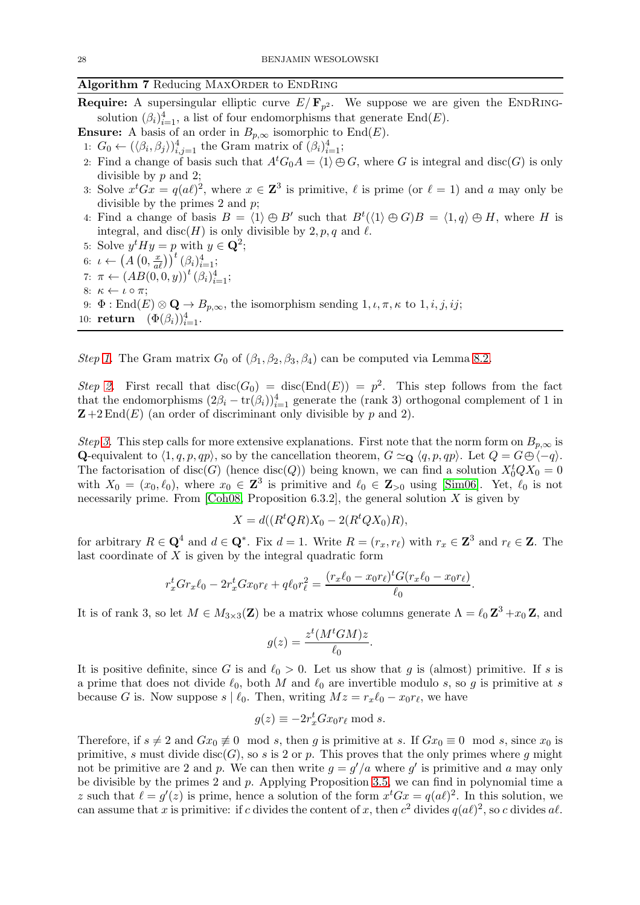## <span id="page-27-0"></span>Algorithm 7 Reducing MAXORDER to ENDRING

**Require:** A supersingular elliptic curve  $E/\mathbf{F}_{p^2}$ . We suppose we are given the ENDRINGsolution  $(\beta_i)_{i=1}^4$ , a list of four endomorphisms that generate End $(E)$ .

**Ensure:** A basis of an order in  $B_{p,\infty}$  isomorphic to End(E).

<span id="page-27-1"></span>1:  $G_0 \leftarrow (\langle \beta_i, \beta_j \rangle)_{i,j=1}^4$  the Gram matrix of  $(\beta_i)_{i=1}^4$ ;

- <span id="page-27-2"></span>2: Find a change of basis such that  $A<sup>t</sup>G<sub>0</sub>A = \langle 1 \rangle \oplus G$ , where G is integral and disc(G) is only divisible by p and 2;
- <span id="page-27-4"></span><span id="page-27-3"></span>3: Solve  $x^t G x = q(a\ell)^2$ , where  $x \in \mathbb{Z}^3$  is primitive,  $\ell$  is prime (or  $\ell = 1$ ) and a may only be divisible by the primes 2 and  $p$ ;
- <span id="page-27-5"></span>4: Find a change of basis  $B = \langle 1 \rangle \oplus B'$  such that  $B^t(\langle 1 \rangle \oplus G)B = \langle 1, q \rangle \oplus H$ , where H is integral, and disc(H) is only divisible by 2, p, q and  $\ell$ .
- <span id="page-27-6"></span>5: Solve  $y^t H y = p$  with  $y \in \mathbf{Q}^2$ ;
- 6:  $\iota \leftarrow (A(0, \frac{x}{a\ell}))^{t} (\beta_i)_{i=1}^4;$
- 7:  $\pi \leftarrow (AB(0,0,y))^t (\beta_i)_{i=1}^4;$
- <span id="page-27-7"></span>8:  $\kappa \leftarrow \iota \circ \pi$ ;
- 9:  $\Phi$  : End(E)  $\otimes$  Q  $\rightarrow$  B<sub>p, $\infty$ </sub>, the isomorphism sending 1,  $\iota$ ,  $\pi$ ,  $\kappa$  to 1, *i*, *j*, *ij*;
- 10: **return**  $(\Phi(\beta_i))_{i=1}^4$ .

Step [1.](#page-27-1) The Gram matrix  $G_0$  of  $(\beta_1, \beta_2, \beta_3, \beta_4)$  can be computed via Lemma [8.2.](#page-26-1)

Step [2.](#page-27-2) First recall that  $\text{disc}(G_0) = \text{disc}(\text{End}(E)) = p^2$ . This step follows from the fact that the endomorphisms  $(2\beta_i - \text{tr}(\beta_i))^4_{i=1}$  generate the (rank 3) orthogonal complement of 1 in  $\mathbf{Z} + 2 \text{End}(E)$  (an order of discriminant only divisible by p and 2).

Step [3.](#page-27-3) This step calls for more extensive explanations. First note that the norm form on  $B_{p,\infty}$  is Q-equivalent to  $\langle 1, q, p, qp \rangle$ , so by the cancellation theorem,  $G \simeq_Q \langle q, p, qp \rangle$ . Let  $Q = G \oplus \langle -q \rangle$ . The factorisation of  $disc(G)$  (hence  $disc(Q)$ ) being known, we can find a solution  $X_0^t Q X_0 = 0$ with  $X_0 = (x_0, \ell_0)$ , where  $x_0 \in \mathbb{Z}^3$  is primitive and  $\ell_0 \in \mathbb{Z}_{>0}$  using [\[Sim06\]](#page-30-11). Yet,  $\ell_0$  is not necessarily prime. From [\[Coh08,](#page-28-7) Proposition 6.3.2], the general solution  $X$  is given by

$$
X = d((R^t Q R) X_0 - 2(R^t Q X_0) R),
$$

for arbitrary  $R \in \mathbf{Q}^4$  and  $d \in \mathbf{Q}^*$ . Fix  $d = 1$ . Write  $R = (r_x, r_\ell)$  with  $r_x \in \mathbf{Z}^3$  and  $r_\ell \in \mathbf{Z}$ . The last coordinate of  $X$  is given by the integral quadratic form

$$
r_x^t G r_x \ell_0 - 2r_x^t G x_0 r_\ell + q \ell_0 r_\ell^2 = \frac{(r_x \ell_0 - x_0 r_\ell)^t G (r_x \ell_0 - x_0 r_\ell)}{\ell_0}
$$

<span id="page-27-8"></span>.

It is of rank 3, so let  $M \in M_{3\times 3}(\mathbf{Z})$  be a matrix whose columns generate  $\Lambda = \ell_0 \mathbf{Z}^3 + x_0 \mathbf{Z}$ , and

$$
g(z) = \frac{z^t (M^t G M) z}{\ell_0}.
$$

It is positive definite, since G is and  $\ell_0 > 0$ . Let us show that g is (almost) primitive. If s is a prime that does not divide  $\ell_0$ , both M and  $\ell_0$  are invertible modulo s, so g is primitive at s because G is. Now suppose  $s \mid \ell_0$ . Then, writing  $Mz = r_x \ell_0 - x_0 r_\ell$ , we have

$$
g(z) \equiv -2r_x^t G x_0 r_\ell \bmod s.
$$

Therefore, if  $s \neq 2$  and  $Gx_0 \neq 0 \mod s$ , then g is primitive at s. If  $Gx_0 \equiv 0 \mod s$ , since  $x_0$  is primitive, s must divide  $disc(G)$ , so s is 2 or p. This proves that the only primes where g might not be primitive are 2 and p. We can then write  $g = g'/a$  where g' is primitive and a may only be divisible by the primes 2 and  $p$ . Applying Proposition [3.5,](#page-8-1) we can find in polynomial time a z such that  $\ell = g'(z)$  is prime, hence a solution of the form  $x^t G x = q(a\ell)^2$ . In this solution, we can assume that x is primitive: if c divides the content of x, then  $c^2$  divides  $q(a\ell)^2$ , so c divides  $a\ell$ .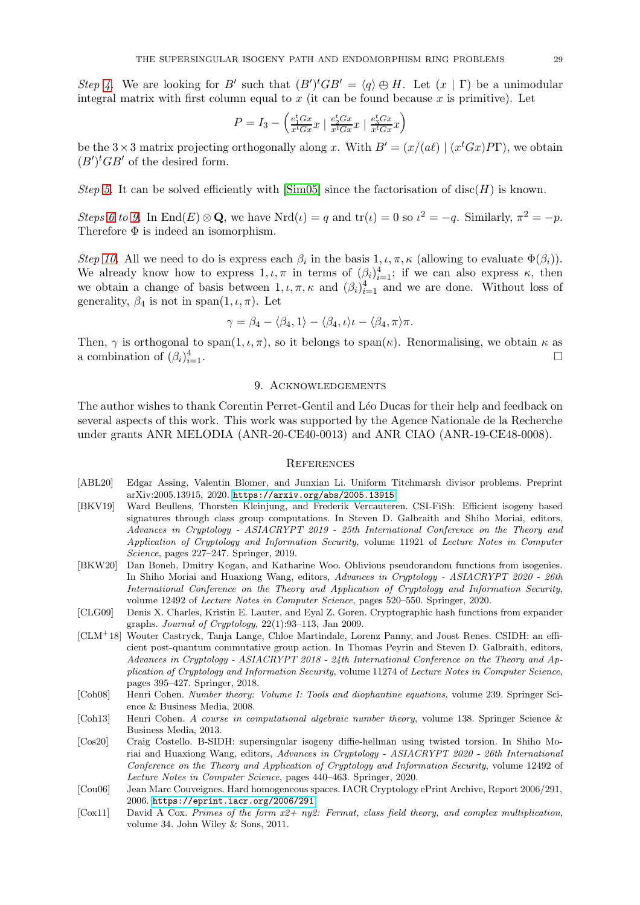Step [4.](#page-27-4) We are looking for B' such that  $(B')^t GB' = \langle q \rangle \oplus H$ . Let  $(x | \Gamma)$  be a unimodular integral matrix with first column equal to  $x$  (it can be found because  $x$  is primitive). Let

$$
P = I_3 - \left(\frac{e_1^t G x}{x^t G x} x \mid \frac{e_2^t G x}{x^t G x} x \mid \frac{e_3^t G x}{x^t G x} x\right)
$$

be the  $3 \times 3$  matrix projecting orthogonally along x. With  $B' = (x/(a\ell) \mid (x^t G x) P \Gamma)$ , we obtain  $(B')^tGB'$  of the desired form.

Step [5.](#page-27-5) It can be solved efficiently with  $[\text{Sim05}]$  since the factorisation of disc(H) is known.

Steps [6](#page-27-6) to [9.](#page-27-7) In  $\text{End}(E) \otimes \mathbf{Q}$ , we have  $\text{Nrd}(\iota) = q$  and  $\text{tr}(\iota) = 0$  so  $\iota^2 = -q$ . Similarly,  $\pi^2 = -p$ . Therefore  $\Phi$  is indeed an isomorphism.

Step [10.](#page-27-8) All we need to do is express each  $\beta_i$  in the basis  $1, \iota, \pi, \kappa$  (allowing to evaluate  $\Phi(\beta_i)$ ). We already know how to express  $1, \iota, \pi$  in terms of  $(\beta_i)_{i=1}^4$ ; if we can also express  $\kappa$ , then we obtain a change of basis between  $1, \iota, \pi, \kappa$  and  $(\beta_i)_{i=1}^4$  and we are done. Without loss of generality,  $\beta_4$  is not in span $(1, \iota, \pi)$ . Let

$$
\gamma = \beta_4 - \langle \beta_4, 1 \rangle - \langle \beta_4, \iota \rangle \iota - \langle \beta_4, \pi \rangle \pi.
$$

Then,  $\gamma$  is orthogonal to span $(1, \iota, \pi)$ , so it belongs to span $(\kappa)$ . Renormalising, we obtain  $\kappa$  as a combination of  $(\beta_i)_i^4$  $\frac{4}{i=1}$ .

### 9. ACKNOWLEDGEMENTS

The author wishes to thank Corentin Perret-Gentil and Léo Ducas for their help and feedback on several aspects of this work. This work was supported by the Agence Nationale de la Recherche under grants ANR MELODIA (ANR-20-CE40-0013) and ANR CIAO (ANR-19-CE48-0008).

### **REFERENCES**

- <span id="page-28-8"></span>[ABL20] Edgar Assing, Valentin Blomer, and Junxian Li. Uniform Titchmarsh divisor problems. Preprint arXiv:2005.13915, 2020. <https://arxiv.org/abs/2005.13915>.
- <span id="page-28-4"></span>[BKV19] Ward Beullens, Thorsten Kleinjung, and Frederik Vercauteren. CSI-FiSh: Efficient isogeny based signatures through class group computations. In Steven D. Galbraith and Shiho Moriai, editors, *Advances in Cryptology - ASIACRYPT 2019 - 25th International Conference on the Theory and Application of Cryptology and Information Security*, volume 11921 of *Lecture Notes in Computer Science*, pages 227–247. Springer, 2019.
- <span id="page-28-5"></span>[BKW20] Dan Boneh, Dmitry Kogan, and Katharine Woo. Oblivious pseudorandom functions from isogenies. In Shiho Moriai and Huaxiong Wang, editors, *Advances in Cryptology - ASIACRYPT 2020 - 26th International Conference on the Theory and Application of Cryptology and Information Security*, volume 12492 of *Lecture Notes in Computer Science*, pages 520–550. Springer, 2020.
- <span id="page-28-0"></span>[CLG09] Denis X. Charles, Kristin E. Lauter, and Eyal Z. Goren. Cryptographic hash functions from expander graphs. *Journal of Cryptology*, 22(1):93–113, Jan 2009.
- <span id="page-28-2"></span>[CLM<sup>+</sup>18] Wouter Castryck, Tanja Lange, Chloe Martindale, Lorenz Panny, and Joost Renes. CSIDH: an efficient post-quantum commutative group action. In Thomas Peyrin and Steven D. Galbraith, editors, *Advances in Cryptology - ASIACRYPT 2018 - 24th International Conference on the Theory and Application of Cryptology and Information Security*, volume 11274 of *Lecture Notes in Computer Science*, pages 395–427. Springer, 2018.
- <span id="page-28-7"></span>[Coh08] Henri Cohen. *Number theory: Volume I: Tools and diophantine equations*, volume 239. Springer Science & Business Media, 2008.
- <span id="page-28-6"></span>[Coh13] Henri Cohen. *A course in computational algebraic number theory*, volume 138. Springer Science & Business Media, 2013.
- <span id="page-28-3"></span>[Cos20] Craig Costello. B-SIDH: supersingular isogeny diffie-hellman using twisted torsion. In Shiho Moriai and Huaxiong Wang, editors, *Advances in Cryptology - ASIACRYPT 2020 - 26th International Conference on the Theory and Application of Cryptology and Information Security*, volume 12492 of *Lecture Notes in Computer Science*, pages 440–463. Springer, 2020.
- <span id="page-28-1"></span>[Cou06] Jean Marc Couveignes. Hard homogeneous spaces. IACR Cryptology ePrint Archive, Report 2006/291, 2006. <https://eprint.iacr.org/2006/291>.
- <span id="page-28-9"></span>[Cox11] David A Cox. *Primes of the form x2+ ny2: Fermat, class field theory, and complex multiplication*, volume 34. John Wiley & Sons, 2011.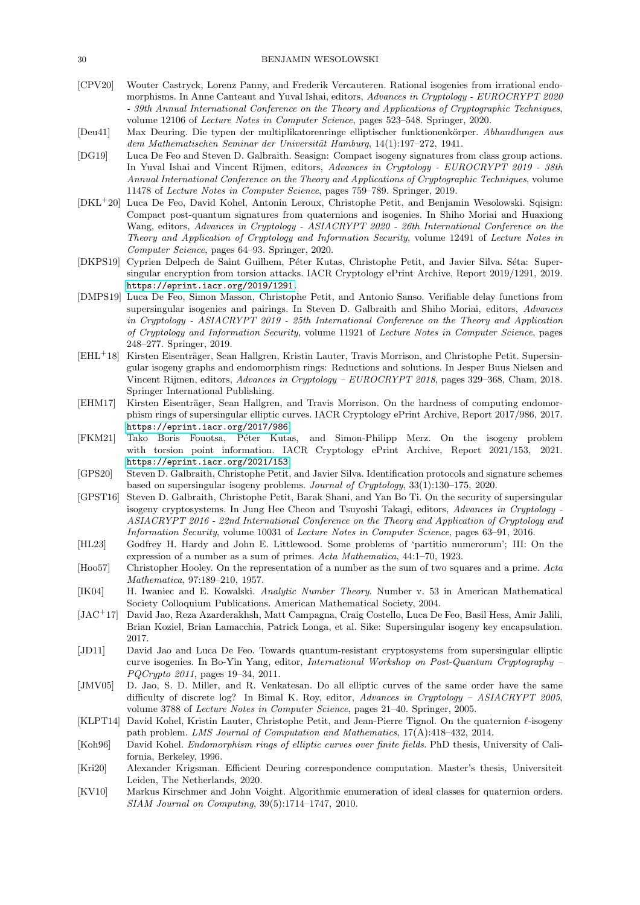#### 30 BENJAMIN WESOLOWSKI

- <span id="page-29-1"></span>[CPV20] Wouter Castryck, Lorenz Panny, and Frederik Vercauteren. Rational isogenies from irrational endomorphisms. In Anne Canteaut and Yuval Ishai, editors, *Advances in Cryptology - EUROCRYPT 2020 - 39th Annual International Conference on the Theory and Applications of Cryptographic Techniques*, volume 12106 of *Lecture Notes in Computer Science*, pages 523–548. Springer, 2020.
- <span id="page-29-4"></span>[Deu41] Max Deuring. Die typen der multiplikatorenringe elliptischer funktionenk¨orper. *Abhandlungen aus* dem Mathematischen Seminar der Universität Hamburg, 14(1):197–272, 1941.
- <span id="page-29-11"></span>[DG19] Luca De Feo and Steven D. Galbraith. Seasign: Compact isogeny signatures from class group actions. In Yuval Ishai and Vincent Rijmen, editors, *Advances in Cryptology - EUROCRYPT 2019 - 38th Annual International Conference on the Theory and Applications of Cryptographic Techniques*, volume 11478 of *Lecture Notes in Computer Science*, pages 759–789. Springer, 2019.
- <span id="page-29-12"></span>[DKL<sup>+</sup>20] Luca De Feo, David Kohel, Antonin Leroux, Christophe Petit, and Benjamin Wesolowski. Sqisign: Compact post-quantum signatures from quaternions and isogenies. In Shiho Moriai and Huaxiong Wang, editors, *Advances in Cryptology - ASIACRYPT 2020 - 26th International Conference on the Theory and Application of Cryptology and Information Security*, volume 12491 of *Lecture Notes in Computer Science*, pages 64–93. Springer, 2020.
- <span id="page-29-9"></span>[DKPS19] Cyprien Delpech de Saint Guilhem, Péter Kutas, Christophe Petit, and Javier Silva. Séta: Supersingular encryption from torsion attacks. IACR Cryptology ePrint Archive, Report 2019/1291, 2019. <https://eprint.iacr.org/2019/1291>.
- <span id="page-29-13"></span>[DMPS19] Luca De Feo, Simon Masson, Christophe Petit, and Antonio Sanso. Verifiable delay functions from supersingular isogenies and pairings. In Steven D. Galbraith and Shiho Moriai, editors, *Advances in Cryptology - ASIACRYPT 2019 - 25th International Conference on the Theory and Application of Cryptology and Information Security*, volume 11921 of *Lecture Notes in Computer Science*, pages 248–277. Springer, 2019.
- <span id="page-29-3"></span>[EHL<sup>+</sup>18] Kirsten Eisenträger, Sean Hallgren, Kristin Lauter, Travis Morrison, and Christophe Petit. Supersingular isogeny graphs and endomorphism rings: Reductions and solutions. In Jesper Buus Nielsen and Vincent Rijmen, editors, *Advances in Cryptology – EUROCRYPT 2018*, pages 329–368, Cham, 2018. Springer International Publishing.
- <span id="page-29-2"></span>[EHM17] Kirsten Eisenträger, Sean Hallgren, and Travis Morrison. On the hardness of computing endomorphism rings of supersingular elliptic curves. IACR Cryptology ePrint Archive, Report 2017/986, 2017. <https://eprint.iacr.org/2017/986>.
- <span id="page-29-14"></span>[FKM21] Tako Boris Fouotsa, Péter Kutas, and Simon-Philipp Merz. On the isogeny problem with torsion point information. IACR Cryptology ePrint Archive, Report 2021/153, 2021. <https://eprint.iacr.org/2021/153>.
- <span id="page-29-7"></span>[GPS20] Steven D. Galbraith, Christophe Petit, and Javier Silva. Identification protocols and signature schemes based on supersingular isogeny problems. *Journal of Cryptology*, 33(1):130–175, 2020.
- <span id="page-29-0"></span>[GPST16] Steven D. Galbraith, Christophe Petit, Barak Shani, and Yan Bo Ti. On the security of supersingular isogeny cryptosystems. In Jung Hee Cheon and Tsuyoshi Takagi, editors, *Advances in Cryptology - ASIACRYPT 2016 - 22nd International Conference on the Theory and Application of Cryptology and Information Security*, volume 10031 of *Lecture Notes in Computer Science*, pages 63–91, 2016.
- <span id="page-29-15"></span>[HL23] Godfrey H. Hardy and John E. Littlewood. Some problems of 'partitio numerorum'; III: On the expression of a number as a sum of primes. *Acta Mathematica*, 44:1–70, 1923.
- <span id="page-29-16"></span>[Hoo57] Christopher Hooley. On the representation of a number as the sum of two squares and a prime. *Acta Mathematica*, 97:189–210, 1957.
- <span id="page-29-17"></span>[IK04] H. Iwaniec and E. Kowalski. *Analytic Number Theory*. Number v. 53 in American Mathematical Society Colloquium Publications. American Mathematical Society, 2004.
- <span id="page-29-10"></span>[JAC<sup>+</sup>17] David Jao, Reza Azarderakhsh, Matt Campagna, Craig Costello, Luca De Feo, Basil Hess, Amir Jalili, Brian Koziel, Brian Lamacchia, Patrick Longa, et al. Sike: Supersingular isogeny key encapsulation. 2017.
- <span id="page-29-8"></span>[JD11] David Jao and Luca De Feo. Towards quantum-resistant cryptosystems from supersingular elliptic curve isogenies. In Bo-Yin Yang, editor, *International Workshop on Post-Quantum Cryptography – PQCrypto 2011*, pages 19–34, 2011.
- <span id="page-29-18"></span>[JMV05] D. Jao, S. D. Miller, and R. Venkatesan. Do all elliptic curves of the same order have the same difficulty of discrete log? In Bimal K. Roy, editor, *Advances in Cryptology – ASIACRYPT 2005*, volume 3788 of *Lecture Notes in Computer Science*, pages 21–40. Springer, 2005.
- <span id="page-29-6"></span>[KLPT14] David Kohel, Kristin Lauter, Christophe Petit, and Jean-Pierre Tignol. On the quaternion ℓ-isogeny path problem. *LMS Journal of Computation and Mathematics*, 17(A):418–432, 2014.
- <span id="page-29-5"></span>[Koh96] David Kohel. *Endomorphism rings of elliptic curves over finite fields*. PhD thesis, University of California, Berkeley, 1996.
- <span id="page-29-20"></span>[Kri20] Alexander Krigsman. Efficient Deuring correspondence computation. Master's thesis, Universiteit Leiden, The Netherlands, 2020.
- <span id="page-29-19"></span>[KV10] Markus Kirschmer and John Voight. Algorithmic enumeration of ideal classes for quaternion orders. *SIAM Journal on Computing*, 39(5):1714–1747, 2010.